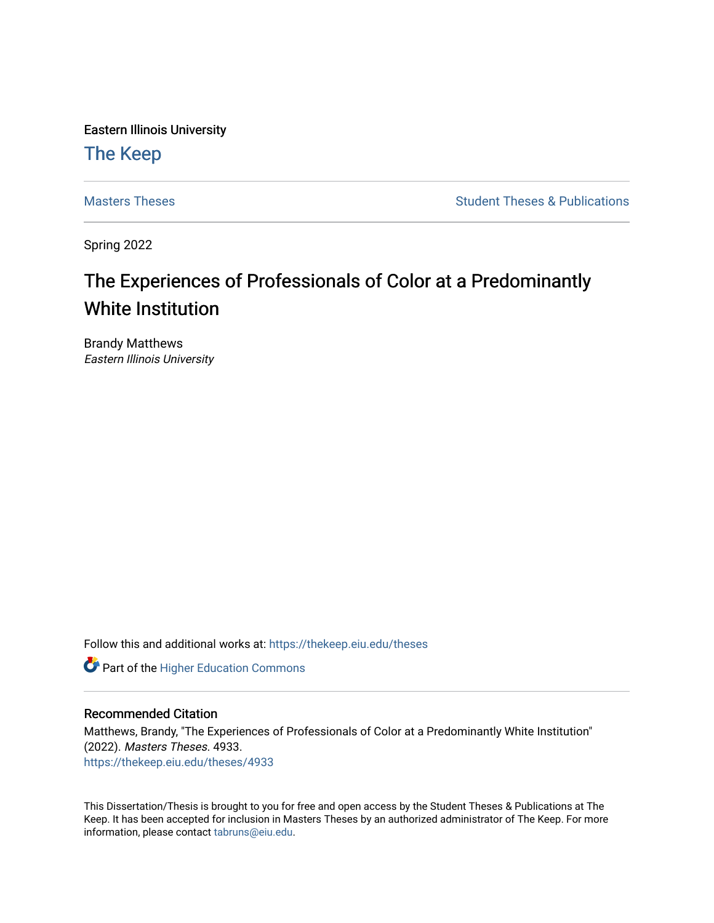Eastern Illinois University

# [The Keep](https://thekeep.eiu.edu/)

[Masters Theses](https://thekeep.eiu.edu/theses) **Student Theses & Publications** Student Theses & Publications

Spring 2022

# The Experiences of Professionals of Color at a Predominantly White Institution

Brandy Matthews Eastern Illinois University

Follow this and additional works at: [https://thekeep.eiu.edu/theses](https://thekeep.eiu.edu/theses?utm_source=thekeep.eiu.edu%2Ftheses%2F4933&utm_medium=PDF&utm_campaign=PDFCoverPages)

**Part of the Higher Education Commons** 

# Recommended Citation

Matthews, Brandy, "The Experiences of Professionals of Color at a Predominantly White Institution" (2022). Masters Theses. 4933. [https://thekeep.eiu.edu/theses/4933](https://thekeep.eiu.edu/theses/4933?utm_source=thekeep.eiu.edu%2Ftheses%2F4933&utm_medium=PDF&utm_campaign=PDFCoverPages) 

This Dissertation/Thesis is brought to you for free and open access by the Student Theses & Publications at The Keep. It has been accepted for inclusion in Masters Theses by an authorized administrator of The Keep. For more information, please contact [tabruns@eiu.edu](mailto:tabruns@eiu.edu).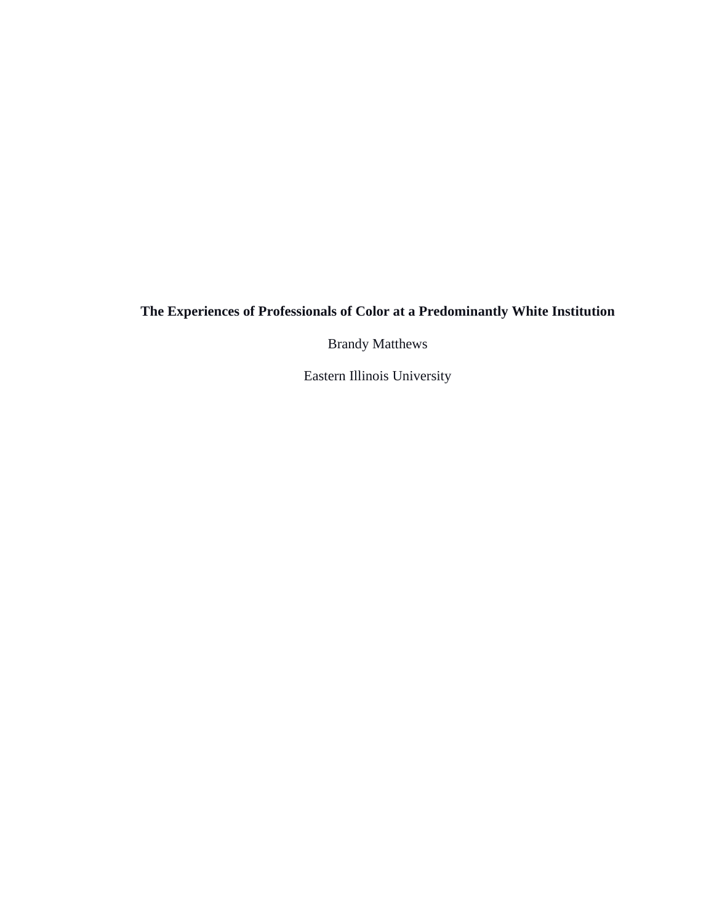# **The Experiences of Professionals of Color at a Predominantly White Institution**

Brandy Matthews

Eastern Illinois University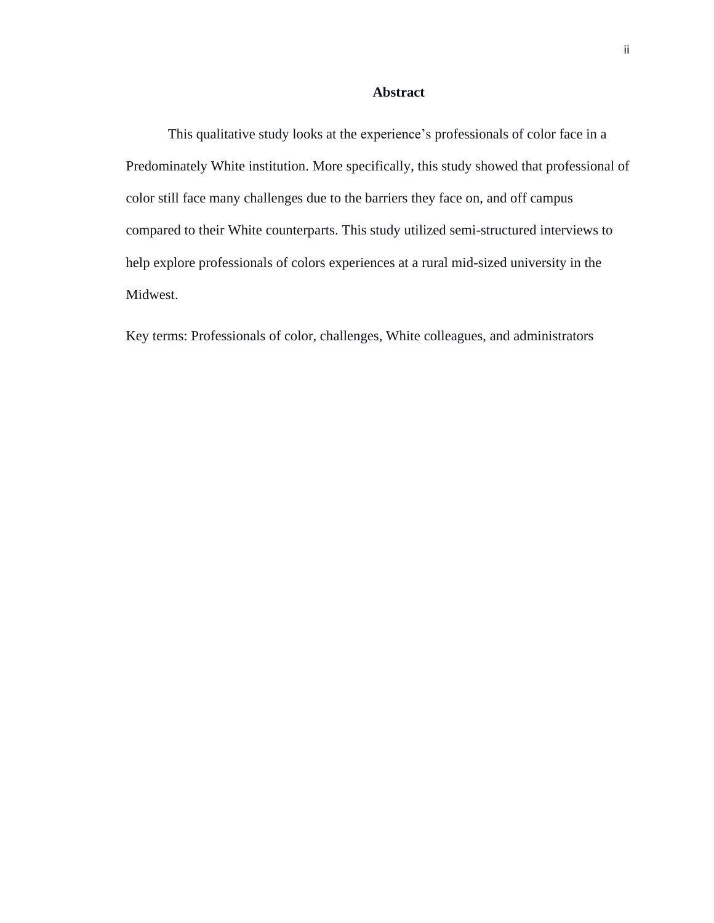# **Abstract**

<span id="page-2-0"></span>This qualitative study looks at the experience's professionals of color face in a Predominately White institution. More specifically, this study showed that professional of color still face many challenges due to the barriers they face on, and off campus compared to their White counterparts. This study utilized semi-structured interviews to help explore professionals of colors experiences at a rural mid-sized university in the Midwest.

Key terms: Professionals of color, challenges, White colleagues, and administrators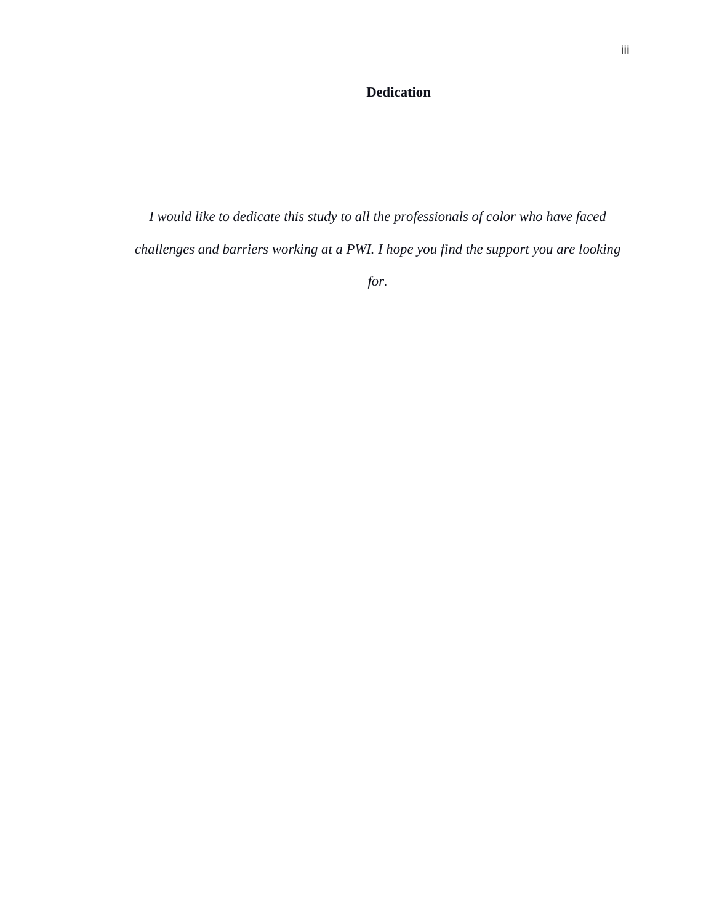# **Dedication**

<span id="page-3-0"></span>*I would like to dedicate this study to all the professionals of color who have faced challenges and barriers working at a PWI. I hope you find the support you are looking* 

*for.*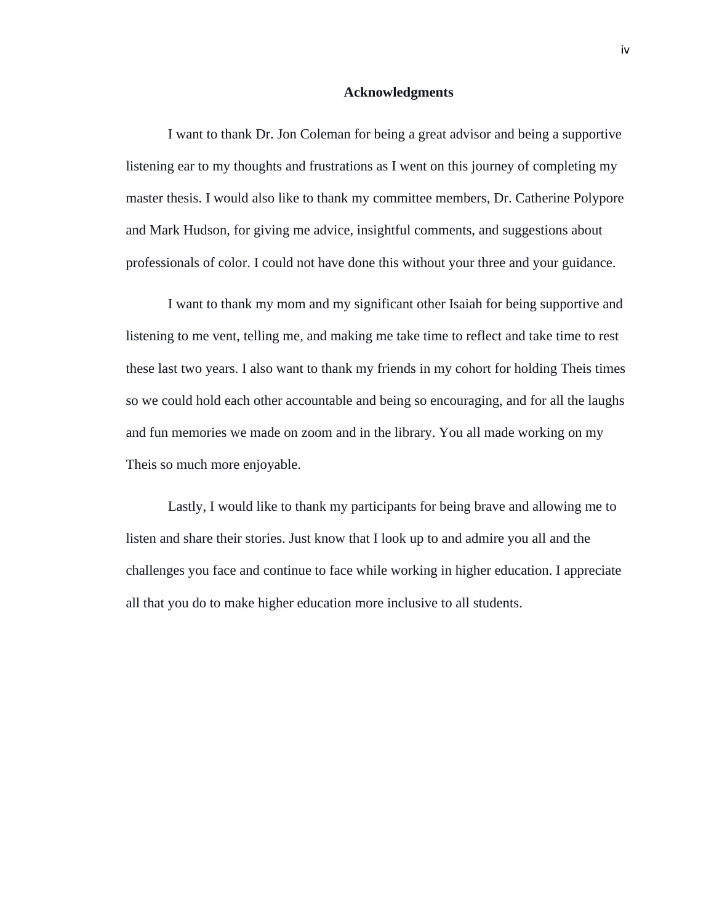### **Acknowledgments**

<span id="page-4-0"></span>I want to thank Dr. Jon Coleman for being a great advisor and being a supportive listening ear to my thoughts and frustrations as I went on this journey of completing my master thesis. I would also like to thank my committee members, Dr. Catherine Polypore and Mark Hudson, for giving me advice, insightful comments, and suggestions about professionals of color. I could not have done this without your three and your guidance.

I want to thank my mom and my significant other Isaiah for being supportive and listening to me vent, telling me, and making me take time to reflect and take time to rest these last two years. I also want to thank my friends in my cohort for holding Theis times so we could hold each other accountable and being so encouraging, and for all the laughs and fun memories we made on zoom and in the library. You all made working on my Theis so much more enjoyable.

Lastly, I would like to thank my participants for being brave and allowing me to listen and share their stories. Just know that I look up to and admire you all and the challenges you face and continue to face while working in higher education. I appreciate all that you do to make higher education more inclusive to all students.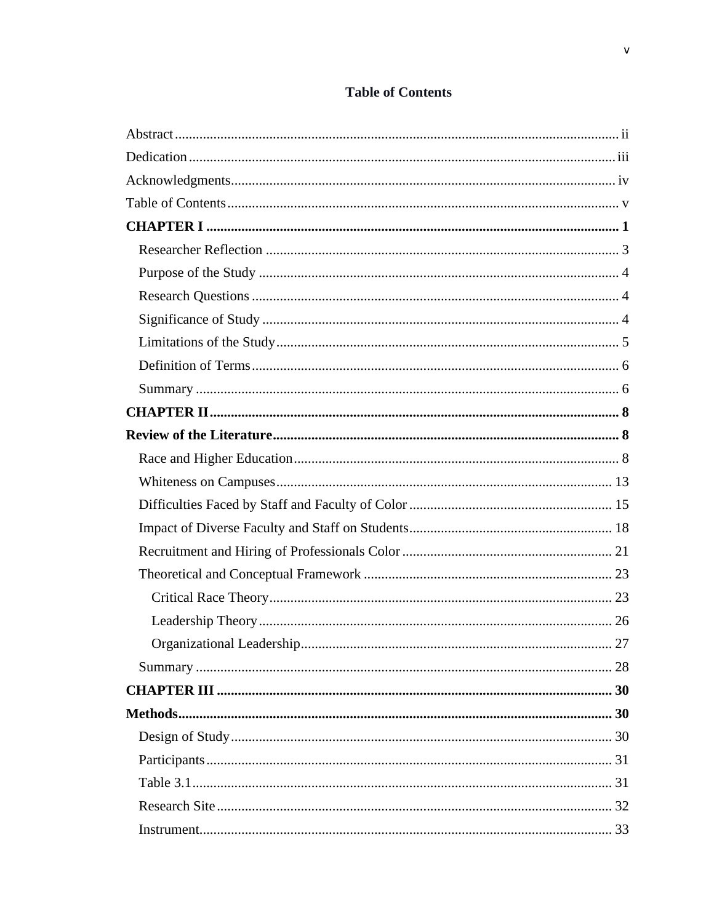<span id="page-5-0"></span>

| 33 |
|----|

# **Table of Contents**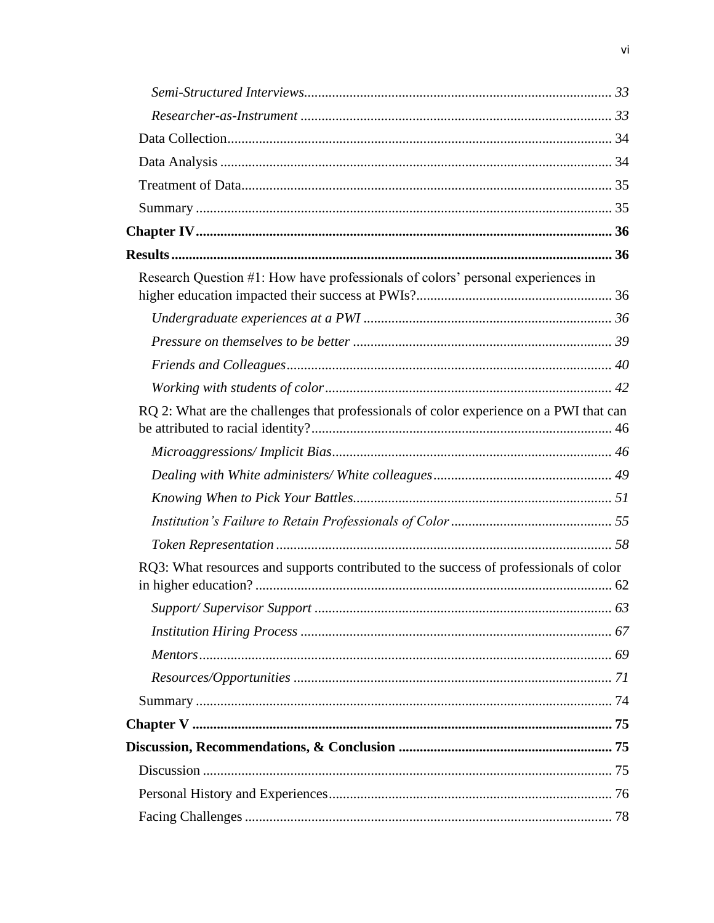| Research Question #1: How have professionals of colors' personal experiences in        |  |
|----------------------------------------------------------------------------------------|--|
|                                                                                        |  |
|                                                                                        |  |
|                                                                                        |  |
|                                                                                        |  |
| RQ 2: What are the challenges that professionals of color experience on a PWI that can |  |
|                                                                                        |  |
|                                                                                        |  |
|                                                                                        |  |
|                                                                                        |  |
|                                                                                        |  |
| RQ3: What resources and supports contributed to the success of professionals of color  |  |
|                                                                                        |  |
|                                                                                        |  |
|                                                                                        |  |
|                                                                                        |  |
|                                                                                        |  |
|                                                                                        |  |
|                                                                                        |  |
|                                                                                        |  |
|                                                                                        |  |
|                                                                                        |  |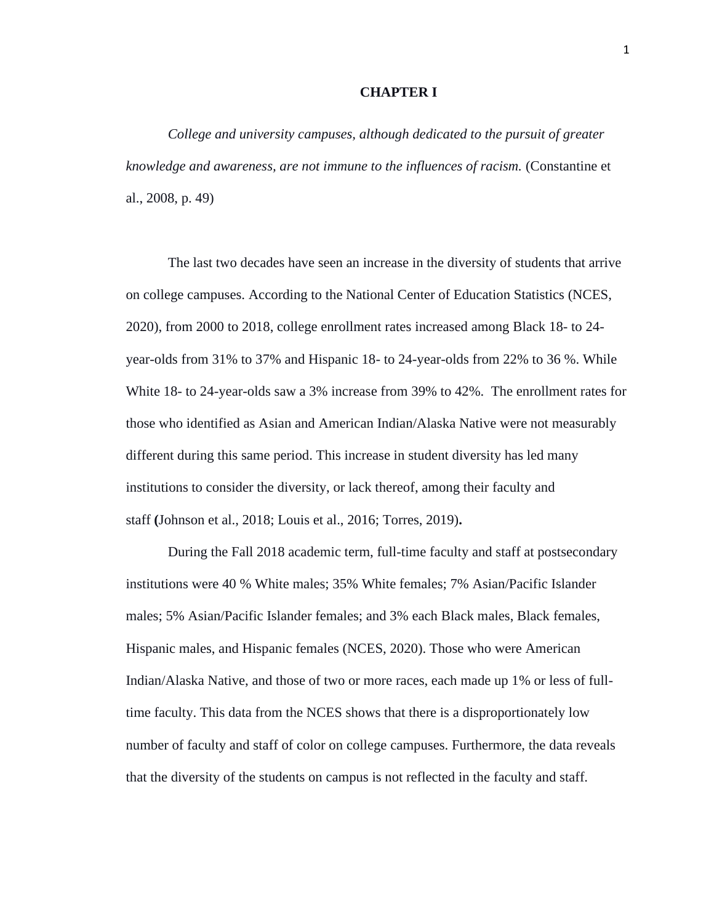# **CHAPTER I**

<span id="page-8-0"></span>*College and university campuses, although dedicated to the pursuit of greater knowledge and awareness, are not immune to the influences of racism.* (Constantine et al., 2008, p. 49)

The last two decades have seen an increase in the diversity of students that arrive on college campuses. According to the National Center of Education Statistics (NCES, 2020), from 2000 to 2018, college enrollment rates increased among Black 18- to 24 year-olds from 31% to 37% and Hispanic 18- to 24-year-olds from 22% to 36 %. While White 18- to 24-year-olds saw a 3% increase from 39% to 42%. The enrollment rates for those who identified as Asian and American Indian/Alaska Native were not measurably different during this same period. This increase in student diversity has led many institutions to consider the diversity, or lack thereof, among their faculty and staff **(**Johnson et al., 2018; Louis et al., 2016; Torres, 2019)**.**

During the Fall 2018 academic term, full-time faculty and staff at postsecondary institutions were 40 % White males; 35% White females; 7% Asian/Pacific Islander males; 5% Asian/Pacific Islander females; and 3% each Black males, Black females, Hispanic males, and Hispanic females (NCES, 2020). Those who were American Indian/Alaska Native, and those of two or more races, each made up 1% or less of fulltime faculty. This data from the NCES shows that there is a disproportionately low number of faculty and staff of color on college campuses. Furthermore, the data reveals that the diversity of the students on campus is not reflected in the faculty and staff.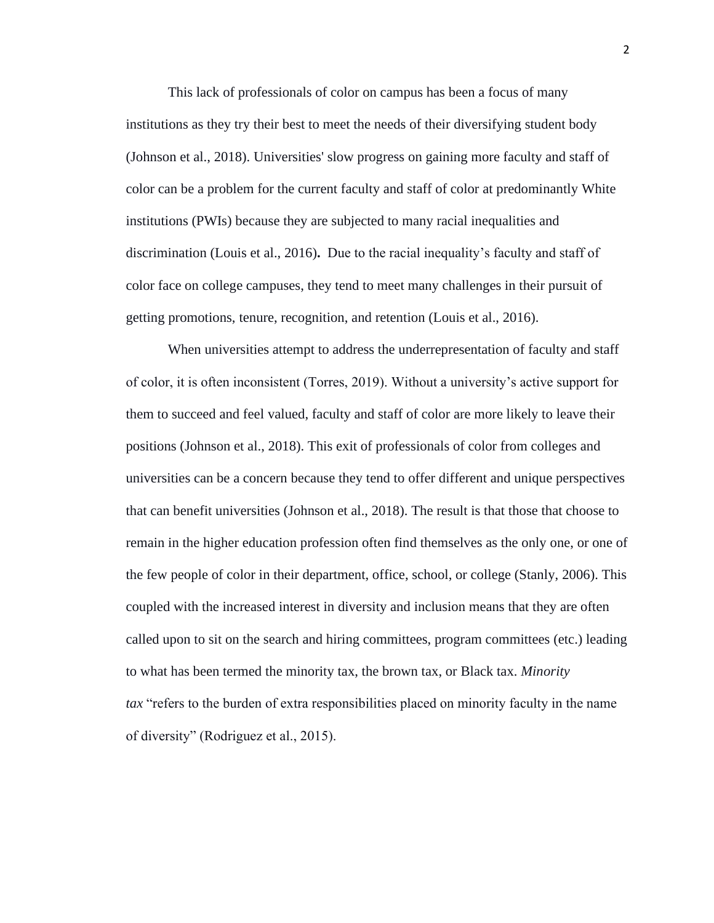This lack of professionals of color on campus has been a focus of many institutions as they try their best to meet the needs of their diversifying student body (Johnson et al., 2018). Universities' slow progress on gaining more faculty and staff of color can be a problem for the current faculty and staff of color at predominantly White institutions (PWIs) because they are subjected to many racial inequalities and discrimination (Louis et al., 2016)**.** Due to the racial inequality's faculty and staff of color face on college campuses, they tend to meet many challenges in their pursuit of getting promotions, tenure, recognition, and retention (Louis et al., 2016).

When universities attempt to address the underrepresentation of faculty and staff of color, it is often inconsistent (Torres, 2019). Without a university's active support for them to succeed and feel valued, faculty and staff of color are more likely to leave their positions (Johnson et al., 2018). This exit of professionals of color from colleges and universities can be a concern because they tend to offer different and unique perspectives that can benefit universities (Johnson et al., 2018). The result is that those that choose to remain in the higher education profession often find themselves as the only one, or one of the few people of color in their department, office, school, or college (Stanly, 2006). This coupled with the increased interest in diversity and inclusion means that they are often called upon to sit on the search and hiring committees, program committees (etc.) leading to what has been termed the minority tax, the brown tax, or Black tax. *Minority tax* "refers to the burden of extra responsibilities placed on minority faculty in the name of diversity" (Rodriguez et al., 2015).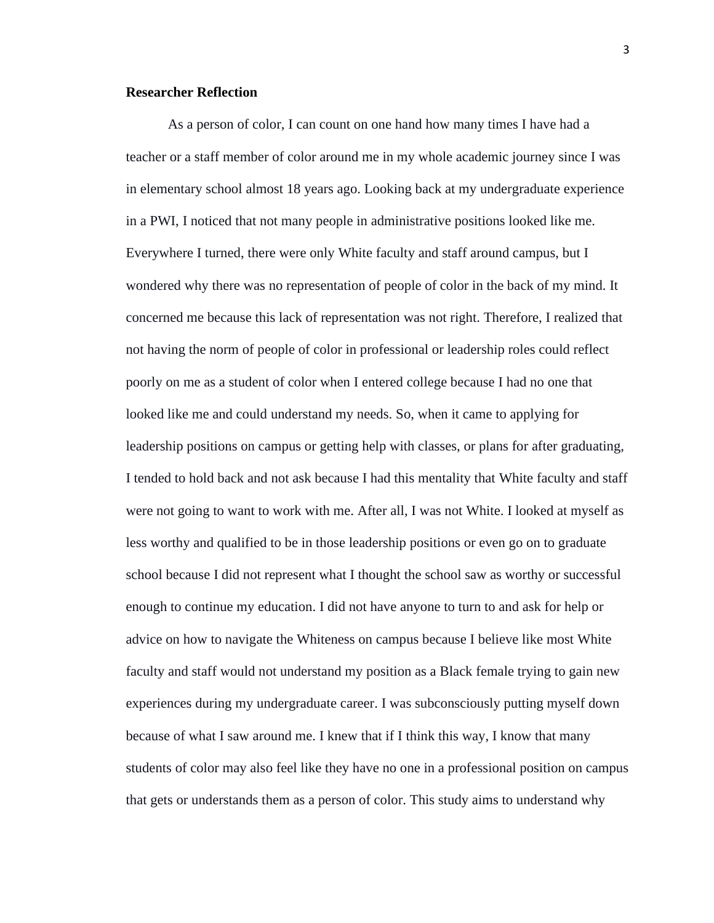# <span id="page-10-0"></span>**Researcher Reflection**

As a person of color, I can count on one hand how many times I have had a teacher or a staff member of color around me in my whole academic journey since I was in elementary school almost 18 years ago. Looking back at my undergraduate experience in a PWI, I noticed that not many people in administrative positions looked like me. Everywhere I turned, there were only White faculty and staff around campus, but I wondered why there was no representation of people of color in the back of my mind. It concerned me because this lack of representation was not right. Therefore, I realized that not having the norm of people of color in professional or leadership roles could reflect poorly on me as a student of color when I entered college because I had no one that looked like me and could understand my needs. So, when it came to applying for leadership positions on campus or getting help with classes, or plans for after graduating, I tended to hold back and not ask because I had this mentality that White faculty and staff were not going to want to work with me. After all, I was not White. I looked at myself as less worthy and qualified to be in those leadership positions or even go on to graduate school because I did not represent what I thought the school saw as worthy or successful enough to continue my education. I did not have anyone to turn to and ask for help or advice on how to navigate the Whiteness on campus because I believe like most White faculty and staff would not understand my position as a Black female trying to gain new experiences during my undergraduate career. I was subconsciously putting myself down because of what I saw around me. I knew that if I think this way, I know that many students of color may also feel like they have no one in a professional position on campus that gets or understands them as a person of color. This study aims to understand why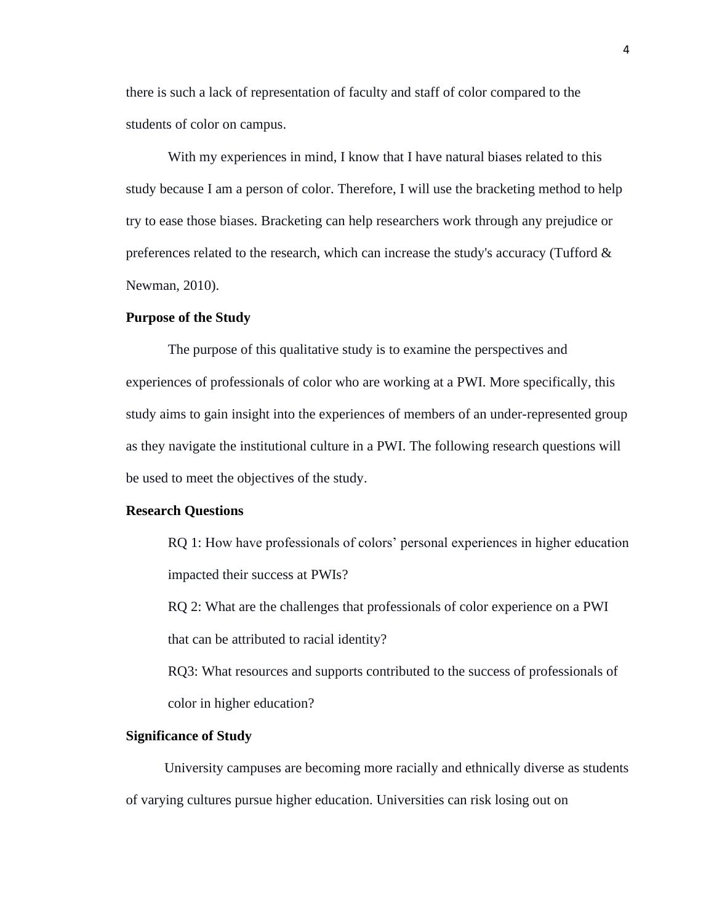there is such a lack of representation of faculty and staff of color compared to the students of color on campus.

With my experiences in mind, I know that I have natural biases related to this study because I am a person of color. Therefore, I will use the bracketing method to help try to ease those biases. Bracketing can help researchers work through any prejudice or preferences related to the research, which can increase the study's accuracy (Tufford & Newman, 2010).

### <span id="page-11-0"></span>**Purpose of the Study**

The purpose of this qualitative study is to examine the perspectives and experiences of professionals of color who are working at a PWI. More specifically, this study aims to gain insight into the experiences of members of an under-represented group as they navigate the institutional culture in a PWI. The following research questions will be used to meet the objectives of the study.

### <span id="page-11-1"></span>**Research Questions**

RQ 1: How have professionals of colors' personal experiences in higher education impacted their success at PWIs?

RQ 2: What are the challenges that professionals of color experience on a PWI that can be attributed to racial identity?

RQ3: What resources and supports contributed to the success of professionals of color in higher education?

# <span id="page-11-2"></span>**Significance of Study**

University campuses are becoming more racially and ethnically diverse as students of varying cultures pursue higher education. Universities can risk losing out on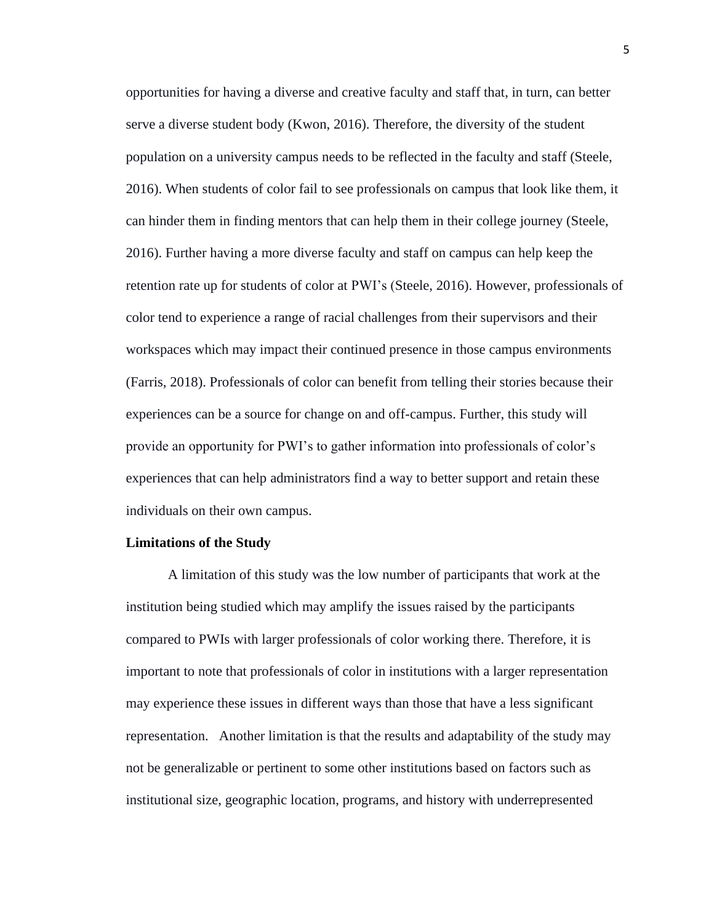opportunities for having a diverse and creative faculty and staff that, in turn, can better serve a diverse student body (Kwon, 2016). Therefore, the diversity of the student population on a university campus needs to be reflected in the faculty and staff (Steele, 2016). When students of color fail to see professionals on campus that look like them, it can hinder them in finding mentors that can help them in their college journey (Steele, 2016). Further having a more diverse faculty and staff on campus can help keep the retention rate up for students of color at PWI's (Steele, 2016). However, professionals of color tend to experience a range of racial challenges from their supervisors and their workspaces which may impact their continued presence in those campus environments (Farris, 2018). Professionals of color can benefit from telling their stories because their experiences can be a source for change on and off-campus. Further, this study will provide an opportunity for PWI's to gather information into professionals of color's experiences that can help administrators find a way to better support and retain these individuals on their own campus.

#### <span id="page-12-0"></span>**Limitations of the Study**

A limitation of this study was the low number of participants that work at the institution being studied which may amplify the issues raised by the participants compared to PWIs with larger professionals of color working there. Therefore, it is important to note that professionals of color in institutions with a larger representation may experience these issues in different ways than those that have a less significant representation. Another limitation is that the results and adaptability of the study may not be generalizable or pertinent to some other institutions based on factors such as institutional size, geographic location, programs, and history with underrepresented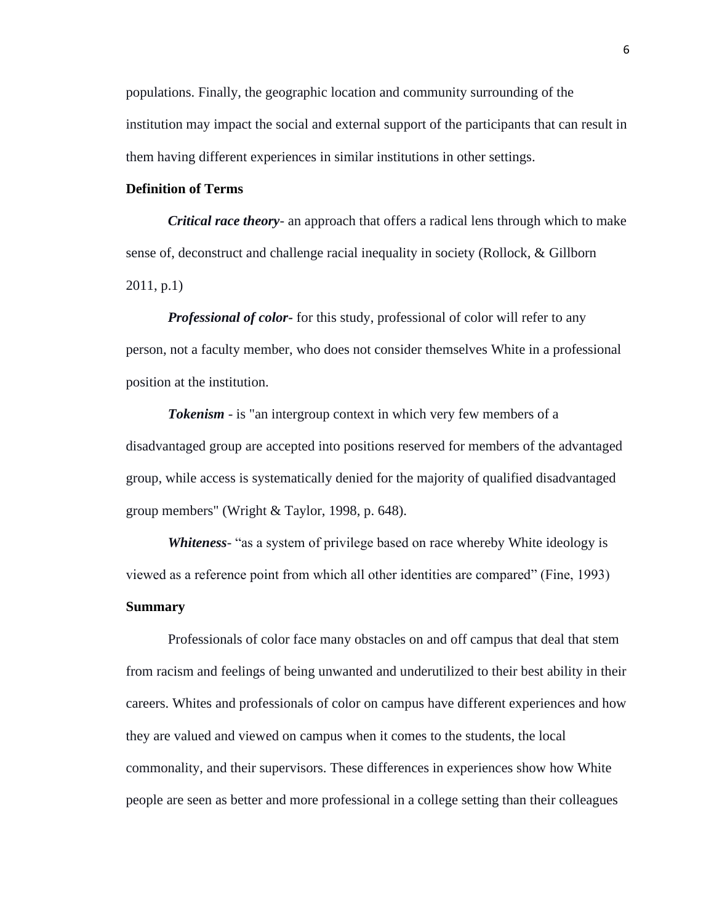populations. Finally, the geographic location and community surrounding of the institution may impact the social and external support of the participants that can result in them having different experiences in similar institutions in other settings.

# <span id="page-13-0"></span>**Definition of Terms**

*Critical race theory*- an approach that offers a radical lens through which to make sense of, deconstruct and challenge racial inequality in society (Rollock, & Gillborn 2011, p.1)

*Professional of color-* for this study, professional of color will refer to any person, not a faculty member, who does not consider themselves White in a professional position at the institution.

*Tokenism* - is "an intergroup context in which very few members of a disadvantaged group are accepted into positions reserved for members of the advantaged group, while access is systematically denied for the majority of qualified disadvantaged group members" (Wright & Taylor, 1998, p. 648).

*Whiteness*- "as a system of privilege based on race whereby White ideology is viewed as a reference point from which all other identities are compared" (Fine, 1993) **Summary**

<span id="page-13-1"></span>Professionals of color face many obstacles on and off campus that deal that stem from racism and feelings of being unwanted and underutilized to their best ability in their careers. Whites and professionals of color on campus have different experiences and how they are valued and viewed on campus when it comes to the students, the local commonality, and their supervisors. These differences in experiences show how White people are seen as better and more professional in a college setting than their colleagues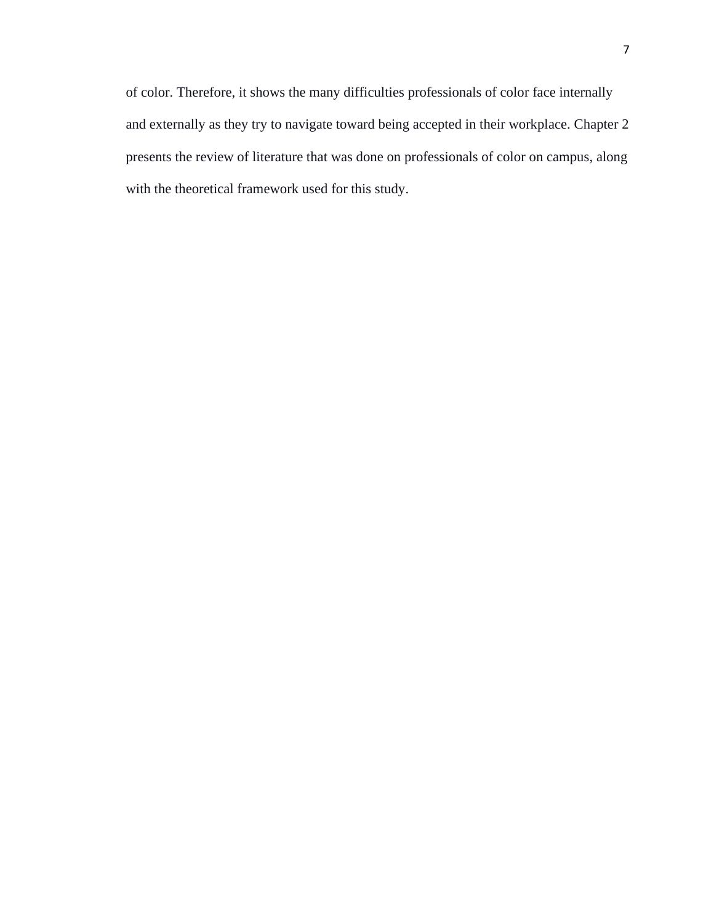of color. Therefore, it shows the many difficulties professionals of color face internally and externally as they try to navigate toward being accepted in their workplace. Chapter 2 presents the review of literature that was done on professionals of color on campus, along with the theoretical framework used for this study.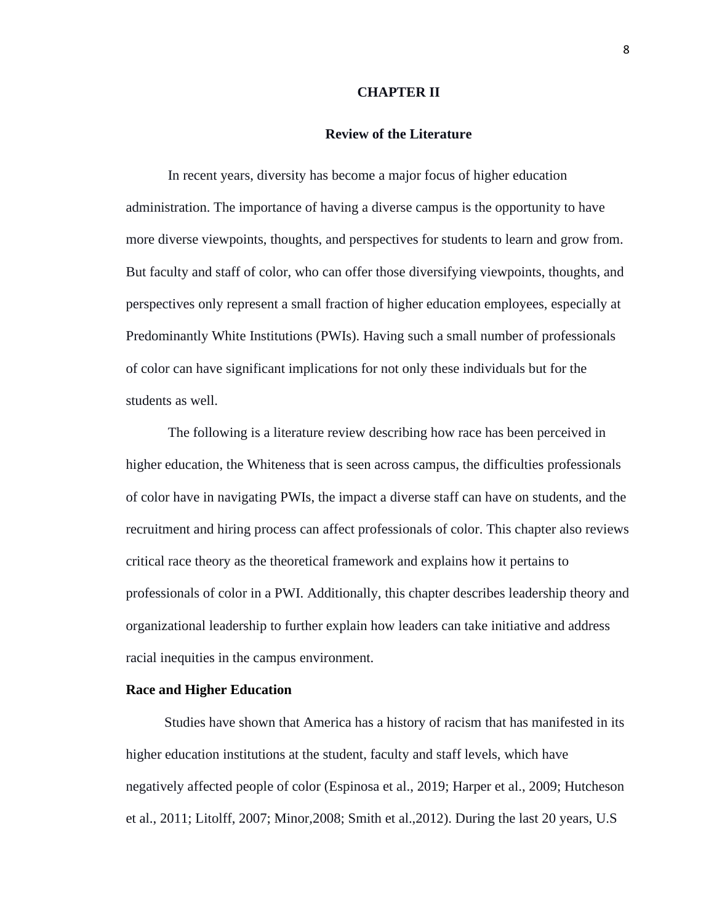### **CHAPTER II**

# **Review of the Literature**

<span id="page-15-1"></span><span id="page-15-0"></span>In recent years, diversity has become a major focus of higher education administration. The importance of having a diverse campus is the opportunity to have more diverse viewpoints, thoughts, and perspectives for students to learn and grow from. But faculty and staff of color, who can offer those diversifying viewpoints, thoughts, and perspectives only represent a small fraction of higher education employees, especially at Predominantly White Institutions (PWIs). Having such a small number of professionals of color can have significant implications for not only these individuals but for the students as well.

The following is a literature review describing how race has been perceived in higher education, the Whiteness that is seen across campus, the difficulties professionals of color have in navigating PWIs, the impact a diverse staff can have on students, and the recruitment and hiring process can affect professionals of color. This chapter also reviews critical race theory as the theoretical framework and explains how it pertains to professionals of color in a PWI. Additionally, this chapter describes leadership theory and organizational leadership to further explain how leaders can take initiative and address racial inequities in the campus environment.

# <span id="page-15-2"></span>**Race and Higher Education**

Studies have shown that America has a history of racism that has manifested in its higher education institutions at the student, faculty and staff levels, which have negatively affected people of color (Espinosa et al., 2019; Harper et al., 2009; Hutcheson et al., 2011; Litolff, 2007; Minor,2008; Smith et al.,2012). During the last 20 years, U.S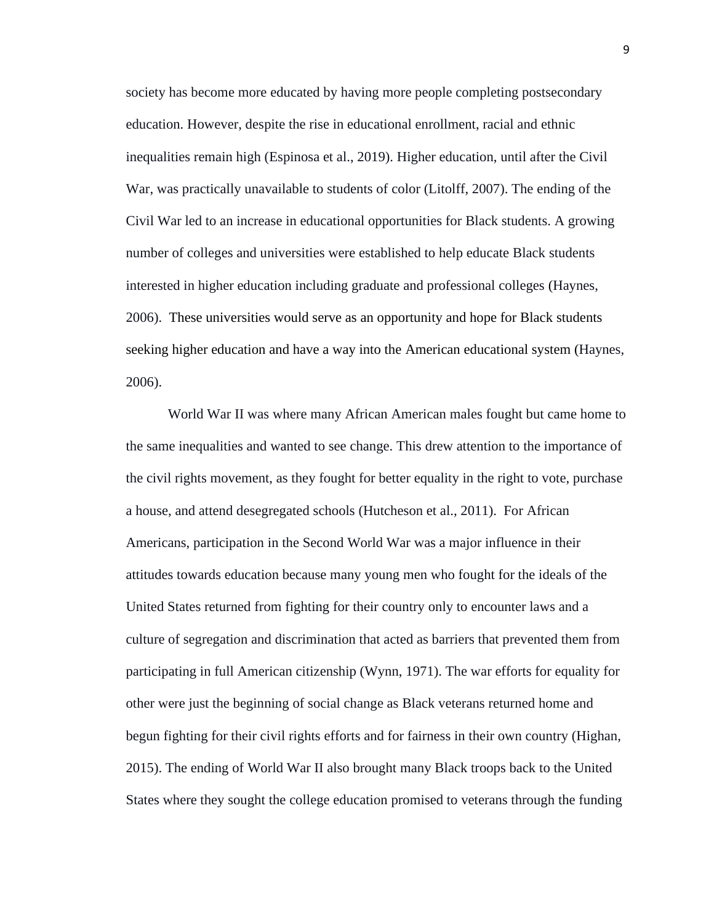society has become more educated by having more people completing postsecondary education. However, despite the rise in educational enrollment, racial and ethnic inequalities remain high (Espinosa et al., 2019). Higher education, until after the Civil War, was practically unavailable to students of color (Litolff, 2007). The ending of the Civil War led to an increase in educational opportunities for Black students. A growing number of colleges and universities were established to help educate Black students interested in higher education including graduate and professional colleges (Haynes, 2006). These universities would serve as an opportunity and hope for Black students seeking higher education and have a way into the American educational system (Haynes, 2006).

World War II was where many African American males fought but came home to the same inequalities and wanted to see change. This drew attention to the importance of the civil rights movement, as they fought for better equality in the right to vote, purchase a house, and attend desegregated schools (Hutcheson et al., 2011). For African Americans, participation in the Second World War was a major influence in their attitudes towards education because many young men who fought for the ideals of the United States returned from fighting for their country only to encounter laws and a culture of segregation and discrimination that acted as barriers that prevented them from participating in full American citizenship (Wynn, 1971). The war efforts for equality for other were just the beginning of social change as Black veterans returned home and begun fighting for their civil rights efforts and for fairness in their own country (Highan, 2015). The ending of World War II also brought many Black troops back to the United States where they sought the college education promised to veterans through the funding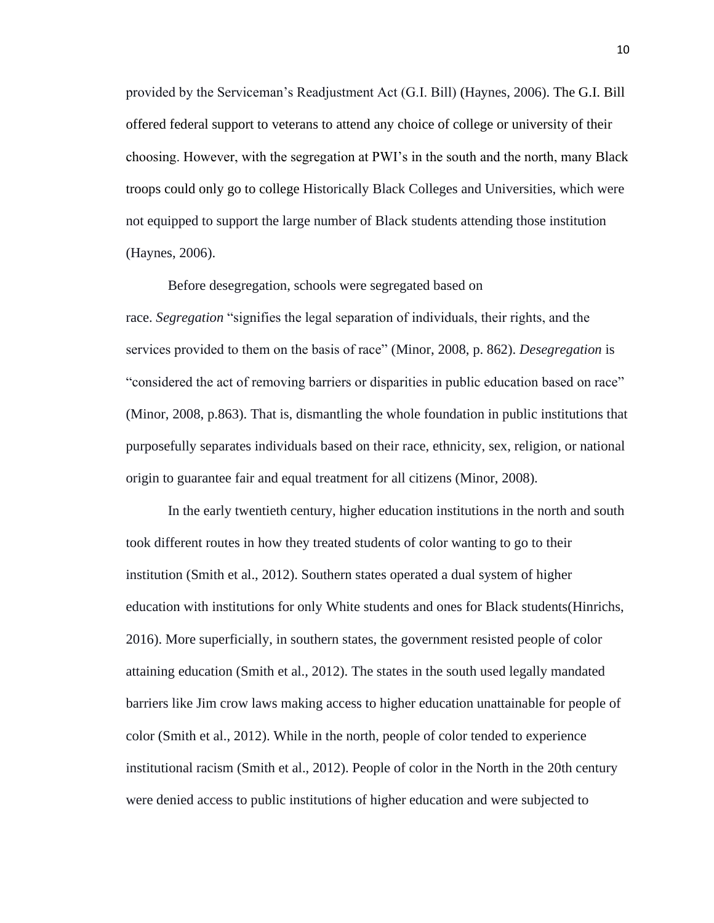provided by the Serviceman's Readjustment Act (G.I. Bill) (Haynes, 2006). The G.I. Bill offered federal support to veterans to attend any choice of college or university of their choosing. However, with the segregation at PWI's in the south and the north, many Black troops could only go to college Historically Black Colleges and Universities, which were not equipped to support the large number of Black students attending those institution (Haynes, 2006).

Before desegregation, schools were segregated based on race. *Segregation* "signifies the legal separation of individuals, their rights, and the services provided to them on the basis of race" (Minor, 2008, p. 862). *Desegregation* is "considered the act of removing barriers or disparities in public education based on race" (Minor, 2008, p.863). That is, dismantling the whole foundation in public institutions that purposefully separates individuals based on their race, ethnicity, sex, religion, or national origin to guarantee fair and equal treatment for all citizens (Minor, 2008).

In the early twentieth century, higher education institutions in the north and south took different routes in how they treated students of color wanting to go to their institution (Smith et al., 2012). Southern states operated a dual system of higher education with institutions for only White students and ones for Black students(Hinrichs, 2016). More superficially, in southern states, the government resisted people of color attaining education (Smith et al., 2012). The states in the south used legally mandated barriers like Jim crow laws making access to higher education unattainable for people of color (Smith et al., 2012). While in the north, people of color tended to experience institutional racism (Smith et al., 2012). People of color in the North in the 20th century were denied access to public institutions of higher education and were subjected to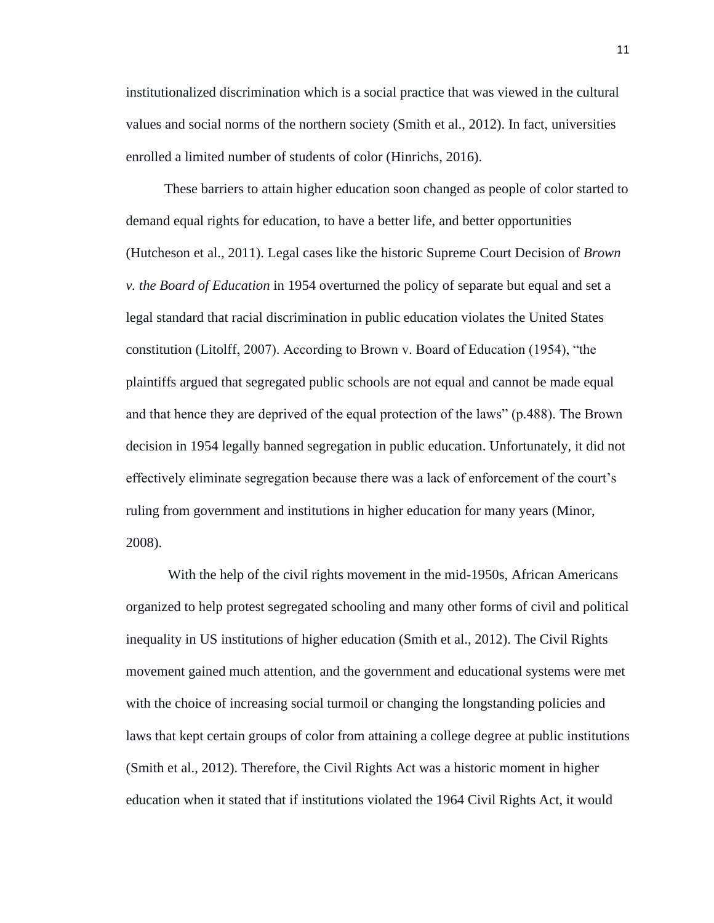institutionalized discrimination which is a social practice that was viewed in the cultural values and social norms of the northern society (Smith et al., 2012). In fact, universities enrolled a limited number of students of color (Hinrichs, 2016).

These barriers to attain higher education soon changed as people of color started to demand equal rights for education, to have a better life, and better opportunities (Hutcheson et al., 2011). Legal cases like the historic Supreme Court Decision of *Brown v. the Board of Education* in 1954 overturned the policy of separate but equal and set a legal standard that racial discrimination in public education violates the United States constitution (Litolff, 2007). According to Brown v. Board of Education (1954), "the plaintiffs argued that segregated public schools are not equal and cannot be made equal and that hence they are deprived of the equal protection of the laws" (p.488). The Brown decision in 1954 legally banned segregation in public education. Unfortunately, it did not effectively eliminate segregation because there was a lack of enforcement of the court's ruling from government and institutions in higher education for many years (Minor, 2008).

With the help of the civil rights movement in the mid-1950s, African Americans organized to help protest segregated schooling and many other forms of civil and political inequality in US institutions of higher education (Smith et al., 2012). The Civil Rights movement gained much attention, and the government and educational systems were met with the choice of increasing social turmoil or changing the longstanding policies and laws that kept certain groups of color from attaining a college degree at public institutions (Smith et al., 2012). Therefore, the Civil Rights Act was a historic moment in higher education when it stated that if institutions violated the 1964 Civil Rights Act, it would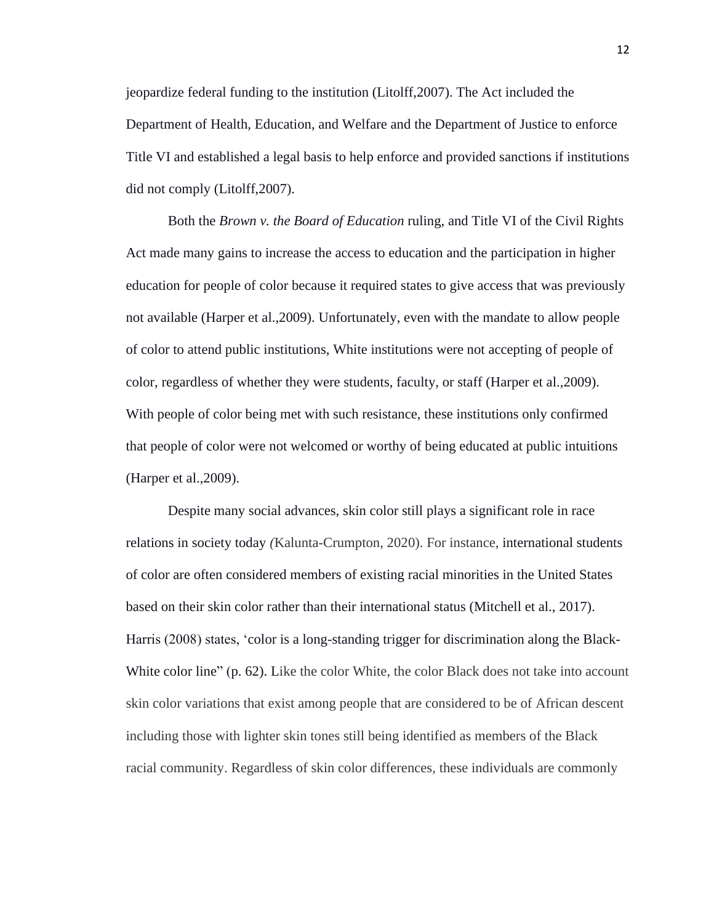jeopardize federal funding to the institution (Litolff,2007). The Act included the Department of Health, Education, and Welfare and the Department of Justice to enforce Title VI and established a legal basis to help enforce and provided sanctions if institutions did not comply (Litolff,2007).

Both the *Brown v. the Board of Education* ruling, and Title VI of the Civil Rights Act made many gains to increase the access to education and the participation in higher education for people of color because it required states to give access that was previously not available (Harper et al.,2009). Unfortunately, even with the mandate to allow people of color to attend public institutions, White institutions were not accepting of people of color, regardless of whether they were students, faculty, or staff (Harper et al.,2009). With people of color being met with such resistance, these institutions only confirmed that people of color were not welcomed or worthy of being educated at public intuitions (Harper et al.,2009).

Despite many social advances, skin color still plays a significant role in race relations in society today *(*Kalunta-Crumpton, 2020). For instance, international students of color are often considered members of existing racial minorities in the United States based on their skin color rather than their international status (Mitchell et al., 2017). Harris (2008) states, 'color is a long-standing trigger for discrimination along the Black-White color line" (p. 62). Like the color White, the color Black does not take into account skin color variations that exist among people that are considered to be of African descent including those with lighter skin tones still being identified as members of the Black racial community. Regardless of skin color differences, these individuals are commonly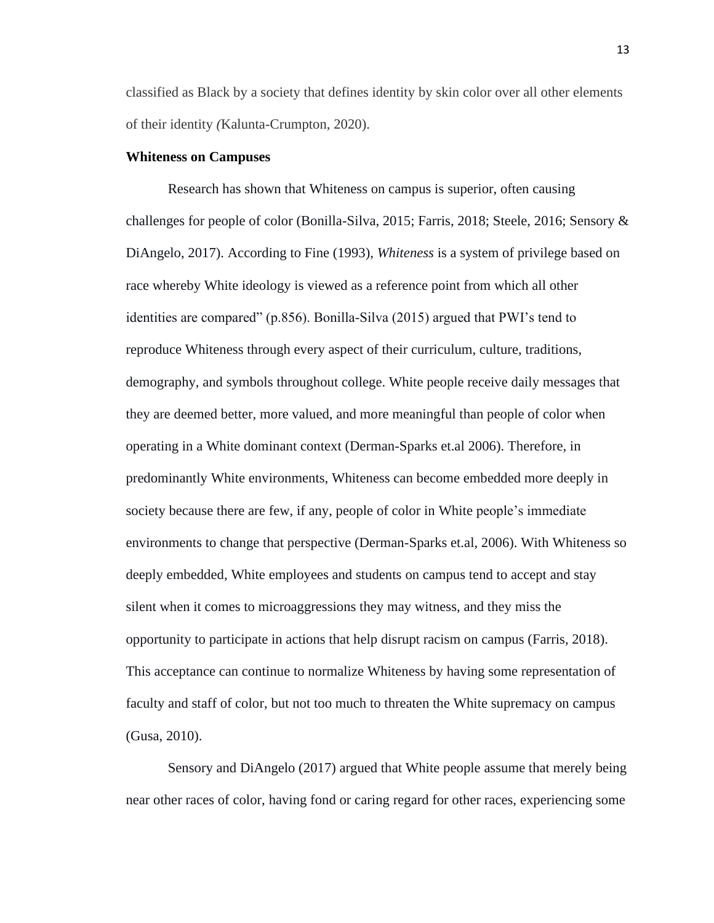classified as Black by a society that defines identity by skin color over all other elements of their identity *(*Kalunta-Crumpton, 2020).

#### <span id="page-20-0"></span>**Whiteness on Campuses**

Research has shown that Whiteness on campus is superior, often causing challenges for people of color (Bonilla-Silva, 2015; Farris, 2018; Steele, 2016; Sensory & DiAngelo, 2017). According to Fine (1993), *Whiteness* is a system of privilege based on race whereby White ideology is viewed as a reference point from which all other identities are compared" (p.856). Bonilla-Silva (2015) argued that PWI's tend to reproduce Whiteness through every aspect of their curriculum, culture, traditions, demography, and symbols throughout college. White people receive daily messages that they are deemed better, more valued, and more meaningful than people of color when operating in a White dominant context (Derman-Sparks et.al 2006). Therefore, in predominantly White environments, Whiteness can become embedded more deeply in society because there are few, if any, people of color in White people's immediate environments to change that perspective (Derman-Sparks et.al, 2006). With Whiteness so deeply embedded, White employees and students on campus tend to accept and stay silent when it comes to microaggressions they may witness, and they miss the opportunity to participate in actions that help disrupt racism on campus (Farris, 2018). This acceptance can continue to normalize Whiteness by having some representation of faculty and staff of color, but not too much to threaten the White supremacy on campus (Gusa, 2010).

Sensory and DiAngelo (2017) argued that White people assume that merely being near other races of color, having fond or caring regard for other races, experiencing some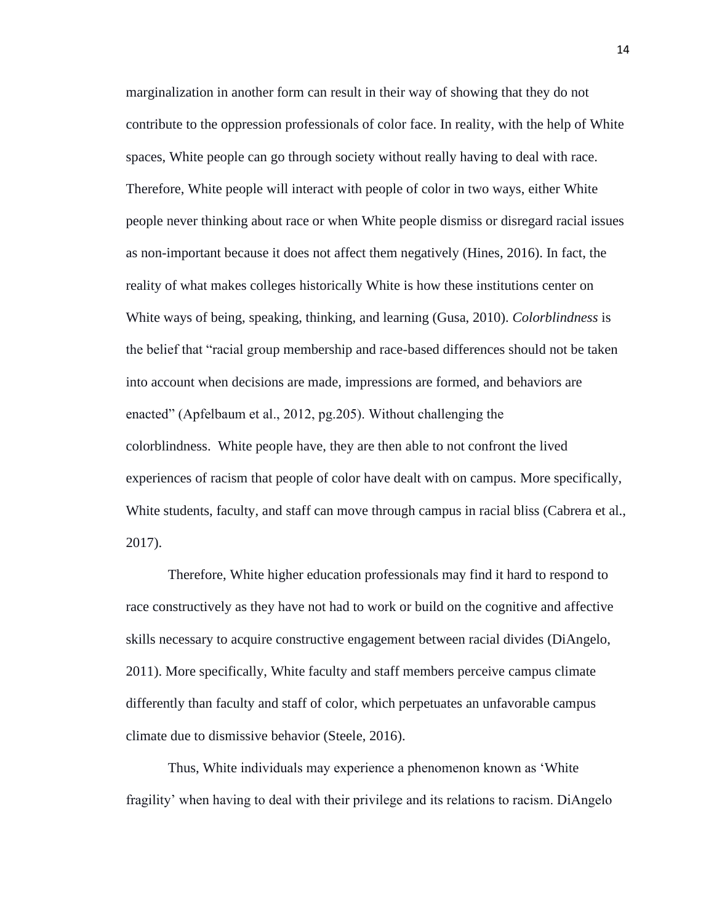marginalization in another form can result in their way of showing that they do not contribute to the oppression professionals of color face. In reality, with the help of White spaces, White people can go through society without really having to deal with race. Therefore, White people will interact with people of color in two ways, either White people never thinking about race or when White people dismiss or disregard racial issues as non-important because it does not affect them negatively (Hines, 2016). In fact, the reality of what makes colleges historically White is how these institutions center on White ways of being, speaking, thinking, and learning (Gusa, 2010). *Colorblindness* is the belief that "racial group membership and race-based differences should not be taken into account when decisions are made, impressions are formed, and behaviors are enacted" (Apfelbaum et al., 2012, pg.205). Without challenging the colorblindness. White people have, they are then able to not confront the lived experiences of racism that people of color have dealt with on campus. More specifically, White students, faculty, and staff can move through campus in racial bliss (Cabrera et al., 2017).

Therefore, White higher education professionals may find it hard to respond to race constructively as they have not had to work or build on the cognitive and affective skills necessary to acquire constructive engagement between racial divides (DiAngelo, 2011). More specifically, White faculty and staff members perceive campus climate differently than faculty and staff of color, which perpetuates an unfavorable campus climate due to dismissive behavior (Steele, 2016).

Thus, White individuals may experience a phenomenon known as 'White fragility' when having to deal with their privilege and its relations to racism. DiAngelo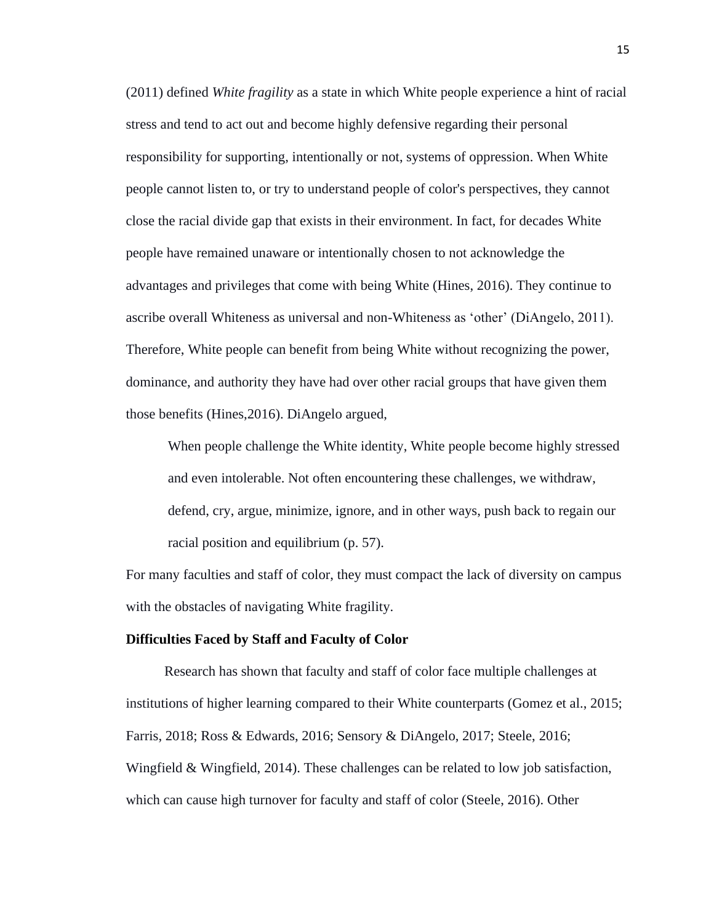(2011) defined *White fragility* as a state in which White people experience a hint of racial stress and tend to act out and become highly defensive regarding their personal responsibility for supporting, intentionally or not, systems of oppression. When White people cannot listen to, or try to understand people of color's perspectives, they cannot close the racial divide gap that exists in their environment. In fact, for decades White people have remained unaware or intentionally chosen to not acknowledge the advantages and privileges that come with being White (Hines, 2016). They continue to ascribe overall Whiteness as universal and non-Whiteness as 'other' (DiAngelo, 2011). Therefore, White people can benefit from being White without recognizing the power, dominance, and authority they have had over other racial groups that have given them those benefits (Hines,2016). DiAngelo argued,

When people challenge the White identity, White people become highly stressed and even intolerable. Not often encountering these challenges, we withdraw, defend, cry, argue, minimize, ignore, and in other ways, push back to regain our racial position and equilibrium (p. 57).

For many faculties and staff of color, they must compact the lack of diversity on campus with the obstacles of navigating White fragility.

### <span id="page-22-0"></span>**Difficulties Faced by Staff and Faculty of Color**

Research has shown that faculty and staff of color face multiple challenges at institutions of higher learning compared to their White counterparts (Gomez et al., 2015; Farris, 2018; Ross & Edwards, 2016; Sensory & DiAngelo, 2017; Steele, 2016; Wingfield & Wingfield, 2014). These challenges can be related to low job satisfaction, which can cause high turnover for faculty and staff of color (Steele, 2016). Other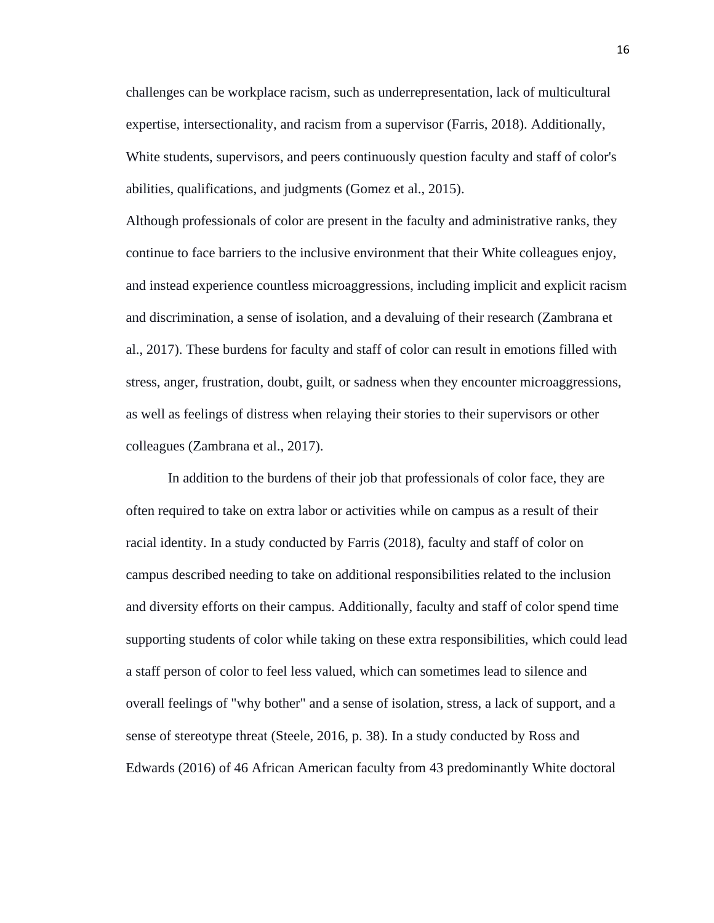challenges can be workplace racism, such as underrepresentation, lack of multicultural expertise, intersectionality, and racism from a supervisor (Farris, 2018). Additionally, White students, supervisors, and peers continuously question faculty and staff of color's abilities, qualifications, and judgments (Gomez et al., 2015).

Although professionals of color are present in the faculty and administrative ranks, they continue to face barriers to the inclusive environment that their White colleagues enjoy, and instead experience countless microaggressions, including implicit and explicit racism and discrimination, a sense of isolation, and a devaluing of their research (Zambrana et al., 2017). These burdens for faculty and staff of color can result in emotions filled with stress, anger, frustration, doubt, guilt, or sadness when they encounter microaggressions, as well as feelings of distress when relaying their stories to their supervisors or other colleagues (Zambrana et al., 2017).

In addition to the burdens of their job that professionals of color face, they are often required to take on extra labor or activities while on campus as a result of their racial identity. In a study conducted by Farris (2018), faculty and staff of color on campus described needing to take on additional responsibilities related to the inclusion and diversity efforts on their campus. Additionally, faculty and staff of color spend time supporting students of color while taking on these extra responsibilities, which could lead a staff person of color to feel less valued, which can sometimes lead to silence and overall feelings of "why bother" and a sense of isolation, stress, a lack of support, and a sense of stereotype threat (Steele, 2016, p. 38). In a study conducted by Ross and Edwards (2016) of 46 African American faculty from 43 predominantly White doctoral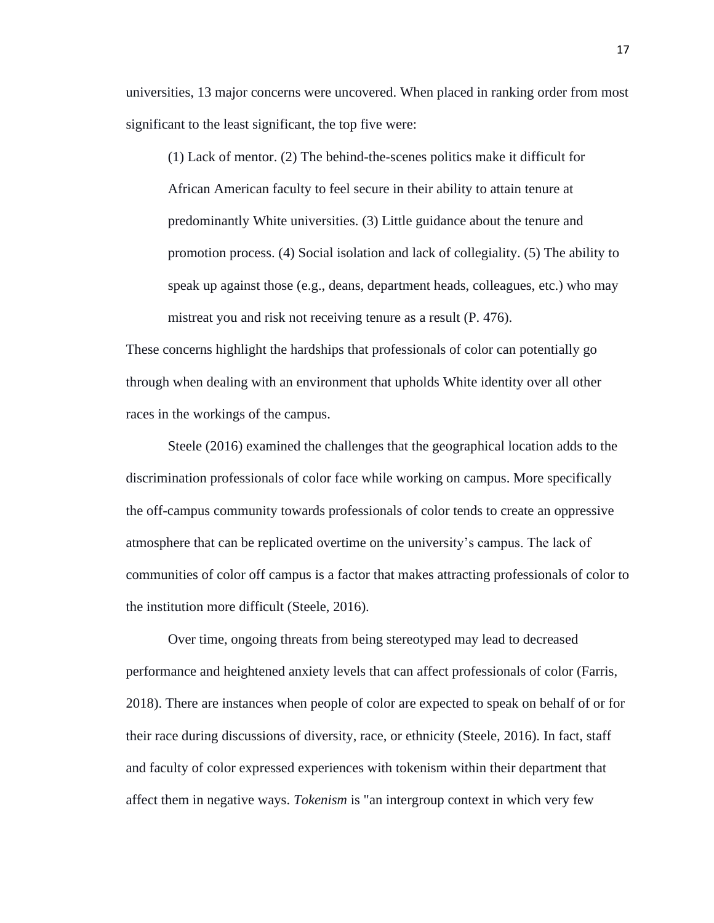universities, 13 major concerns were uncovered. When placed in ranking order from most significant to the least significant, the top five were:

(1) Lack of mentor. (2) The behind-the-scenes politics make it difficult for African American faculty to feel secure in their ability to attain tenure at predominantly White universities. (3) Little guidance about the tenure and promotion process. (4) Social isolation and lack of collegiality. (5) The ability to speak up against those (e.g., deans, department heads, colleagues, etc.) who may mistreat you and risk not receiving tenure as a result (P. 476).

These concerns highlight the hardships that professionals of color can potentially go through when dealing with an environment that upholds White identity over all other races in the workings of the campus.

Steele (2016) examined the challenges that the geographical location adds to the discrimination professionals of color face while working on campus. More specifically the off-campus community towards professionals of color tends to create an oppressive atmosphere that can be replicated overtime on the university's campus. The lack of communities of color off campus is a factor that makes attracting professionals of color to the institution more difficult (Steele, 2016).

Over time, ongoing threats from being stereotyped may lead to decreased performance and heightened anxiety levels that can affect professionals of color (Farris, 2018). There are instances when people of color are expected to speak on behalf of or for their race during discussions of diversity, race, or ethnicity (Steele, 2016). In fact, staff and faculty of color expressed experiences with tokenism within their department that affect them in negative ways. *Tokenism* is "an intergroup context in which very few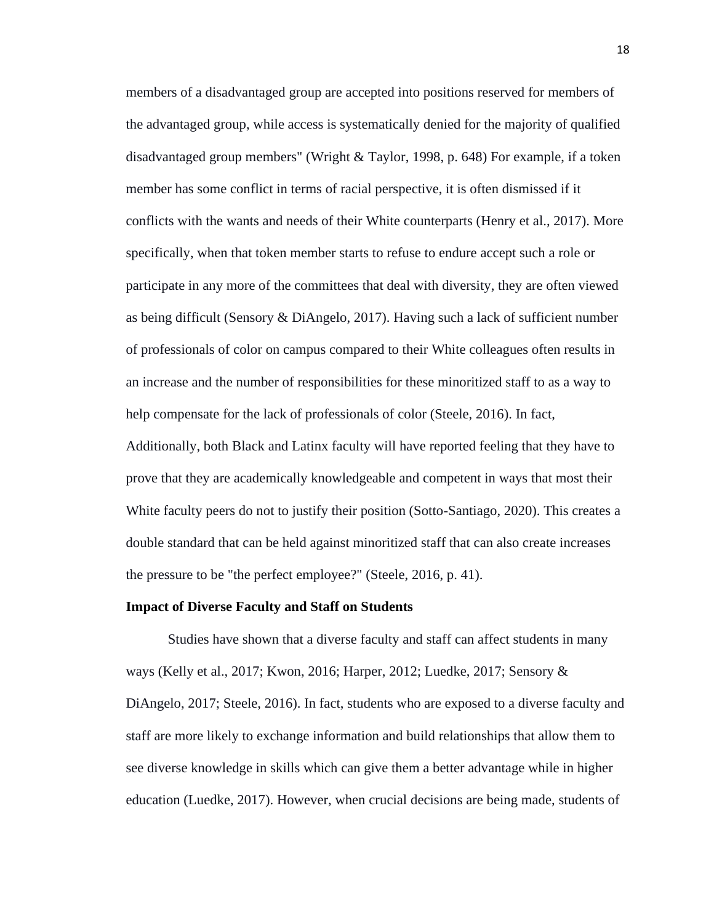members of a disadvantaged group are accepted into positions reserved for members of the advantaged group, while access is systematically denied for the majority of qualified disadvantaged group members" (Wright & Taylor, 1998, p. 648) For example, if a token member has some conflict in terms of racial perspective, it is often dismissed if it conflicts with the wants and needs of their White counterparts (Henry et al., 2017). More specifically, when that token member starts to refuse to endure accept such a role or participate in any more of the committees that deal with diversity, they are often viewed as being difficult (Sensory & DiAngelo, 2017). Having such a lack of sufficient number of professionals of color on campus compared to their White colleagues often results in an increase and the number of responsibilities for these minoritized staff to as a way to help compensate for the lack of professionals of color (Steele, 2016). In fact, Additionally, both Black and Latinx faculty will have reported feeling that they have to

prove that they are academically knowledgeable and competent in ways that most their White faculty peers do not to justify their position (Sotto-Santiago, 2020). This creates a double standard that can be held against minoritized staff that can also create increases the pressure to be "the perfect employee?" (Steele, 2016, p. 41).

#### <span id="page-25-0"></span>**Impact of Diverse Faculty and Staff on Students**

Studies have shown that a diverse faculty and staff can affect students in many ways (Kelly et al., 2017; Kwon, 2016; Harper, 2012; Luedke, 2017; Sensory & DiAngelo, 2017; Steele, 2016). In fact, students who are exposed to a diverse faculty and staff are more likely to exchange information and build relationships that allow them to see diverse knowledge in skills which can give them a better advantage while in higher education (Luedke, 2017). However, when crucial decisions are being made, students of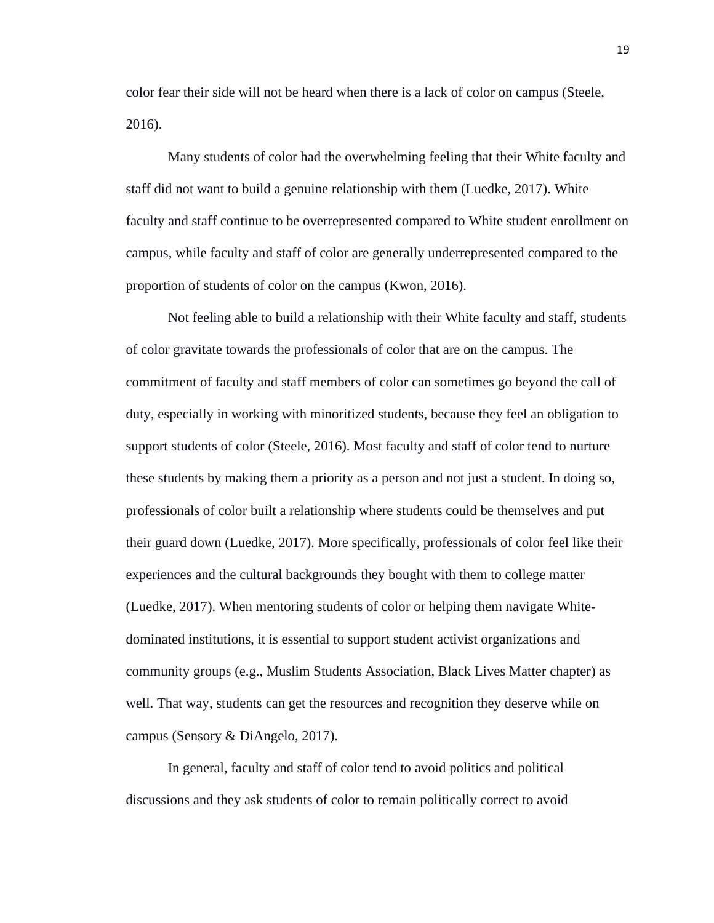color fear their side will not be heard when there is a lack of color on campus (Steele, 2016).

Many students of color had the overwhelming feeling that their White faculty and staff did not want to build a genuine relationship with them (Luedke, 2017). White faculty and staff continue to be overrepresented compared to White student enrollment on campus, while faculty and staff of color are generally underrepresented compared to the proportion of students of color on the campus (Kwon, 2016).

Not feeling able to build a relationship with their White faculty and staff, students of color gravitate towards the professionals of color that are on the campus. The commitment of faculty and staff members of color can sometimes go beyond the call of duty, especially in working with minoritized students, because they feel an obligation to support students of color (Steele, 2016). Most faculty and staff of color tend to nurture these students by making them a priority as a person and not just a student. In doing so, professionals of color built a relationship where students could be themselves and put their guard down (Luedke, 2017). More specifically, professionals of color feel like their experiences and the cultural backgrounds they bought with them to college matter (Luedke, 2017). When mentoring students of color or helping them navigate Whitedominated institutions, it is essential to support student activist organizations and community groups (e.g., Muslim Students Association, Black Lives Matter chapter) as well. That way, students can get the resources and recognition they deserve while on campus (Sensory & DiAngelo, 2017).

In general, faculty and staff of color tend to avoid politics and political discussions and they ask students of color to remain politically correct to avoid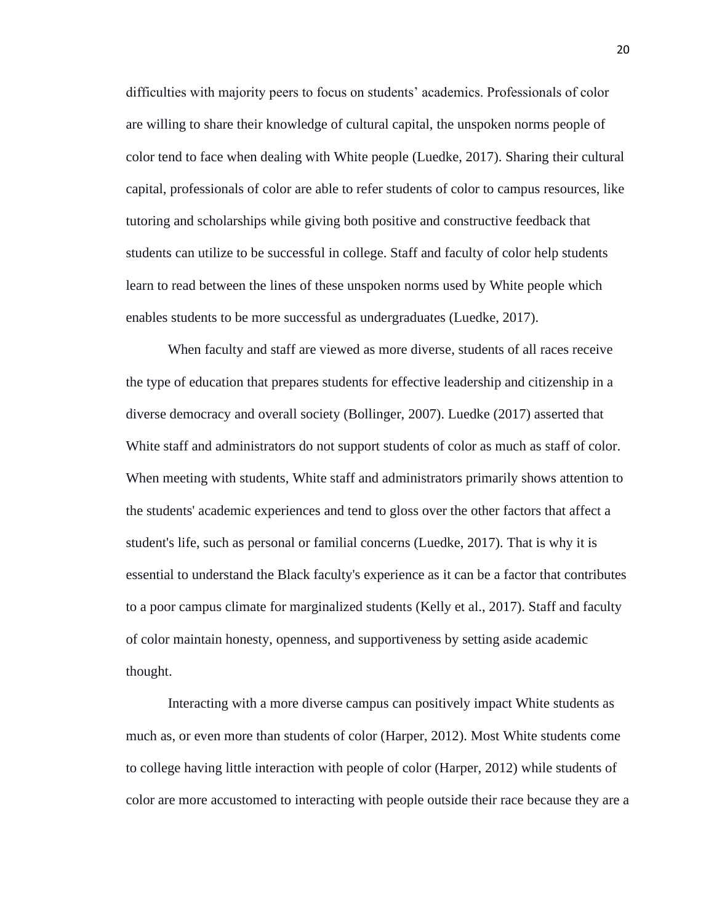difficulties with majority peers to focus on students' academics. Professionals of color are willing to share their knowledge of cultural capital, the unspoken norms people of color tend to face when dealing with White people (Luedke, 2017). Sharing their cultural capital, professionals of color are able to refer students of color to campus resources, like tutoring and scholarships while giving both positive and constructive feedback that students can utilize to be successful in college. Staff and faculty of color help students learn to read between the lines of these unspoken norms used by White people which enables students to be more successful as undergraduates (Luedke, 2017).

When faculty and staff are viewed as more diverse, students of all races receive the type of education that prepares students for effective leadership and citizenship in a diverse democracy and overall society (Bollinger, 2007). Luedke (2017) asserted that White staff and administrators do not support students of color as much as staff of color. When meeting with students, White staff and administrators primarily shows attention to the students' academic experiences and tend to gloss over the other factors that affect a student's life, such as personal or familial concerns (Luedke, 2017). That is why it is essential to understand the Black faculty's experience as it can be a factor that contributes to a poor campus climate for marginalized students (Kelly et al., 2017). Staff and faculty of color maintain honesty, openness, and supportiveness by setting aside academic thought.

Interacting with a more diverse campus can positively impact White students as much as, or even more than students of color (Harper, 2012). Most White students come to college having little interaction with people of color (Harper, 2012) while students of color are more accustomed to interacting with people outside their race because they are a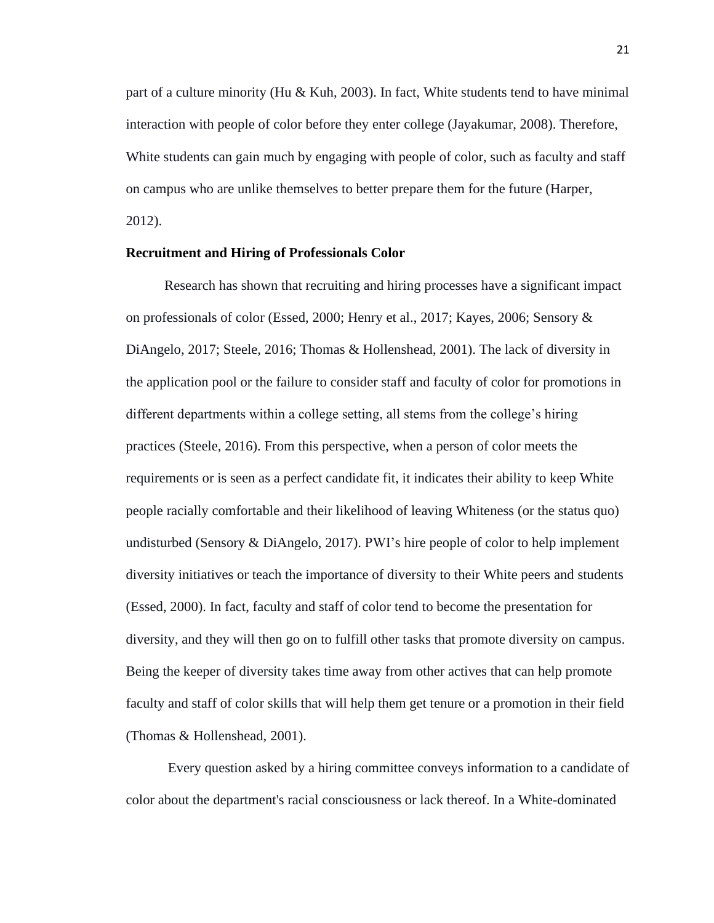part of a culture minority (Hu & Kuh, 2003). In fact, White students tend to have minimal interaction with people of color before they enter college (Jayakumar, 2008). Therefore, White students can gain much by engaging with people of color, such as faculty and staff on campus who are unlike themselves to better prepare them for the future (Harper, 2012).

# <span id="page-28-0"></span>**Recruitment and Hiring of Professionals Color**

Research has shown that recruiting and hiring processes have a significant impact on professionals of color (Essed, 2000; Henry et al., 2017; Kayes, 2006; Sensory & DiAngelo, 2017; Steele, 2016; Thomas & Hollenshead, 2001). The lack of diversity in the application pool or the failure to consider staff and faculty of color for promotions in different departments within a college setting, all stems from the college's hiring practices (Steele, 2016). From this perspective, when a person of color meets the requirements or is seen as a perfect candidate fit, it indicates their ability to keep White people racially comfortable and their likelihood of leaving Whiteness (or the status quo) undisturbed (Sensory & DiAngelo, 2017). PWI's hire people of color to help implement diversity initiatives or teach the importance of diversity to their White peers and students (Essed, 2000). In fact, faculty and staff of color tend to become the presentation for diversity, and they will then go on to fulfill other tasks that promote diversity on campus. Being the keeper of diversity takes time away from other actives that can help promote faculty and staff of color skills that will help them get tenure or a promotion in their field (Thomas & Hollenshead, 2001).

Every question asked by a hiring committee conveys information to a candidate of color about the department's racial consciousness or lack thereof. In a White-dominated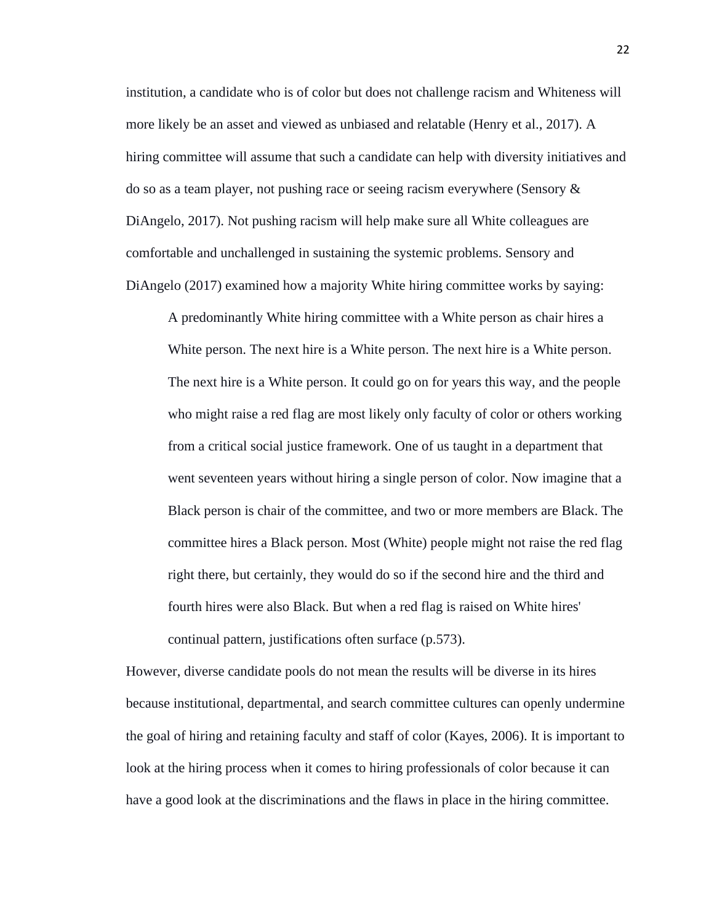institution, a candidate who is of color but does not challenge racism and Whiteness will more likely be an asset and viewed as unbiased and relatable (Henry et al., 2017). A hiring committee will assume that such a candidate can help with diversity initiatives and do so as a team player, not pushing race or seeing racism everywhere (Sensory & DiAngelo, 2017). Not pushing racism will help make sure all White colleagues are comfortable and unchallenged in sustaining the systemic problems. Sensory and DiAngelo (2017) examined how a majority White hiring committee works by saying:

A predominantly White hiring committee with a White person as chair hires a White person. The next hire is a White person. The next hire is a White person. The next hire is a White person. It could go on for years this way, and the people who might raise a red flag are most likely only faculty of color or others working from a critical social justice framework. One of us taught in a department that went seventeen years without hiring a single person of color. Now imagine that a Black person is chair of the committee, and two or more members are Black. The committee hires a Black person. Most (White) people might not raise the red flag right there, but certainly, they would do so if the second hire and the third and fourth hires were also Black. But when a red flag is raised on White hires' continual pattern, justifications often surface (p.573).

However, diverse candidate pools do not mean the results will be diverse in its hires because institutional, departmental, and search committee cultures can openly undermine the goal of hiring and retaining faculty and staff of color (Kayes, 2006). It is important to look at the hiring process when it comes to hiring professionals of color because it can have a good look at the discriminations and the flaws in place in the hiring committee.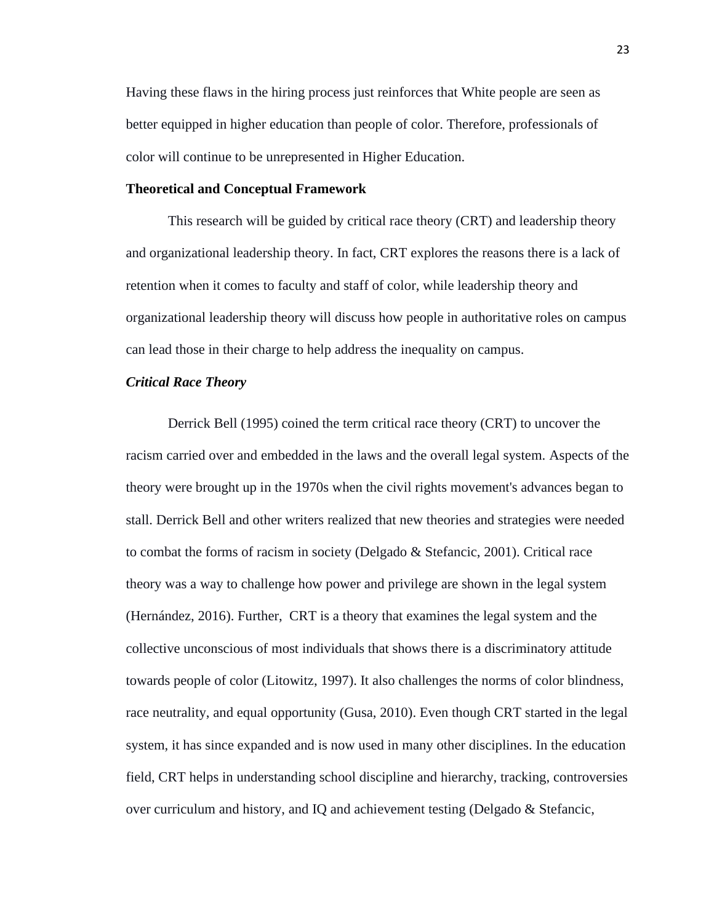Having these flaws in the hiring process just reinforces that White people are seen as better equipped in higher education than people of color. Therefore, professionals of color will continue to be unrepresented in Higher Education.

# <span id="page-30-0"></span>**Theoretical and Conceptual Framework**

This research will be guided by critical race theory (CRT) and leadership theory and organizational leadership theory. In fact, CRT explores the reasons there is a lack of retention when it comes to faculty and staff of color, while leadership theory and organizational leadership theory will discuss how people in authoritative roles on campus can lead those in their charge to help address the inequality on campus.

# <span id="page-30-1"></span>*Critical Race Theory*

Derrick Bell (1995) coined the term critical race theory (CRT) to uncover the racism carried over and embedded in the laws and the overall legal system. Aspects of the theory were brought up in the 1970s when the civil rights movement's advances began to stall. Derrick Bell and other writers realized that new theories and strategies were needed to combat the forms of racism in society (Delgado & Stefancic, 2001). Critical race theory was a way to challenge how power and privilege are shown in the legal system (Hernández, 2016). Further, CRT is a theory that examines the legal system and the collective unconscious of most individuals that shows there is a discriminatory attitude towards people of color (Litowitz, 1997). It also challenges the norms of color blindness, race neutrality, and equal opportunity (Gusa, 2010). Even though CRT started in the legal system, it has since expanded and is now used in many other disciplines. In the education field, CRT helps in understanding school discipline and hierarchy, tracking, controversies over curriculum and history, and IQ and achievement testing (Delgado & Stefancic,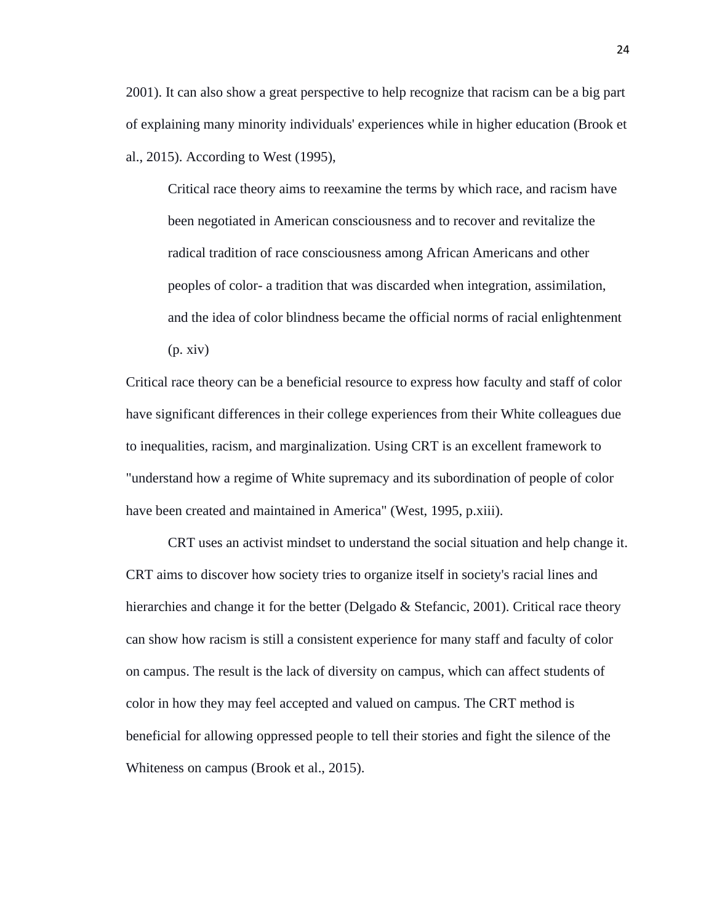2001). It can also show a great perspective to help recognize that racism can be a big part of explaining many minority individuals' experiences while in higher education (Brook et al., 2015). According to West (1995),

Critical race theory aims to reexamine the terms by which race, and racism have been negotiated in American consciousness and to recover and revitalize the radical tradition of race consciousness among African Americans and other peoples of color- a tradition that was discarded when integration, assimilation, and the idea of color blindness became the official norms of racial enlightenment  $(p. xiv)$ 

Critical race theory can be a beneficial resource to express how faculty and staff of color have significant differences in their college experiences from their White colleagues due to inequalities, racism, and marginalization. Using CRT is an excellent framework to "understand how a regime of White supremacy and its subordination of people of color have been created and maintained in America" (West, 1995, p.xiii).

CRT uses an activist mindset to understand the social situation and help change it. CRT aims to discover how society tries to organize itself in society's racial lines and hierarchies and change it for the better (Delgado & Stefancic, 2001). Critical race theory can show how racism is still a consistent experience for many staff and faculty of color on campus. The result is the lack of diversity on campus, which can affect students of color in how they may feel accepted and valued on campus. The CRT method is beneficial for allowing oppressed people to tell their stories and fight the silence of the Whiteness on campus (Brook et al., 2015).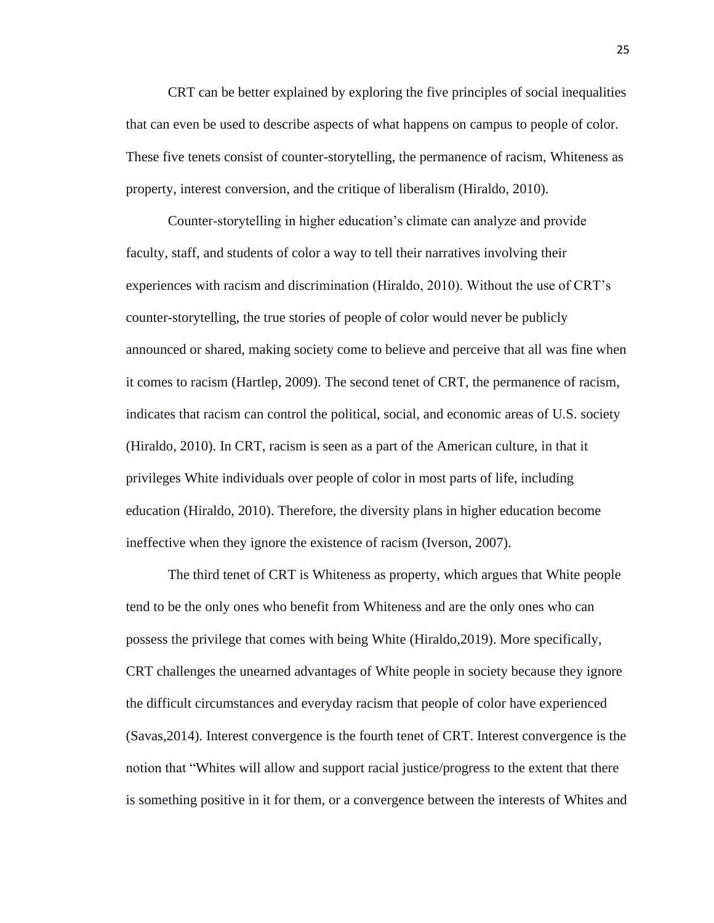CRT can be better explained by exploring the five principles of social inequalities that can even be used to describe aspects of what happens on campus to people of color. These five tenets consist of counter-storytelling, the permanence of racism, Whiteness as property, interest conversion, and the critique of liberalism (Hiraldo, 2010).

Counter-storytelling in higher education's climate can analyze and provide faculty, staff, and students of color a way to tell their narratives involving their experiences with racism and discrimination (Hiraldo, 2010). Without the use of CRT's counter-storytelling, the true stories of people of color would never be publicly announced or shared, making society come to believe and perceive that all was fine when it comes to racism (Hartlep, 2009). The second tenet of CRT, the permanence of racism, indicates that racism can control the political, social, and economic areas of U.S. society (Hiraldo, 2010). In CRT, racism is seen as a part of the American culture, in that it privileges White individuals over people of color in most parts of life, including education (Hiraldo, 2010). Therefore, the diversity plans in higher education become ineffective when they ignore the existence of racism (Iverson, 2007).

The third tenet of CRT is Whiteness as property, which argues that White people tend to be the only ones who benefit from Whiteness and are the only ones who can possess the privilege that comes with being White (Hiraldo,2019). More specifically, CRT challenges the unearned advantages of White people in society because they ignore the difficult circumstances and everyday racism that people of color have experienced (Savas,2014). Interest convergence is the fourth tenet of CRT. Interest convergence is the notion that "Whites will allow and support racial justice/progress to the extent that there is something positive in it for them, or a convergence between the interests of Whites and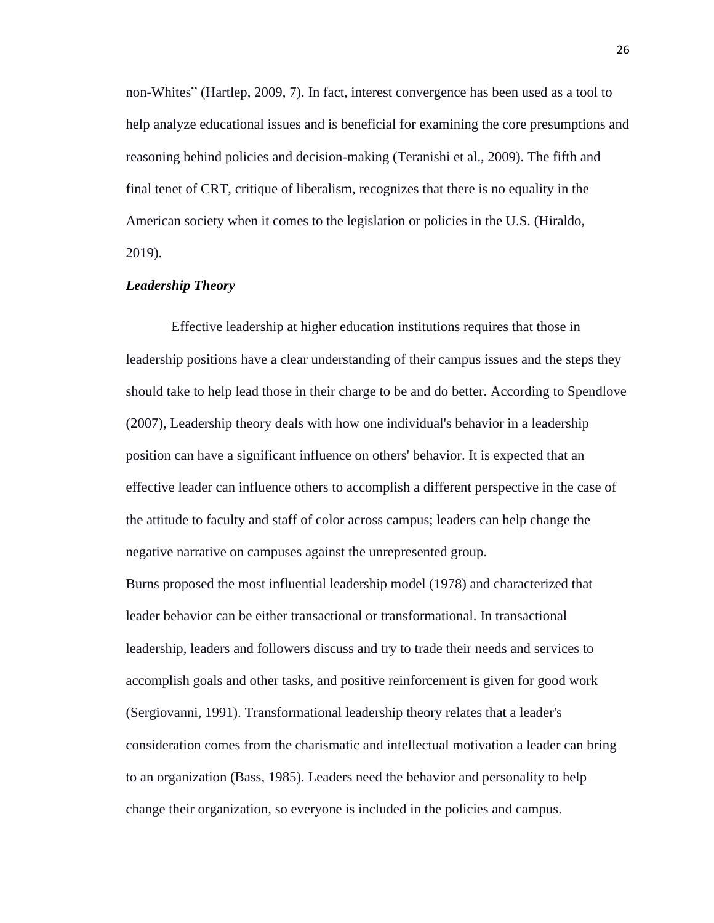non-Whites" (Hartlep, 2009, 7). In fact, interest convergence has been used as a tool to help analyze educational issues and is beneficial for examining the core presumptions and reasoning behind policies and decision-making (Teranishi et al., 2009). The fifth and final tenet of CRT, critique of liberalism, recognizes that there is no equality in the American society when it comes to the legislation or policies in the U.S. (Hiraldo, 2019).

# <span id="page-33-0"></span>*Leadership Theory*

Effective leadership at higher education institutions requires that those in leadership positions have a clear understanding of their campus issues and the steps they should take to help lead those in their charge to be and do better. According to Spendlove (2007), Leadership theory deals with how one individual's behavior in a leadership position can have a significant influence on others' behavior. It is expected that an effective leader can influence others to accomplish a different perspective in the case of the attitude to faculty and staff of color across campus; leaders can help change the negative narrative on campuses against the unrepresented group.

Burns proposed the most influential leadership model (1978) and characterized that leader behavior can be either transactional or transformational. In transactional leadership, leaders and followers discuss and try to trade their needs and services to accomplish goals and other tasks, and positive reinforcement is given for good work (Sergiovanni, 1991). Transformational leadership theory relates that a leader's consideration comes from the charismatic and intellectual motivation a leader can bring to an organization (Bass, 1985). Leaders need the behavior and personality to help change their organization, so everyone is included in the policies and campus.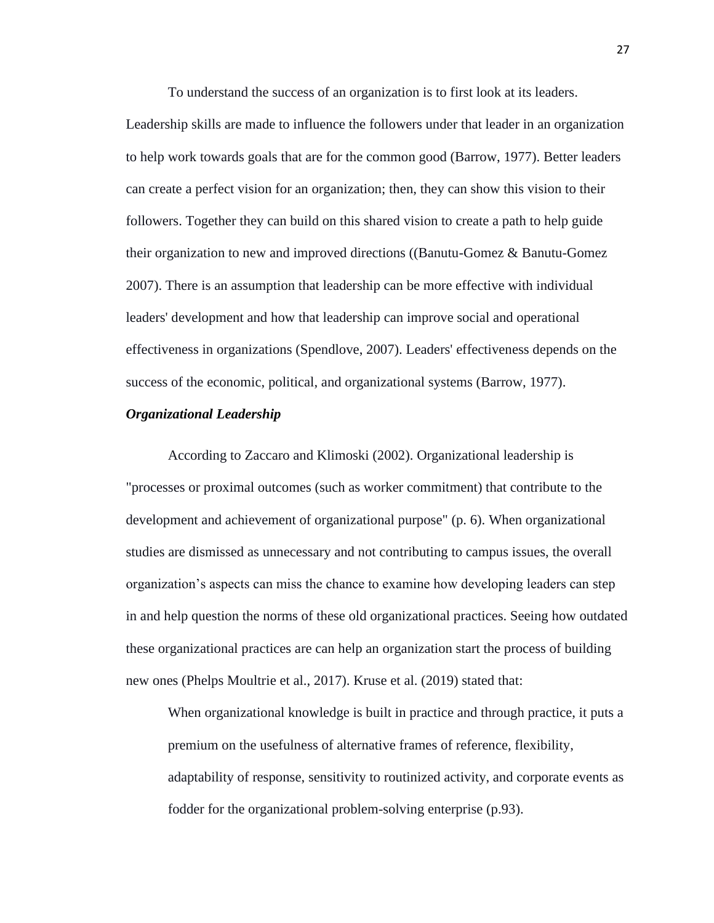To understand the success of an organization is to first look at its leaders.

Leadership skills are made to influence the followers under that leader in an organization to help work towards goals that are for the common good (Barrow, 1977). Better leaders can create a perfect vision for an organization; then, they can show this vision to their followers. Together they can build on this shared vision to create a path to help guide their organization to new and improved directions ((Banutu-Gomez & Banutu-Gomez 2007). There is an assumption that leadership can be more effective with individual leaders' development and how that leadership can improve social and operational effectiveness in organizations (Spendlove, 2007). Leaders' effectiveness depends on the success of the economic, political, and organizational systems (Barrow, 1977).

### <span id="page-34-0"></span>*Organizational Leadership*

According to Zaccaro and Klimoski (2002). Organizational leadership is "processes or proximal outcomes (such as worker commitment) that contribute to the development and achievement of organizational purpose" (p. 6). When organizational studies are dismissed as unnecessary and not contributing to campus issues, the overall organization's aspects can miss the chance to examine how developing leaders can step in and help question the norms of these old organizational practices. Seeing how outdated these organizational practices are can help an organization start the process of building new ones (Phelps Moultrie et al., 2017). Kruse et al. (2019) stated that:

When organizational knowledge is built in practice and through practice, it puts a premium on the usefulness of alternative frames of reference, flexibility, adaptability of response, sensitivity to routinized activity, and corporate events as fodder for the organizational problem-solving enterprise (p.93).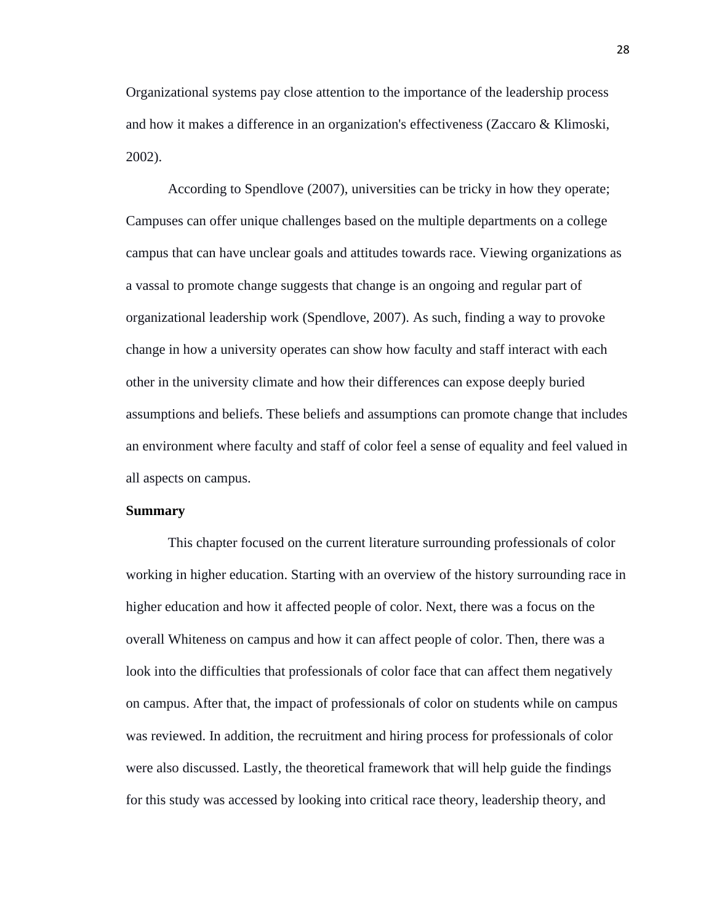Organizational systems pay close attention to the importance of the leadership process and how it makes a difference in an organization's effectiveness (Zaccaro & Klimoski, 2002).

According to Spendlove (2007), universities can be tricky in how they operate; Campuses can offer unique challenges based on the multiple departments on a college campus that can have unclear goals and attitudes towards race. Viewing organizations as a vassal to promote change suggests that change is an ongoing and regular part of organizational leadership work (Spendlove, 2007). As such, finding a way to provoke change in how a university operates can show how faculty and staff interact with each other in the university climate and how their differences can expose deeply buried assumptions and beliefs. These beliefs and assumptions can promote change that includes an environment where faculty and staff of color feel a sense of equality and feel valued in all aspects on campus.

#### <span id="page-35-0"></span>**Summary**

This chapter focused on the current literature surrounding professionals of color working in higher education. Starting with an overview of the history surrounding race in higher education and how it affected people of color. Next, there was a focus on the overall Whiteness on campus and how it can affect people of color. Then, there was a look into the difficulties that professionals of color face that can affect them negatively on campus. After that, the impact of professionals of color on students while on campus was reviewed. In addition, the recruitment and hiring process for professionals of color were also discussed. Lastly, the theoretical framework that will help guide the findings for this study was accessed by looking into critical race theory, leadership theory, and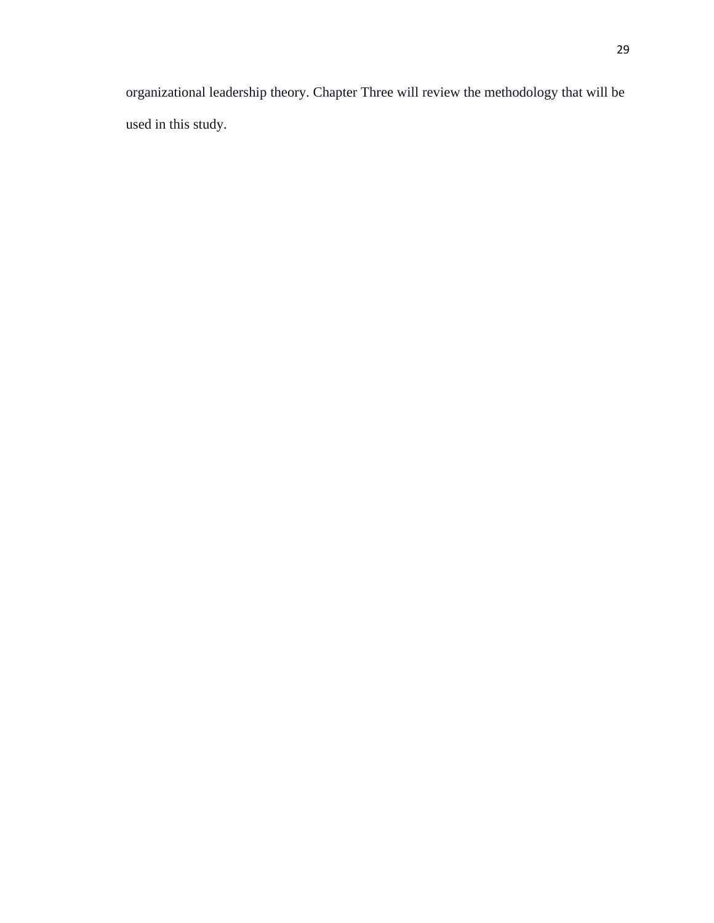organizational leadership theory. Chapter Three will review the methodology that will be used in this study.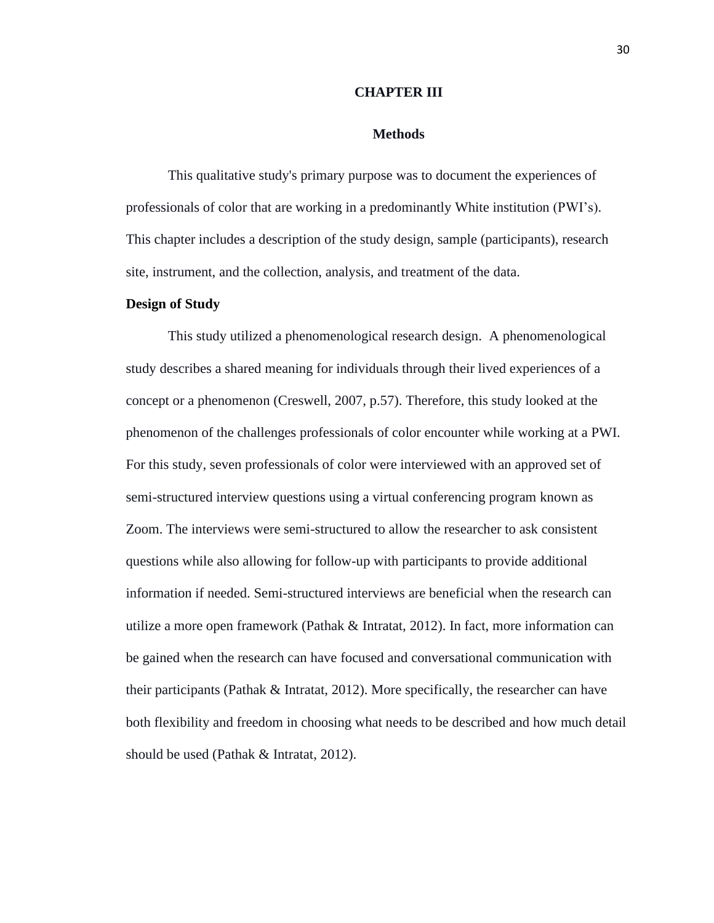### **CHAPTER III**

### **Methods**

This qualitative study's primary purpose was to document the experiences of professionals of color that are working in a predominantly White institution (PWI's). This chapter includes a description of the study design, sample (participants), research site, instrument, and the collection, analysis, and treatment of the data.

## **Design of Study**

This study utilized a phenomenological research design. A phenomenological study describes a shared meaning for individuals through their lived experiences of a concept or a phenomenon (Creswell, 2007, p.57). Therefore, this study looked at the phenomenon of the challenges professionals of color encounter while working at a PWI. For this study, seven professionals of color were interviewed with an approved set of semi-structured interview questions using a virtual conferencing program known as Zoom. The interviews were semi-structured to allow the researcher to ask consistent questions while also allowing for follow-up with participants to provide additional information if needed. Semi-structured interviews are beneficial when the research can utilize a more open framework (Pathak & Intratat, 2012). In fact, more information can be gained when the research can have focused and conversational communication with their participants (Pathak & Intratat, 2012). More specifically, the researcher can have both flexibility and freedom in choosing what needs to be described and how much detail should be used (Pathak & Intratat, 2012).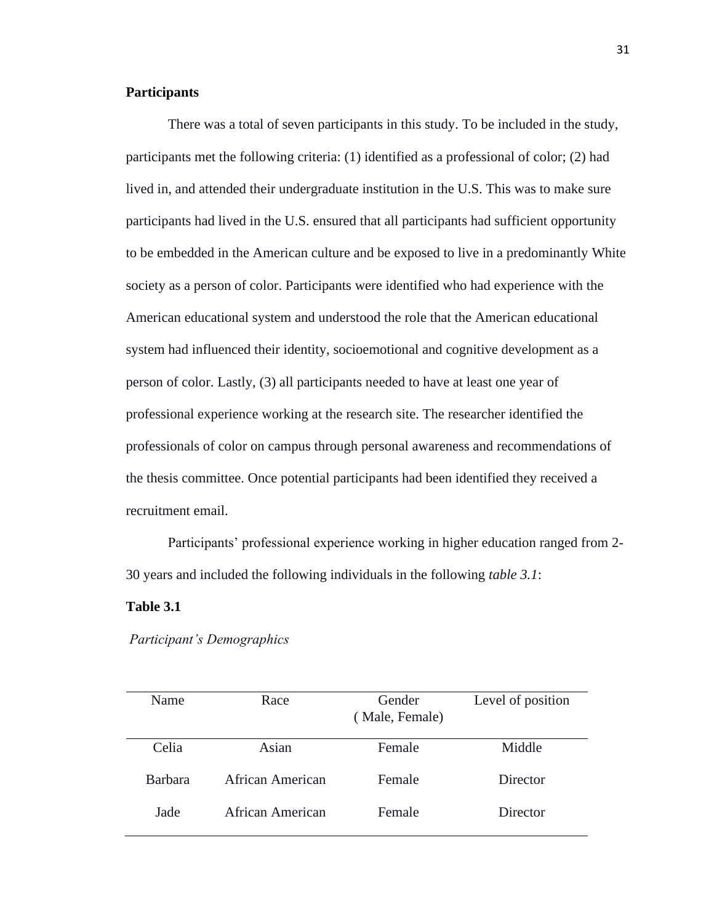# **Participants**

There was a total of seven participants in this study. To be included in the study, participants met the following criteria: (1) identified as a professional of color; (2) had lived in, and attended their undergraduate institution in the U.S. This was to make sure participants had lived in the U.S. ensured that all participants had sufficient opportunity to be embedded in the American culture and be exposed to live in a predominantly White society as a person of color. Participants were identified who had experience with the American educational system and understood the role that the American educational system had influenced their identity, socioemotional and cognitive development as a person of color. Lastly, (3) all participants needed to have at least one year of professional experience working at the research site. The researcher identified the professionals of color on campus through personal awareness and recommendations of the thesis committee. Once potential participants had been identified they received a recruitment email.

Participants' professional experience working in higher education ranged from 2- 30 years and included the following individuals in the following *table 3.1*:

# **Table 3.1**

*Participant's Demographics* 

| Name           | Race             | Gender<br>(Male, Female) | Level of position |
|----------------|------------------|--------------------------|-------------------|
| Celia          | Asian            | Female                   | Middle            |
| <b>Barbara</b> | African American | Female                   | Director          |
| Jade           | African American | Female                   | Director          |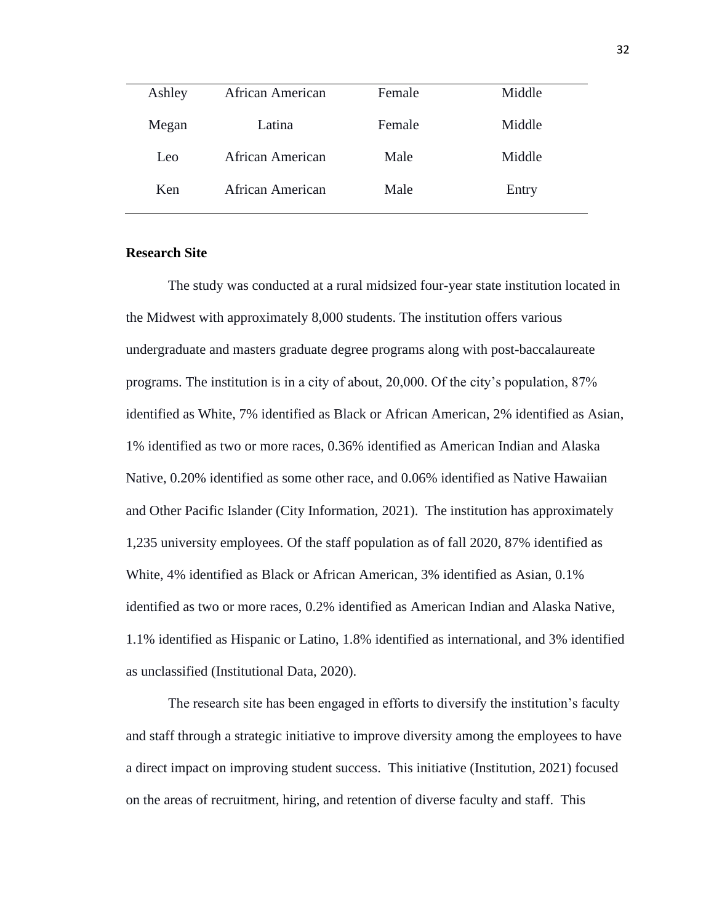| Ashley | African American | Female | Middle |
|--------|------------------|--------|--------|
| Megan  | Latina           | Female | Middle |
| Leo    | African American | Male   | Middle |
| Ken    | African American | Male   | Entry  |
|        |                  |        |        |

# **Research Site**

The study was conducted at a rural midsized four-year state institution located in the Midwest with approximately 8,000 students. The institution offers various undergraduate and masters graduate degree programs along with post-baccalaureate programs. The institution is in a city of about, 20,000. Of the city's population, 87% identified as White, 7% identified as Black or African American, 2% identified as Asian, 1% identified as two or more races, 0.36% identified as American Indian and Alaska Native, 0.20% identified as some other race, and 0.06% identified as Native Hawaiian and Other Pacific Islander (City Information, 2021). The institution has approximately 1,235 university employees. Of the staff population as of fall 2020, 87% identified as White, 4% identified as Black or African American, 3% identified as Asian, 0.1% identified as two or more races, 0.2% identified as American Indian and Alaska Native, 1.1% identified as Hispanic or Latino, 1.8% identified as international, and 3% identified as unclassified (Institutional Data, 2020).

The research site has been engaged in efforts to diversify the institution's faculty and staff through a strategic initiative to improve diversity among the employees to have a direct impact on improving student success. This initiative (Institution, 2021) focused on the areas of recruitment, hiring, and retention of diverse faculty and staff. This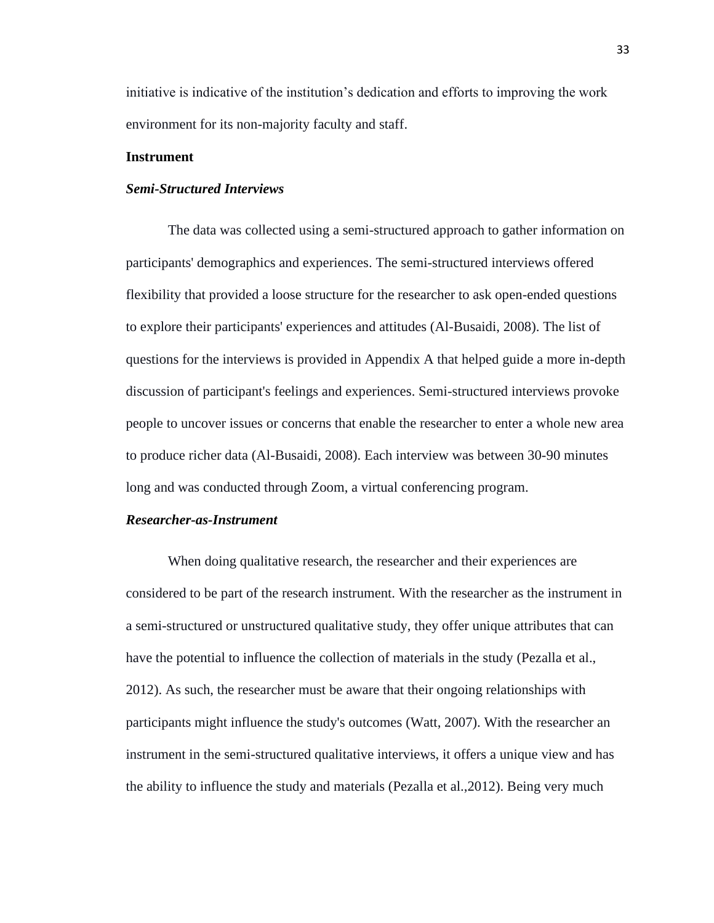initiative is indicative of the institution's dedication and efforts to improving the work environment for its non-majority faculty and staff.

# **Instrument**

## *Semi-Structured Interviews*

The data was collected using a semi-structured approach to gather information on participants' demographics and experiences. The semi-structured interviews offered flexibility that provided a loose structure for the researcher to ask open-ended questions to explore their participants' experiences and attitudes (Al-Busaidi, 2008). The list of questions for the interviews is provided in Appendix A that helped guide a more in-depth discussion of participant's feelings and experiences. Semi-structured interviews provoke people to uncover issues or concerns that enable the researcher to enter a whole new area to produce richer data (Al-Busaidi, 2008). Each interview was between 30-90 minutes long and was conducted through Zoom, a virtual conferencing program.

### *Researcher-as-Instrument*

When doing qualitative research, the researcher and their experiences are considered to be part of the research instrument. With the researcher as the instrument in a semi-structured or unstructured qualitative study, they offer unique attributes that can have the potential to influence the collection of materials in the study (Pezalla et al., 2012). As such, the researcher must be aware that their ongoing relationships with participants might influence the study's outcomes (Watt, 2007). With the researcher an instrument in the semi-structured qualitative interviews, it offers a unique view and has the ability to influence the study and materials (Pezalla et al.,2012). Being very much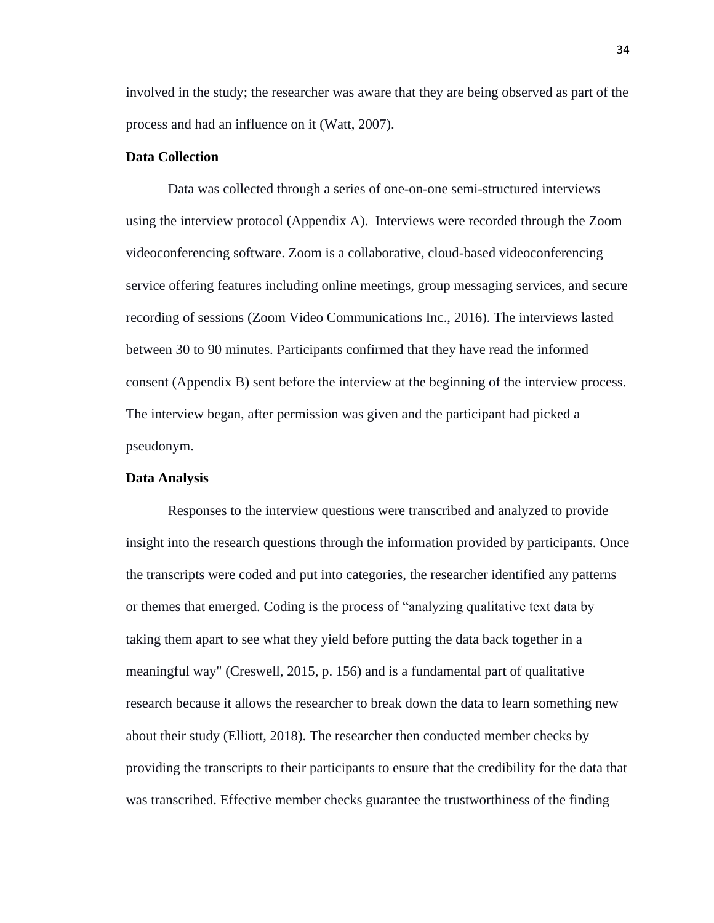involved in the study; the researcher was aware that they are being observed as part of the process and had an influence on it (Watt, 2007).

### **Data Collection**

Data was collected through a series of one-on-one semi-structured interviews using the interview protocol (Appendix A). Interviews were recorded through the Zoom videoconferencing software. Zoom is a collaborative, cloud-based videoconferencing service offering features including online meetings, group messaging services, and secure recording of sessions (Zoom Video Communications Inc., 2016). The interviews lasted between 30 to 90 minutes. Participants confirmed that they have read the informed consent (Appendix B) sent before the interview at the beginning of the interview process. The interview began, after permission was given and the participant had picked a pseudonym.

#### **Data Analysis**

Responses to the interview questions were transcribed and analyzed to provide insight into the research questions through the information provided by participants. Once the transcripts were coded and put into categories, the researcher identified any patterns or themes that emerged. Coding is the process of "analyzing qualitative text data by taking them apart to see what they yield before putting the data back together in a meaningful way" (Creswell, 2015, p. 156) and is a fundamental part of qualitative research because it allows the researcher to break down the data to learn something new about their study (Elliott, 2018). The researcher then conducted member checks by providing the transcripts to their participants to ensure that the credibility for the data that was transcribed. Effective member checks guarantee the trustworthiness of the finding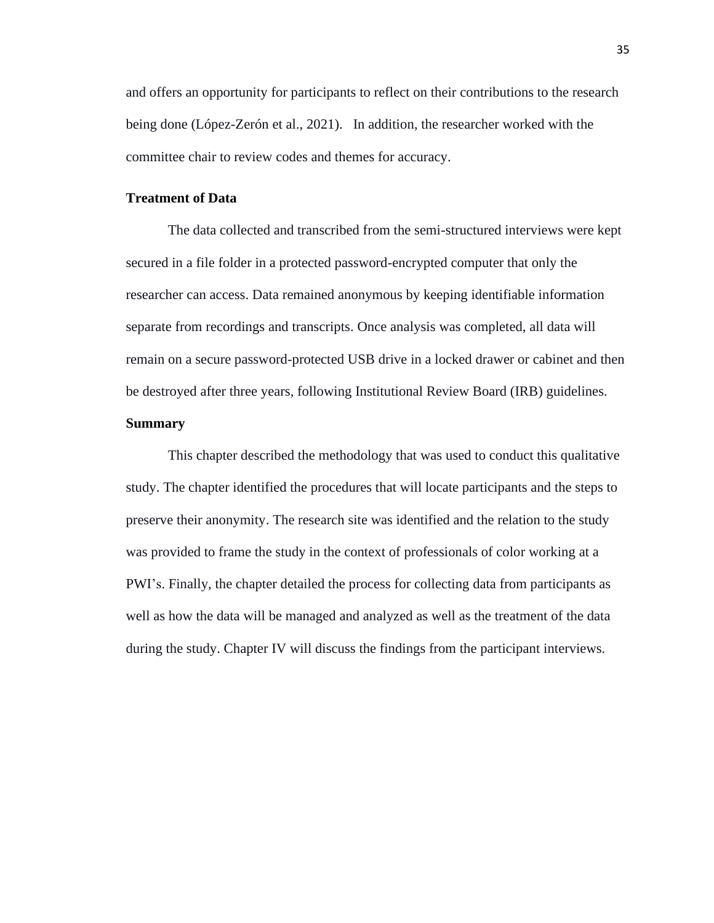and offers an opportunity for participants to reflect on their contributions to the research being done (López-Zerón et al., 2021). In addition, the researcher worked with the committee chair to review codes and themes for accuracy.

### **Treatment of Data**

The data collected and transcribed from the semi-structured interviews were kept secured in a file folder in a protected password-encrypted computer that only the researcher can access. Data remained anonymous by keeping identifiable information separate from recordings and transcripts. Once analysis was completed, all data will remain on a secure password-protected USB drive in a locked drawer or cabinet and then be destroyed after three years, following Institutional Review Board (IRB) guidelines.

# **Summary**

This chapter described the methodology that was used to conduct this qualitative study. The chapter identified the procedures that will locate participants and the steps to preserve their anonymity. The research site was identified and the relation to the study was provided to frame the study in the context of professionals of color working at a PWI's. Finally, the chapter detailed the process for collecting data from participants as well as how the data will be managed and analyzed as well as the treatment of the data during the study. Chapter IV will discuss the findings from the participant interviews.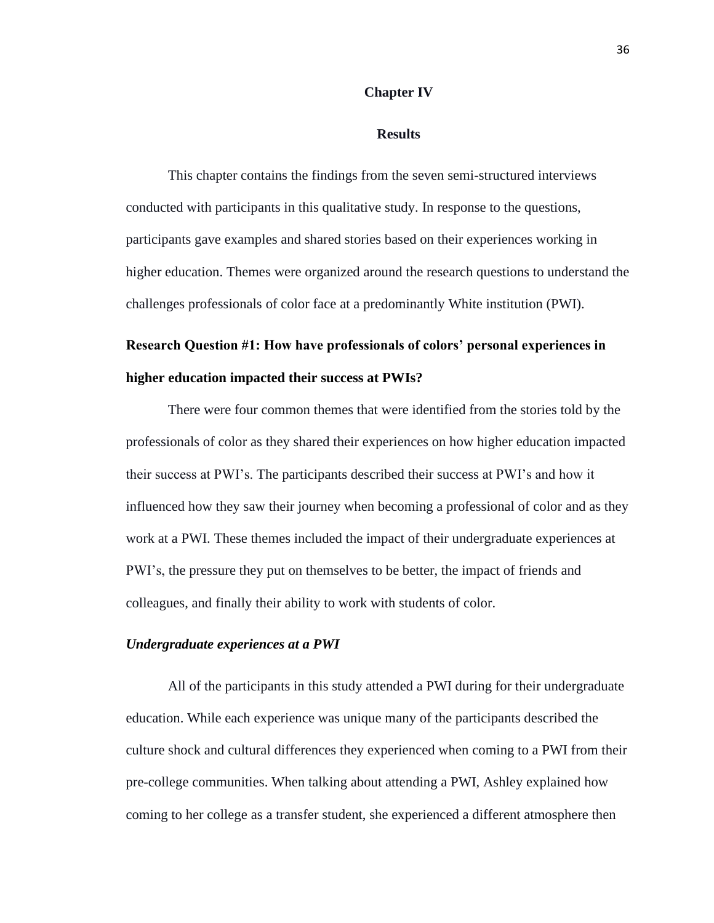### **Chapter IV**

### **Results**

This chapter contains the findings from the seven semi-structured interviews conducted with participants in this qualitative study. In response to the questions, participants gave examples and shared stories based on their experiences working in higher education. Themes were organized around the research questions to understand the challenges professionals of color face at a predominantly White institution (PWI).

# **Research Question #1: How have professionals of colors' personal experiences in higher education impacted their success at PWIs?**

There were four common themes that were identified from the stories told by the professionals of color as they shared their experiences on how higher education impacted their success at PWI's. The participants described their success at PWI's and how it influenced how they saw their journey when becoming a professional of color and as they work at a PWI. These themes included the impact of their undergraduate experiences at PWI's, the pressure they put on themselves to be better, the impact of friends and colleagues, and finally their ability to work with students of color.

### *Undergraduate experiences at a PWI*

All of the participants in this study attended a PWI during for their undergraduate education. While each experience was unique many of the participants described the culture shock and cultural differences they experienced when coming to a PWI from their pre-college communities. When talking about attending a PWI, Ashley explained how coming to her college as a transfer student, she experienced a different atmosphere then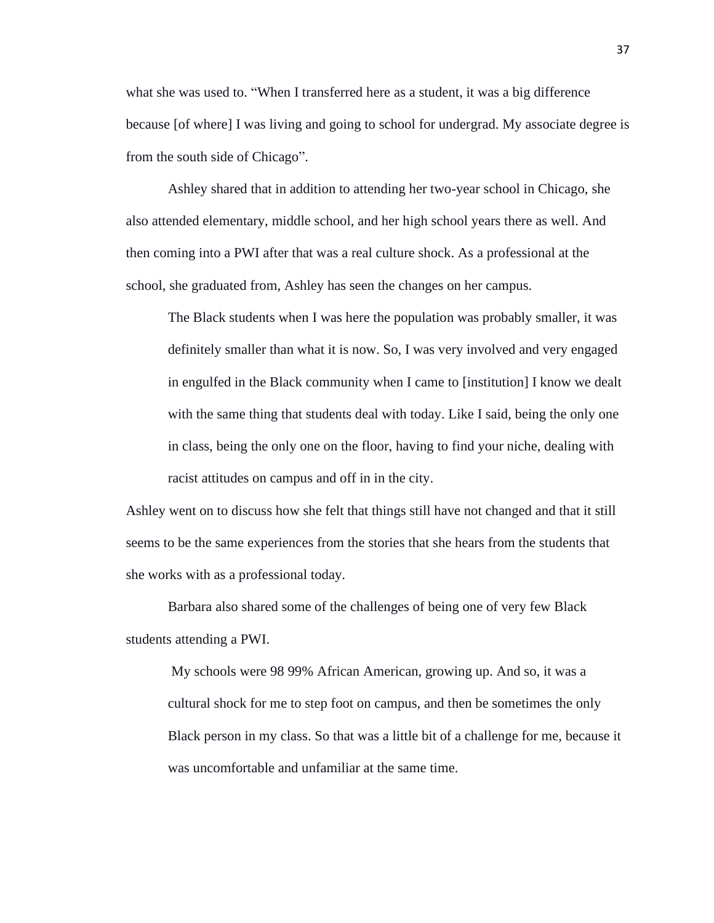what she was used to. "When I transferred here as a student, it was a big difference because [of where] I was living and going to school for undergrad. My associate degree is from the south side of Chicago".

Ashley shared that in addition to attending her two-year school in Chicago, she also attended elementary, middle school, and her high school years there as well. And then coming into a PWI after that was a real culture shock. As a professional at the school, she graduated from, Ashley has seen the changes on her campus.

The Black students when I was here the population was probably smaller, it was definitely smaller than what it is now. So, I was very involved and very engaged in engulfed in the Black community when I came to [institution] I know we dealt with the same thing that students deal with today. Like I said, being the only one in class, being the only one on the floor, having to find your niche, dealing with racist attitudes on campus and off in in the city.

Ashley went on to discuss how she felt that things still have not changed and that it still seems to be the same experiences from the stories that she hears from the students that she works with as a professional today.

Barbara also shared some of the challenges of being one of very few Black students attending a PWI.

My schools were 98 99% African American, growing up. And so, it was a cultural shock for me to step foot on campus, and then be sometimes the only Black person in my class. So that was a little bit of a challenge for me, because it was uncomfortable and unfamiliar at the same time.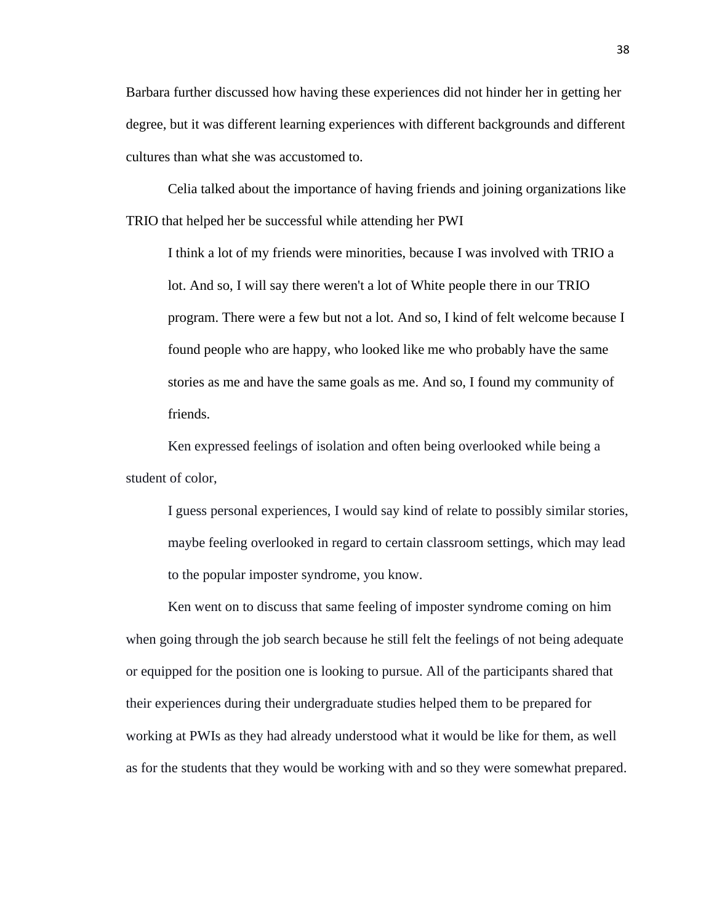Barbara further discussed how having these experiences did not hinder her in getting her degree, but it was different learning experiences with different backgrounds and different cultures than what she was accustomed to.

Celia talked about the importance of having friends and joining organizations like TRIO that helped her be successful while attending her PWI

I think a lot of my friends were minorities, because I was involved with TRIO a lot. And so, I will say there weren't a lot of White people there in our TRIO program. There were a few but not a lot. And so, I kind of felt welcome because I found people who are happy, who looked like me who probably have the same stories as me and have the same goals as me. And so, I found my community of friends.

Ken expressed feelings of isolation and often being overlooked while being a student of color,

I guess personal experiences, I would say kind of relate to possibly similar stories, maybe feeling overlooked in regard to certain classroom settings, which may lead to the popular imposter syndrome, you know.

Ken went on to discuss that same feeling of imposter syndrome coming on him when going through the job search because he still felt the feelings of not being adequate or equipped for the position one is looking to pursue. All of the participants shared that their experiences during their undergraduate studies helped them to be prepared for working at PWIs as they had already understood what it would be like for them, as well as for the students that they would be working with and so they were somewhat prepared.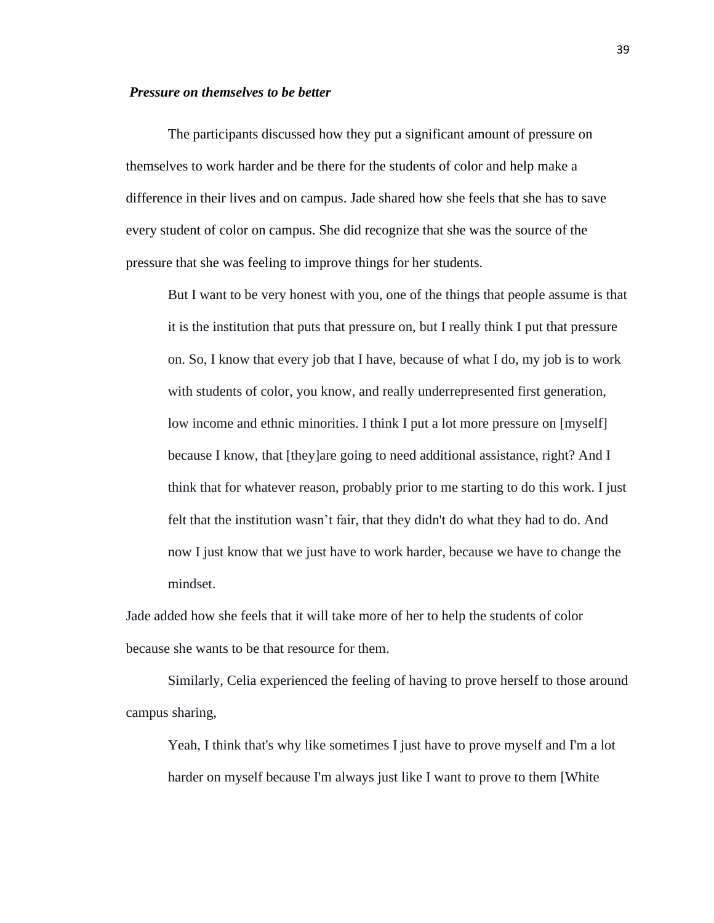### *Pressure on themselves to be better*

The participants discussed how they put a significant amount of pressure on themselves to work harder and be there for the students of color and help make a difference in their lives and on campus. Jade shared how she feels that she has to save every student of color on campus. She did recognize that she was the source of the pressure that she was feeling to improve things for her students.

But I want to be very honest with you, one of the things that people assume is that it is the institution that puts that pressure on, but I really think I put that pressure on. So, I know that every job that I have, because of what I do, my job is to work with students of color, you know, and really underrepresented first generation, low income and ethnic minorities. I think I put a lot more pressure on [myself] because I know, that [they]are going to need additional assistance, right? And I think that for whatever reason, probably prior to me starting to do this work. I just felt that the institution wasn't fair, that they didn't do what they had to do. And now I just know that we just have to work harder, because we have to change the mindset.

Jade added how she feels that it will take more of her to help the students of color because she wants to be that resource for them.

Similarly, Celia experienced the feeling of having to prove herself to those around campus sharing,

Yeah, I think that's why like sometimes I just have to prove myself and I'm a lot harder on myself because I'm always just like I want to prove to them [White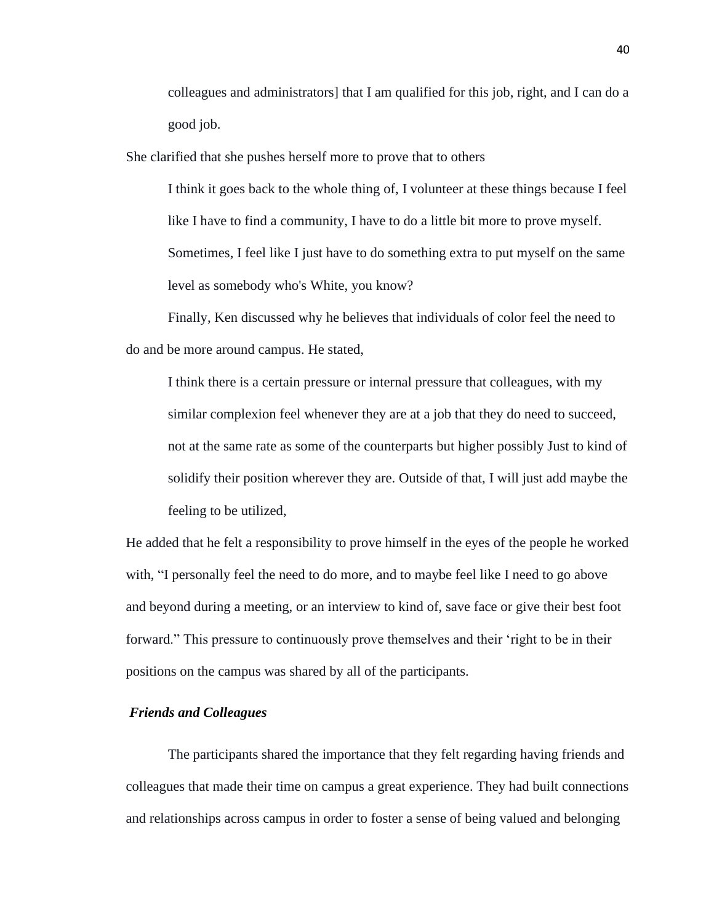colleagues and administrators] that I am qualified for this job, right, and I can do a good job.

She clarified that she pushes herself more to prove that to others

I think it goes back to the whole thing of, I volunteer at these things because I feel like I have to find a community, I have to do a little bit more to prove myself. Sometimes, I feel like I just have to do something extra to put myself on the same level as somebody who's White, you know?

Finally, Ken discussed why he believes that individuals of color feel the need to do and be more around campus. He stated,

I think there is a certain pressure or internal pressure that colleagues, with my similar complexion feel whenever they are at a job that they do need to succeed, not at the same rate as some of the counterparts but higher possibly Just to kind of solidify their position wherever they are. Outside of that, I will just add maybe the feeling to be utilized,

He added that he felt a responsibility to prove himself in the eyes of the people he worked with, "I personally feel the need to do more, and to maybe feel like I need to go above and beyond during a meeting, or an interview to kind of, save face or give their best foot forward." This pressure to continuously prove themselves and their 'right to be in their positions on the campus was shared by all of the participants.

# *Friends and Colleagues*

The participants shared the importance that they felt regarding having friends and colleagues that made their time on campus a great experience. They had built connections and relationships across campus in order to foster a sense of being valued and belonging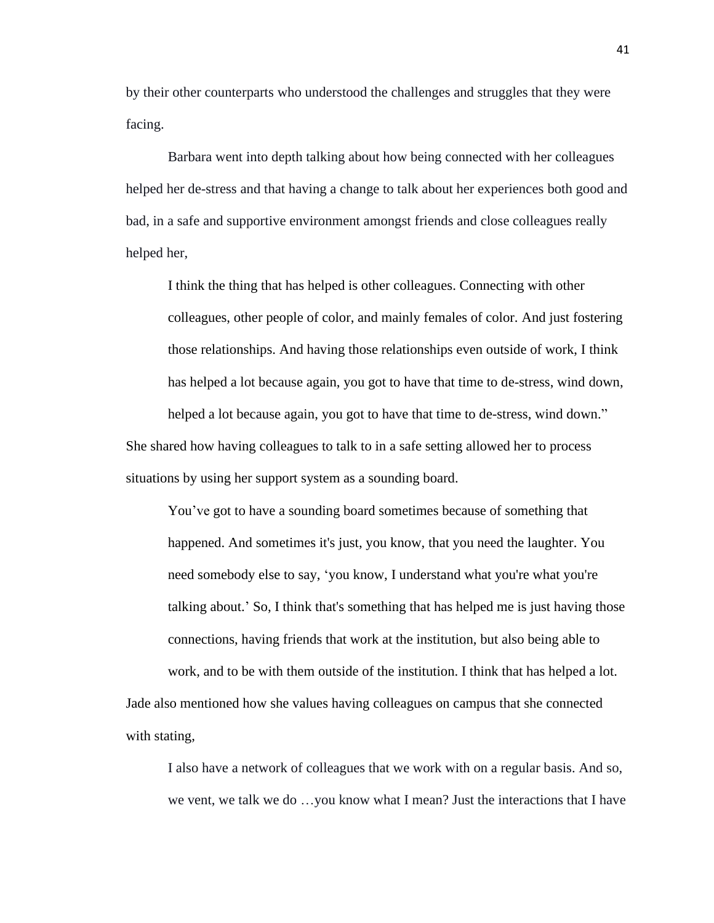by their other counterparts who understood the challenges and struggles that they were facing.

Barbara went into depth talking about how being connected with her colleagues helped her de-stress and that having a change to talk about her experiences both good and bad, in a safe and supportive environment amongst friends and close colleagues really helped her,

I think the thing that has helped is other colleagues. Connecting with other colleagues, other people of color, and mainly females of color. And just fostering those relationships. And having those relationships even outside of work, I think has helped a lot because again, you got to have that time to de-stress, wind down, helped a lot because again, you got to have that time to de-stress, wind down." She shared how having colleagues to talk to in a safe setting allowed her to process situations by using her support system as a sounding board.

You've got to have a sounding board sometimes because of something that happened. And sometimes it's just, you know, that you need the laughter. You need somebody else to say, 'you know, I understand what you're what you're talking about.' So, I think that's something that has helped me is just having those connections, having friends that work at the institution, but also being able to work, and to be with them outside of the institution. I think that has helped a lot.

Jade also mentioned how she values having colleagues on campus that she connected with stating,

I also have a network of colleagues that we work with on a regular basis. And so, we vent, we talk we do …you know what I mean? Just the interactions that I have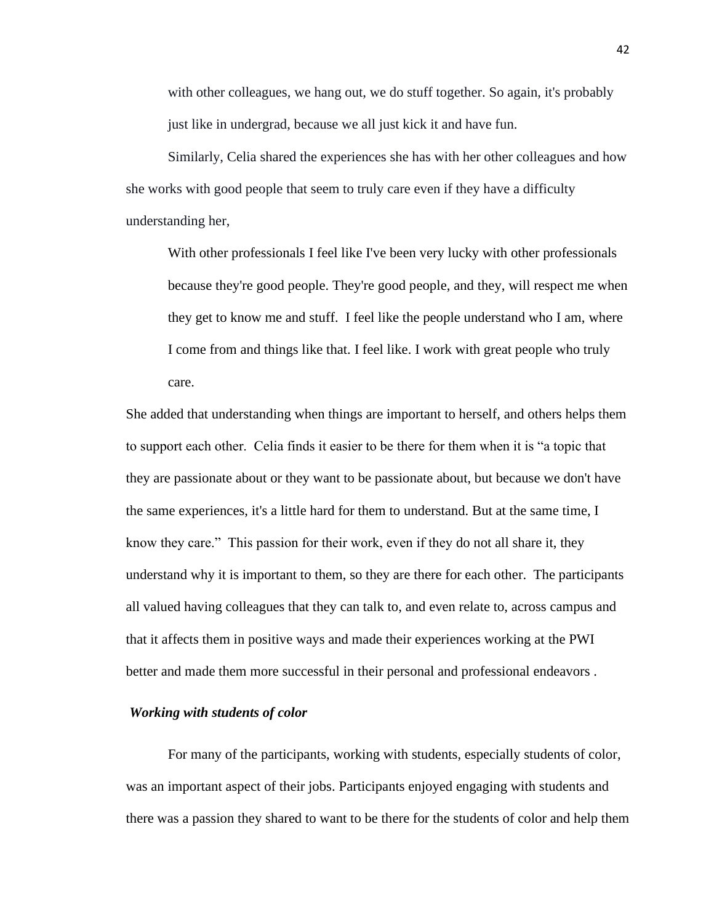with other colleagues, we hang out, we do stuff together. So again, it's probably just like in undergrad, because we all just kick it and have fun.

Similarly, Celia shared the experiences she has with her other colleagues and how she works with good people that seem to truly care even if they have a difficulty understanding her,

With other professionals I feel like I've been very lucky with other professionals because they're good people. They're good people, and they, will respect me when they get to know me and stuff. I feel like the people understand who I am, where I come from and things like that. I feel like. I work with great people who truly care.

She added that understanding when things are important to herself, and others helps them to support each other. Celia finds it easier to be there for them when it is "a topic that they are passionate about or they want to be passionate about, but because we don't have the same experiences, it's a little hard for them to understand. But at the same time, I know they care." This passion for their work, even if they do not all share it, they understand why it is important to them, so they are there for each other. The participants all valued having colleagues that they can talk to, and even relate to, across campus and that it affects them in positive ways and made their experiences working at the PWI better and made them more successful in their personal and professional endeavors .

### *Working with students of color*

For many of the participants, working with students, especially students of color, was an important aspect of their jobs. Participants enjoyed engaging with students and there was a passion they shared to want to be there for the students of color and help them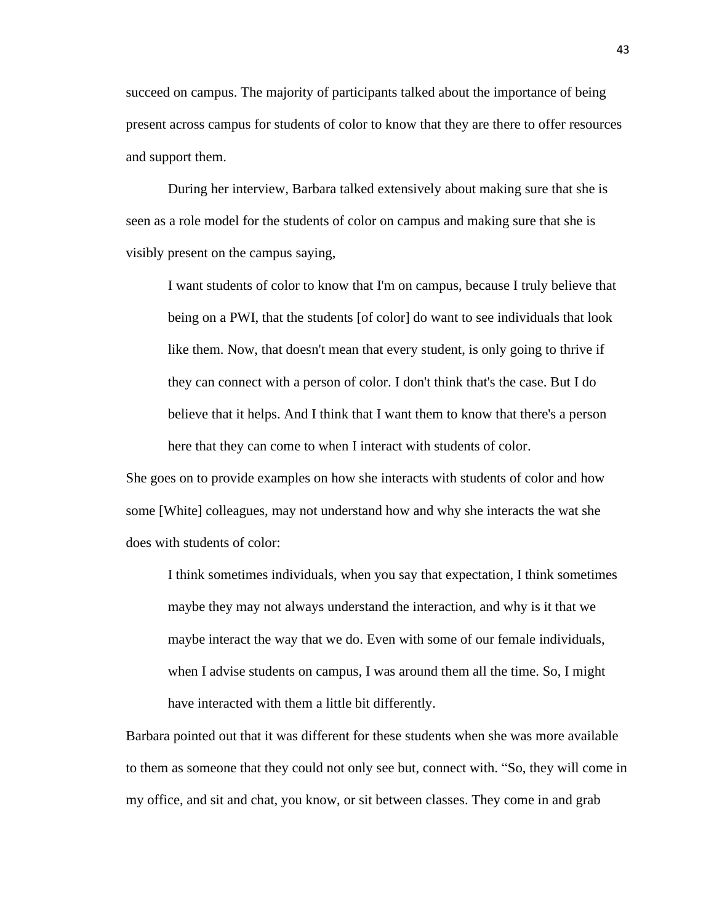succeed on campus. The majority of participants talked about the importance of being present across campus for students of color to know that they are there to offer resources and support them.

During her interview, Barbara talked extensively about making sure that she is seen as a role model for the students of color on campus and making sure that she is visibly present on the campus saying,

I want students of color to know that I'm on campus, because I truly believe that being on a PWI, that the students [of color] do want to see individuals that look like them. Now, that doesn't mean that every student, is only going to thrive if they can connect with a person of color. I don't think that's the case. But I do believe that it helps. And I think that I want them to know that there's a person here that they can come to when I interact with students of color.

She goes on to provide examples on how she interacts with students of color and how some [White] colleagues, may not understand how and why she interacts the wat she does with students of color:

I think sometimes individuals, when you say that expectation, I think sometimes maybe they may not always understand the interaction, and why is it that we maybe interact the way that we do. Even with some of our female individuals, when I advise students on campus, I was around them all the time. So, I might have interacted with them a little bit differently.

Barbara pointed out that it was different for these students when she was more available to them as someone that they could not only see but, connect with. "So, they will come in my office, and sit and chat, you know, or sit between classes. They come in and grab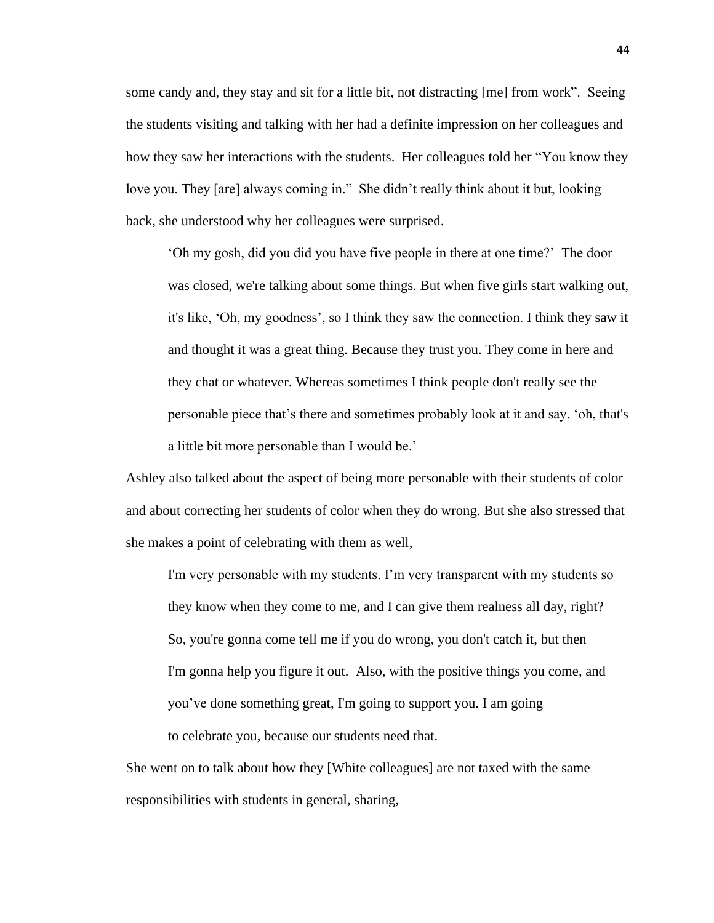some candy and, they stay and sit for a little bit, not distracting [me] from work". Seeing the students visiting and talking with her had a definite impression on her colleagues and how they saw her interactions with the students. Her colleagues told her "You know they love you. They [are] always coming in." She didn't really think about it but, looking back, she understood why her colleagues were surprised.

'Oh my gosh, did you did you have five people in there at one time?' The door was closed, we're talking about some things. But when five girls start walking out, it's like, 'Oh, my goodness', so I think they saw the connection. I think they saw it and thought it was a great thing. Because they trust you. They come in here and they chat or whatever. Whereas sometimes I think people don't really see the personable piece that's there and sometimes probably look at it and say, 'oh, that's a little bit more personable than I would be.'

Ashley also talked about the aspect of being more personable with their students of color and about correcting her students of color when they do wrong. But she also stressed that she makes a point of celebrating with them as well,

I'm very personable with my students. I'm very transparent with my students so they know when they come to me, and I can give them realness all day, right? So, you're gonna come tell me if you do wrong, you don't catch it, but then I'm gonna help you figure it out. Also, with the positive things you come, and you've done something great, I'm going to support you. I am going to celebrate you, because our students need that.

She went on to talk about how they [White colleagues] are not taxed with the same responsibilities with students in general, sharing,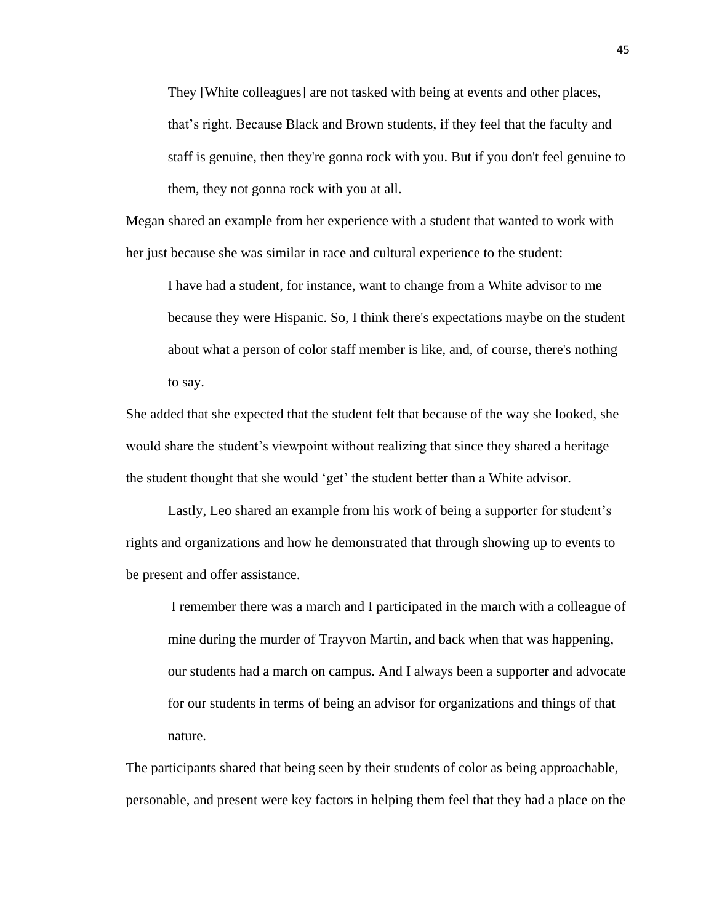They [White colleagues] are not tasked with being at events and other places, that's right. Because Black and Brown students, if they feel that the faculty and staff is genuine, then they're gonna rock with you. But if you don't feel genuine to them, they not gonna rock with you at all.

Megan shared an example from her experience with a student that wanted to work with her just because she was similar in race and cultural experience to the student:

I have had a student, for instance, want to change from a White advisor to me because they were Hispanic. So, I think there's expectations maybe on the student about what a person of color staff member is like, and, of course, there's nothing to say.

She added that she expected that the student felt that because of the way she looked, she would share the student's viewpoint without realizing that since they shared a heritage the student thought that she would 'get' the student better than a White advisor.

Lastly, Leo shared an example from his work of being a supporter for student's rights and organizations and how he demonstrated that through showing up to events to be present and offer assistance.

I remember there was a march and I participated in the march with a colleague of mine during the murder of Trayvon Martin, and back when that was happening, our students had a march on campus. And I always been a supporter and advocate for our students in terms of being an advisor for organizations and things of that nature.

The participants shared that being seen by their students of color as being approachable, personable, and present were key factors in helping them feel that they had a place on the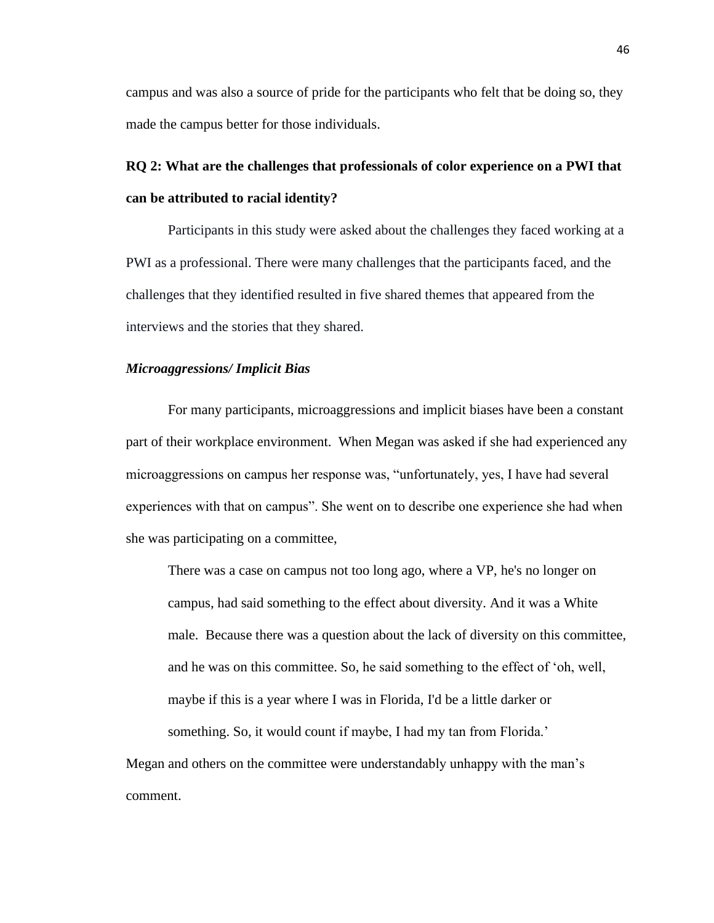campus and was also a source of pride for the participants who felt that be doing so, they made the campus better for those individuals.

# **RQ 2: What are the challenges that professionals of color experience on a PWI that can be attributed to racial identity?**

Participants in this study were asked about the challenges they faced working at a PWI as a professional. There were many challenges that the participants faced, and the challenges that they identified resulted in five shared themes that appeared from the interviews and the stories that they shared.

### *Microaggressions/ Implicit Bias*

For many participants, microaggressions and implicit biases have been a constant part of their workplace environment. When Megan was asked if she had experienced any microaggressions on campus her response was, "unfortunately, yes, I have had several experiences with that on campus". She went on to describe one experience she had when she was participating on a committee,

There was a case on campus not too long ago, where a VP, he's no longer on campus, had said something to the effect about diversity. And it was a White male. Because there was a question about the lack of diversity on this committee, and he was on this committee. So, he said something to the effect of 'oh, well, maybe if this is a year where I was in Florida, I'd be a little darker or something. So, it would count if maybe, I had my tan from Florida.'

Megan and others on the committee were understandably unhappy with the man's comment.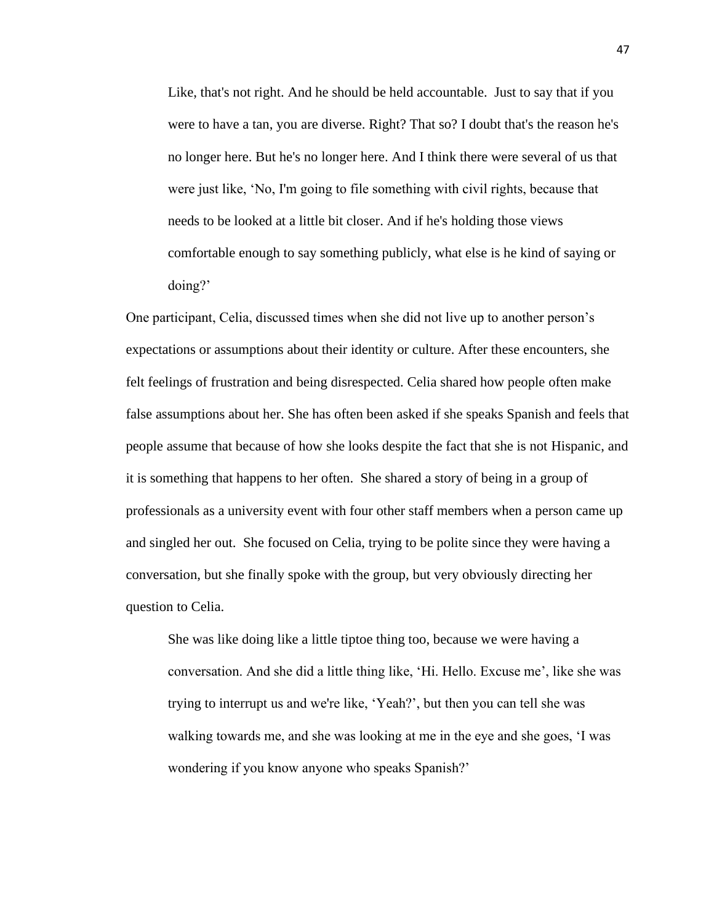Like, that's not right. And he should be held accountable. Just to say that if you were to have a tan, you are diverse. Right? That so? I doubt that's the reason he's no longer here. But he's no longer here. And I think there were several of us that were just like, 'No, I'm going to file something with civil rights, because that needs to be looked at a little bit closer. And if he's holding those views comfortable enough to say something publicly, what else is he kind of saying or doing?'

One participant, Celia, discussed times when she did not live up to another person's expectations or assumptions about their identity or culture. After these encounters, she felt feelings of frustration and being disrespected. Celia shared how people often make false assumptions about her. She has often been asked if she speaks Spanish and feels that people assume that because of how she looks despite the fact that she is not Hispanic, and it is something that happens to her often. She shared a story of being in a group of professionals as a university event with four other staff members when a person came up and singled her out. She focused on Celia, trying to be polite since they were having a conversation, but she finally spoke with the group, but very obviously directing her question to Celia.

She was like doing like a little tiptoe thing too, because we were having a conversation. And she did a little thing like, 'Hi. Hello. Excuse me', like she was trying to interrupt us and we're like, 'Yeah?', but then you can tell she was walking towards me, and she was looking at me in the eye and she goes, 'I was wondering if you know anyone who speaks Spanish?'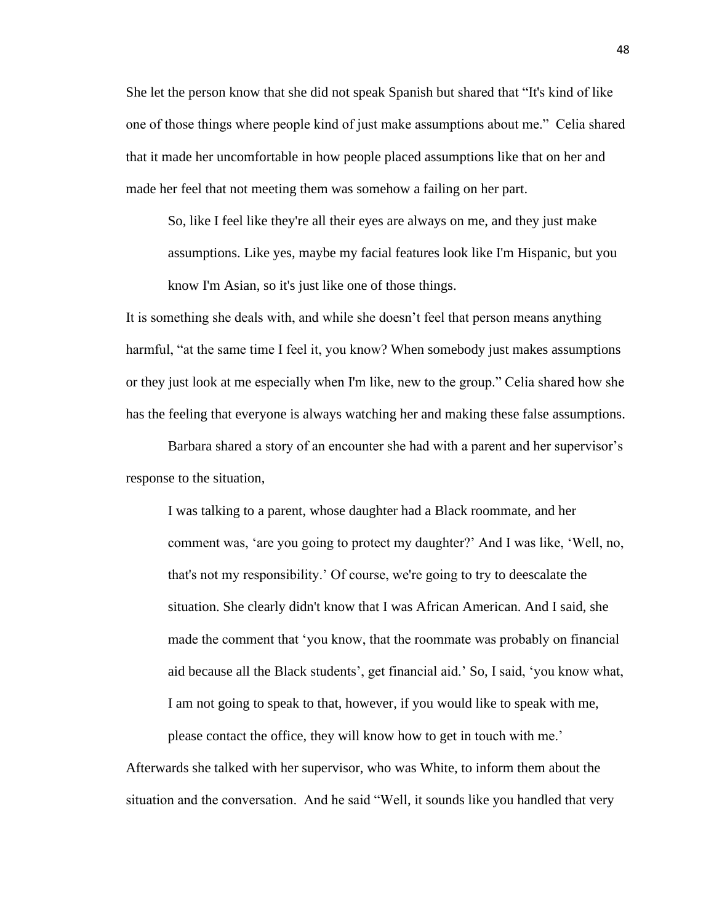She let the person know that she did not speak Spanish but shared that "It's kind of like one of those things where people kind of just make assumptions about me." Celia shared that it made her uncomfortable in how people placed assumptions like that on her and made her feel that not meeting them was somehow a failing on her part.

So, like I feel like they're all their eyes are always on me, and they just make assumptions. Like yes, maybe my facial features look like I'm Hispanic, but you know I'm Asian, so it's just like one of those things.

It is something she deals with, and while she doesn't feel that person means anything harmful, "at the same time I feel it, you know? When somebody just makes assumptions or they just look at me especially when I'm like, new to the group." Celia shared how she has the feeling that everyone is always watching her and making these false assumptions.

Barbara shared a story of an encounter she had with a parent and her supervisor's response to the situation,

I was talking to a parent, whose daughter had a Black roommate, and her comment was, 'are you going to protect my daughter?' And I was like, 'Well, no, that's not my responsibility.' Of course, we're going to try to deescalate the situation. She clearly didn't know that I was African American. And I said, she made the comment that 'you know, that the roommate was probably on financial aid because all the Black students', get financial aid.' So, I said, 'you know what, I am not going to speak to that, however, if you would like to speak with me, please contact the office, they will know how to get in touch with me.'

Afterwards she talked with her supervisor, who was White, to inform them about the situation and the conversation. And he said "Well, it sounds like you handled that very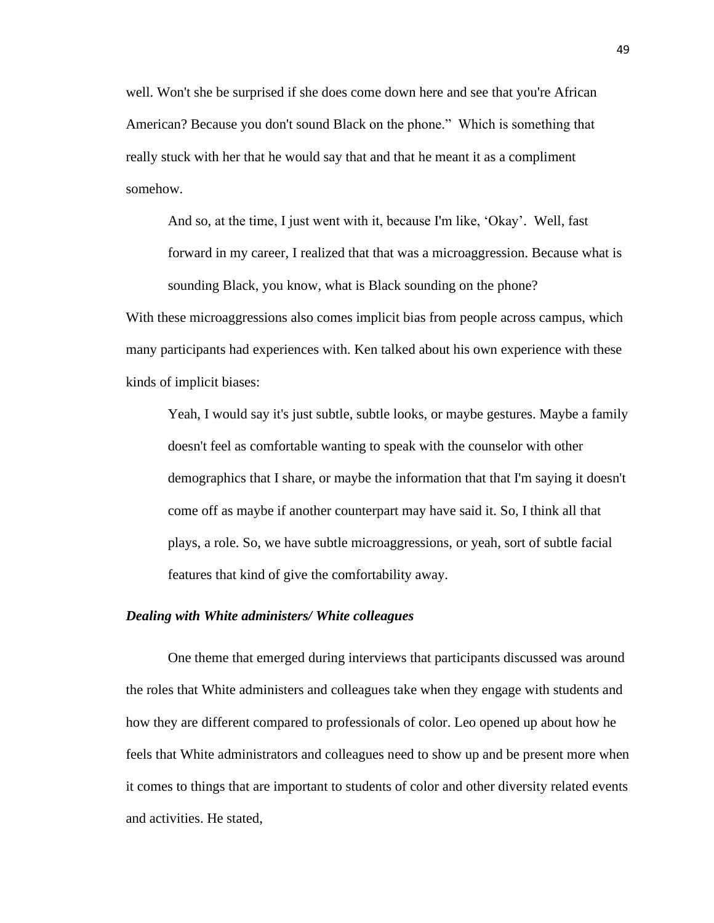well. Won't she be surprised if she does come down here and see that you're African American? Because you don't sound Black on the phone." Which is something that really stuck with her that he would say that and that he meant it as a compliment somehow.

And so, at the time, I just went with it, because I'm like, 'Okay'. Well, fast forward in my career, I realized that that was a microaggression. Because what is sounding Black, you know, what is Black sounding on the phone?

With these microaggressions also comes implicit bias from people across campus, which many participants had experiences with. Ken talked about his own experience with these kinds of implicit biases:

Yeah, I would say it's just subtle, subtle looks, or maybe gestures. Maybe a family doesn't feel as comfortable wanting to speak with the counselor with other demographics that I share, or maybe the information that that I'm saying it doesn't come off as maybe if another counterpart may have said it. So, I think all that plays, a role. So, we have subtle microaggressions, or yeah, sort of subtle facial features that kind of give the comfortability away.

### *Dealing with White administers/ White colleagues*

One theme that emerged during interviews that participants discussed was around the roles that White administers and colleagues take when they engage with students and how they are different compared to professionals of color. Leo opened up about how he feels that White administrators and colleagues need to show up and be present more when it comes to things that are important to students of color and other diversity related events and activities. He stated,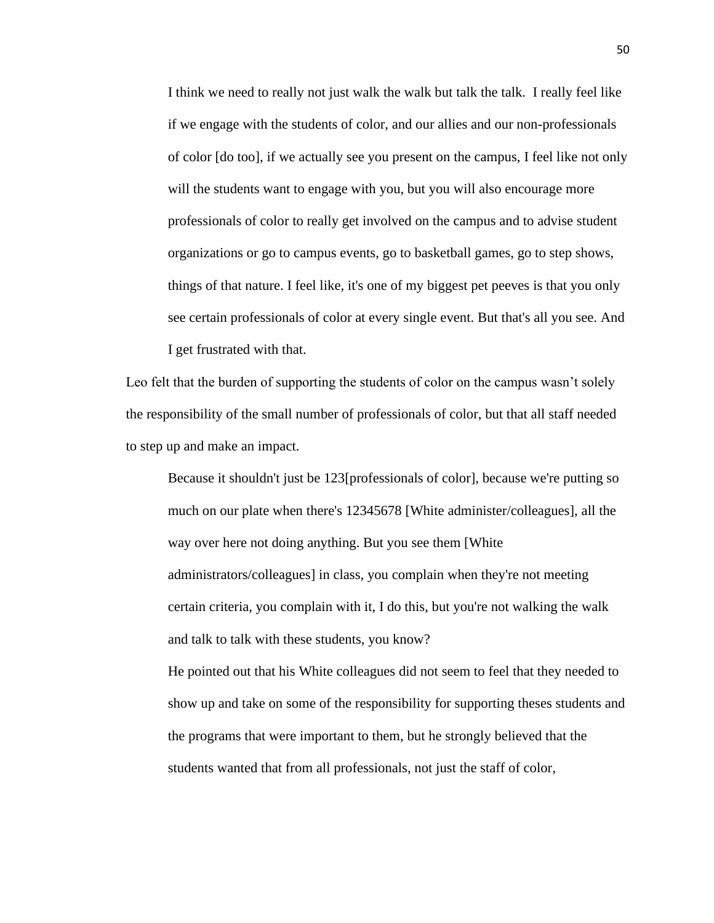I think we need to really not just walk the walk but talk the talk. I really feel like if we engage with the students of color, and our allies and our non-professionals of color [do too], if we actually see you present on the campus, I feel like not only will the students want to engage with you, but you will also encourage more professionals of color to really get involved on the campus and to advise student organizations or go to campus events, go to basketball games, go to step shows, things of that nature. I feel like, it's one of my biggest pet peeves is that you only see certain professionals of color at every single event. But that's all you see. And I get frustrated with that.

Leo felt that the burden of supporting the students of color on the campus wasn't solely the responsibility of the small number of professionals of color, but that all staff needed to step up and make an impact.

Because it shouldn't just be 123[professionals of color], because we're putting so much on our plate when there's 12345678 [White administer/colleagues], all the way over here not doing anything. But you see them [White administrators/colleagues] in class, you complain when they're not meeting certain criteria, you complain with it, I do this, but you're not walking the walk and talk to talk with these students, you know?

He pointed out that his White colleagues did not seem to feel that they needed to show up and take on some of the responsibility for supporting theses students and the programs that were important to them, but he strongly believed that the students wanted that from all professionals, not just the staff of color,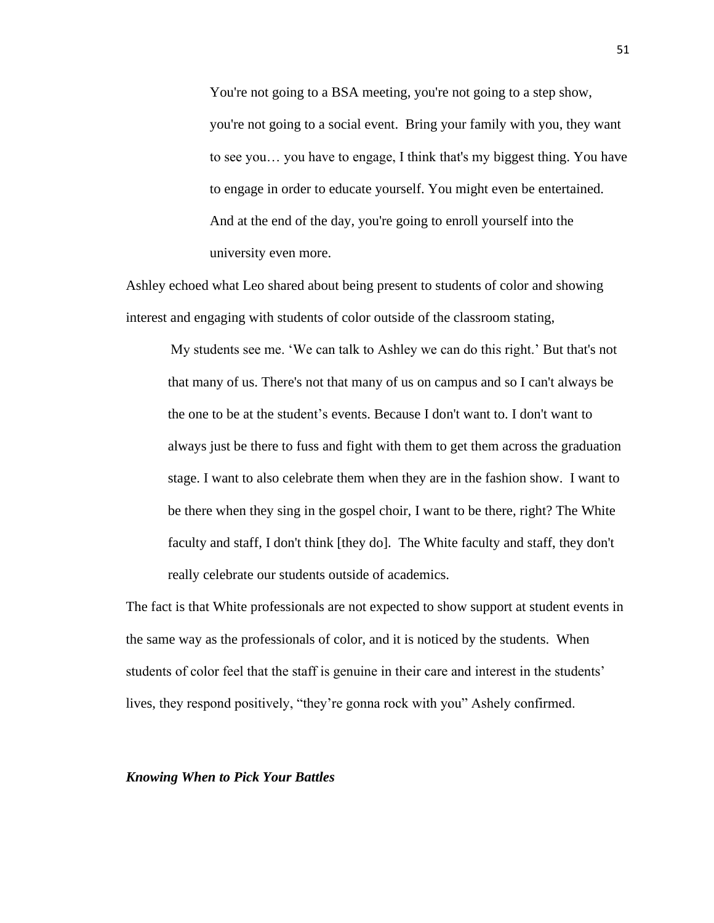You're not going to a BSA meeting, you're not going to a step show, you're not going to a social event. Bring your family with you, they want to see you… you have to engage, I think that's my biggest thing. You have to engage in order to educate yourself. You might even be entertained. And at the end of the day, you're going to enroll yourself into the university even more.

Ashley echoed what Leo shared about being present to students of color and showing interest and engaging with students of color outside of the classroom stating,

My students see me. 'We can talk to Ashley we can do this right.' But that's not that many of us. There's not that many of us on campus and so I can't always be the one to be at the student's events. Because I don't want to. I don't want to always just be there to fuss and fight with them to get them across the graduation stage. I want to also celebrate them when they are in the fashion show. I want to be there when they sing in the gospel choir, I want to be there, right? The White faculty and staff, I don't think [they do]. The White faculty and staff, they don't really celebrate our students outside of academics.

The fact is that White professionals are not expected to show support at student events in the same way as the professionals of color, and it is noticed by the students. When students of color feel that the staff is genuine in their care and interest in the students' lives, they respond positively, "they're gonna rock with you" Ashely confirmed.

### *Knowing When to Pick Your Battles*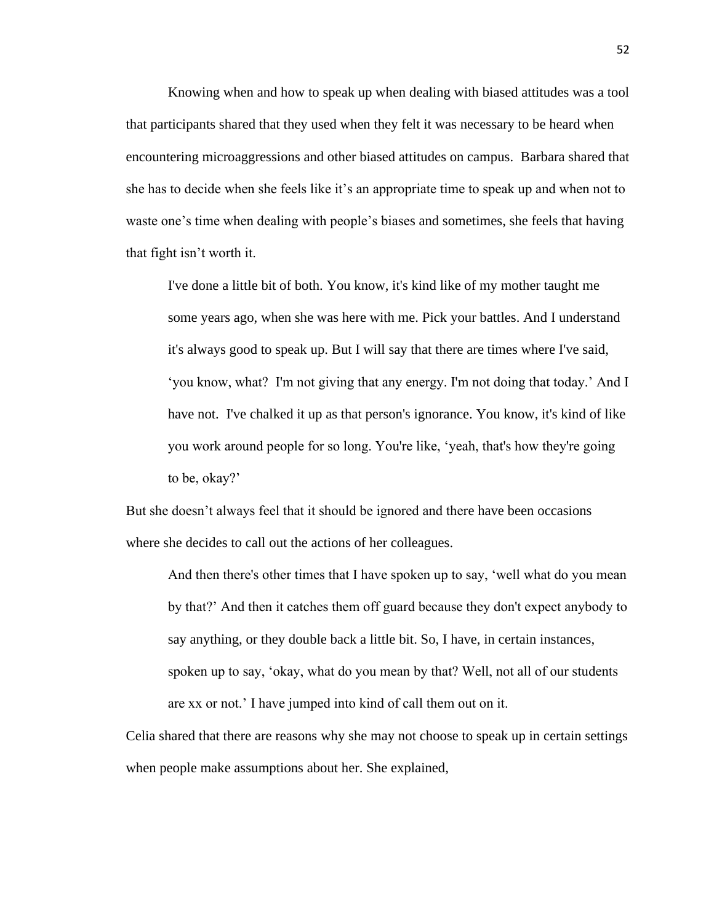Knowing when and how to speak up when dealing with biased attitudes was a tool that participants shared that they used when they felt it was necessary to be heard when encountering microaggressions and other biased attitudes on campus. Barbara shared that she has to decide when she feels like it's an appropriate time to speak up and when not to waste one's time when dealing with people's biases and sometimes, she feels that having that fight isn't worth it.

I've done a little bit of both. You know, it's kind like of my mother taught me some years ago, when she was here with me. Pick your battles. And I understand it's always good to speak up. But I will say that there are times where I've said, 'you know, what? I'm not giving that any energy. I'm not doing that today.' And I have not. I've chalked it up as that person's ignorance. You know, it's kind of like you work around people for so long. You're like, 'yeah, that's how they're going to be, okay?'

But she doesn't always feel that it should be ignored and there have been occasions where she decides to call out the actions of her colleagues.

And then there's other times that I have spoken up to say, 'well what do you mean by that?' And then it catches them off guard because they don't expect anybody to say anything, or they double back a little bit. So, I have, in certain instances, spoken up to say, 'okay, what do you mean by that? Well, not all of our students are xx or not.' I have jumped into kind of call them out on it.

Celia shared that there are reasons why she may not choose to speak up in certain settings when people make assumptions about her. She explained,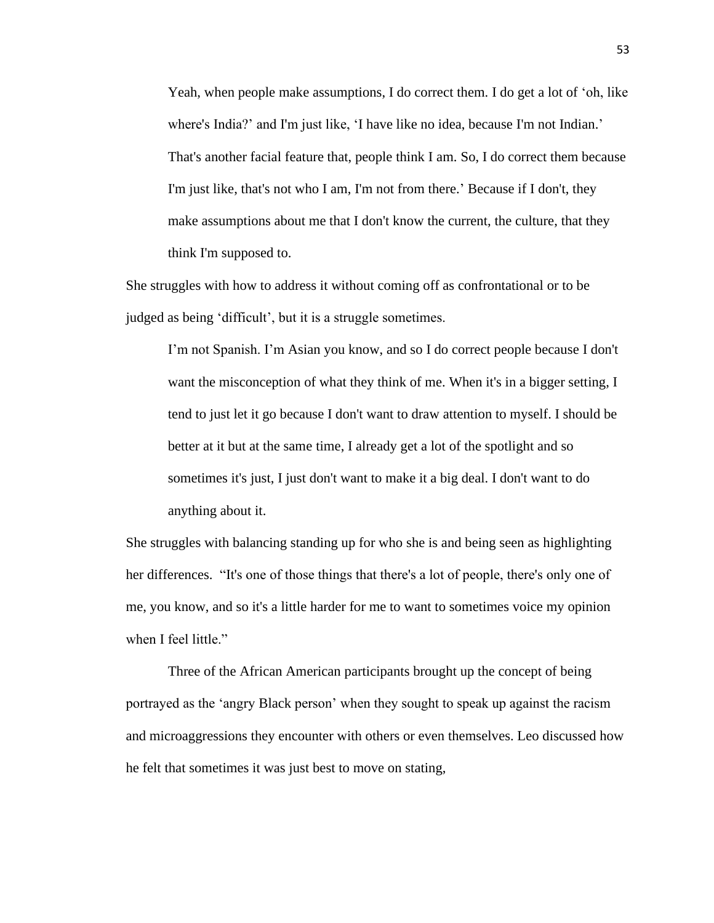Yeah, when people make assumptions, I do correct them. I do get a lot of 'oh, like where's India?' and I'm just like, 'I have like no idea, because I'm not Indian.' That's another facial feature that, people think I am. So, I do correct them because I'm just like, that's not who I am, I'm not from there.' Because if I don't, they make assumptions about me that I don't know the current, the culture, that they think I'm supposed to.

She struggles with how to address it without coming off as confrontational or to be judged as being 'difficult', but it is a struggle sometimes.

I'm not Spanish. I'm Asian you know, and so I do correct people because I don't want the misconception of what they think of me. When it's in a bigger setting, I tend to just let it go because I don't want to draw attention to myself. I should be better at it but at the same time, I already get a lot of the spotlight and so sometimes it's just, I just don't want to make it a big deal. I don't want to do anything about it.

She struggles with balancing standing up for who she is and being seen as highlighting her differences. "It's one of those things that there's a lot of people, there's only one of me, you know, and so it's a little harder for me to want to sometimes voice my opinion when I feel little."

Three of the African American participants brought up the concept of being portrayed as the 'angry Black person' when they sought to speak up against the racism and microaggressions they encounter with others or even themselves. Leo discussed how he felt that sometimes it was just best to move on stating,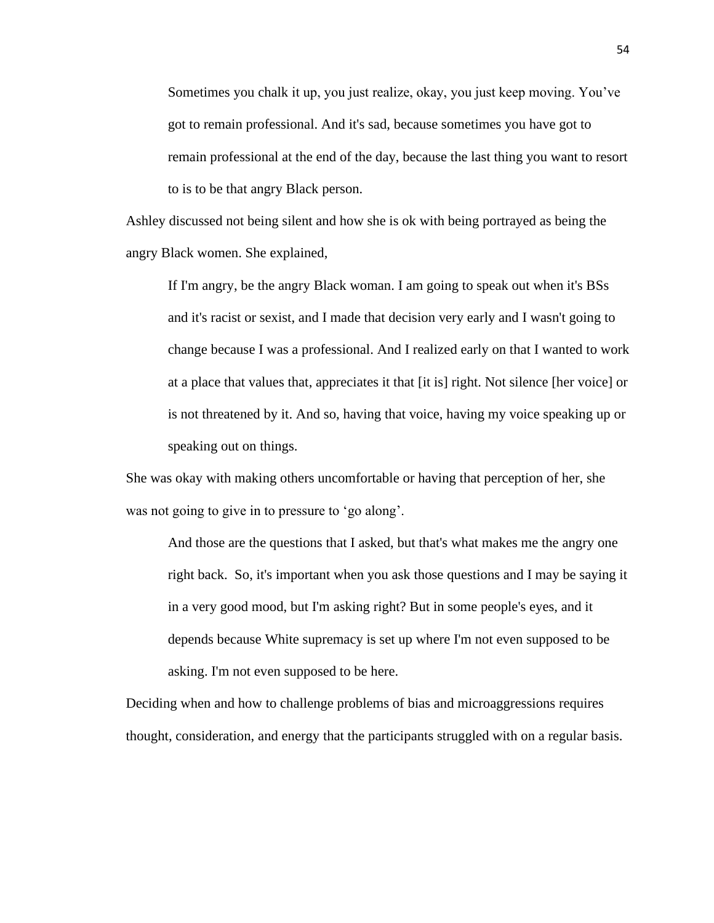Sometimes you chalk it up, you just realize, okay, you just keep moving. You've got to remain professional. And it's sad, because sometimes you have got to remain professional at the end of the day, because the last thing you want to resort to is to be that angry Black person.

Ashley discussed not being silent and how she is ok with being portrayed as being the angry Black women. She explained,

If I'm angry, be the angry Black woman. I am going to speak out when it's BSs and it's racist or sexist, and I made that decision very early and I wasn't going to change because I was a professional. And I realized early on that I wanted to work at a place that values that, appreciates it that [it is] right. Not silence [her voice] or is not threatened by it. And so, having that voice, having my voice speaking up or speaking out on things.

She was okay with making others uncomfortable or having that perception of her, she was not going to give in to pressure to 'go along'.

And those are the questions that I asked, but that's what makes me the angry one right back. So, it's important when you ask those questions and I may be saying it in a very good mood, but I'm asking right? But in some people's eyes, and it depends because White supremacy is set up where I'm not even supposed to be asking. I'm not even supposed to be here.

Deciding when and how to challenge problems of bias and microaggressions requires thought, consideration, and energy that the participants struggled with on a regular basis.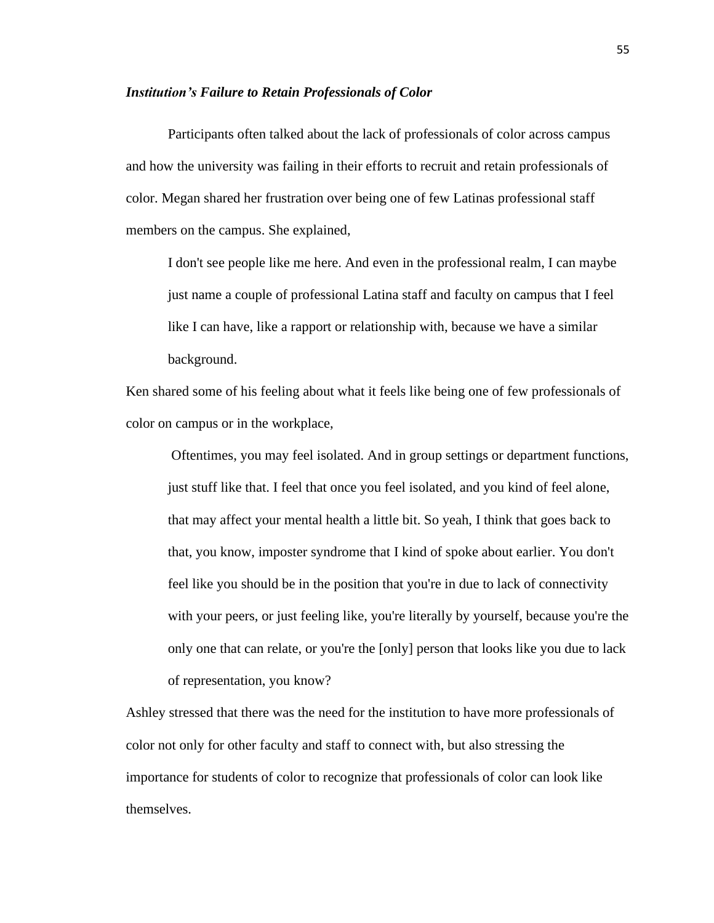#### *Institution's Failure to Retain Professionals of Color*

Participants often talked about the lack of professionals of color across campus and how the university was failing in their efforts to recruit and retain professionals of color. Megan shared her frustration over being one of few Latinas professional staff members on the campus. She explained,

I don't see people like me here. And even in the professional realm, I can maybe just name a couple of professional Latina staff and faculty on campus that I feel like I can have, like a rapport or relationship with, because we have a similar background.

Ken shared some of his feeling about what it feels like being one of few professionals of color on campus or in the workplace,

Oftentimes, you may feel isolated. And in group settings or department functions, just stuff like that. I feel that once you feel isolated, and you kind of feel alone, that may affect your mental health a little bit. So yeah, I think that goes back to that, you know, imposter syndrome that I kind of spoke about earlier. You don't feel like you should be in the position that you're in due to lack of connectivity with your peers, or just feeling like, you're literally by yourself, because you're the only one that can relate, or you're the [only] person that looks like you due to lack of representation, you know?

Ashley stressed that there was the need for the institution to have more professionals of color not only for other faculty and staff to connect with, but also stressing the importance for students of color to recognize that professionals of color can look like themselves.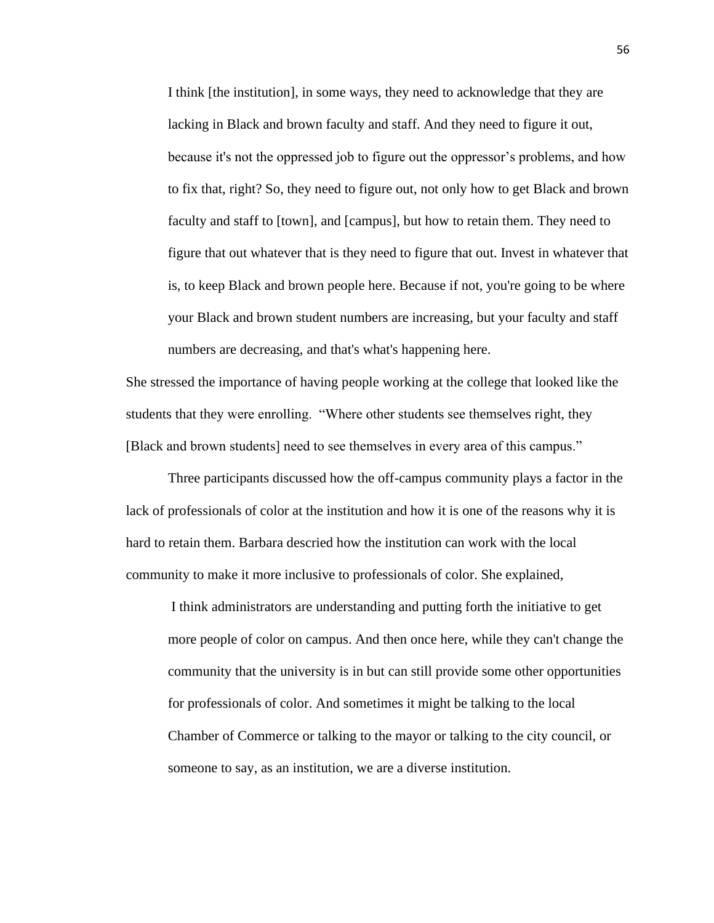I think [the institution], in some ways, they need to acknowledge that they are lacking in Black and brown faculty and staff. And they need to figure it out, because it's not the oppressed job to figure out the oppressor's problems, and how to fix that, right? So, they need to figure out, not only how to get Black and brown faculty and staff to [town], and [campus], but how to retain them. They need to figure that out whatever that is they need to figure that out. Invest in whatever that is, to keep Black and brown people here. Because if not, you're going to be where your Black and brown student numbers are increasing, but your faculty and staff numbers are decreasing, and that's what's happening here.

She stressed the importance of having people working at the college that looked like the students that they were enrolling. "Where other students see themselves right, they [Black and brown students] need to see themselves in every area of this campus."

Three participants discussed how the off-campus community plays a factor in the lack of professionals of color at the institution and how it is one of the reasons why it is hard to retain them. Barbara descried how the institution can work with the local community to make it more inclusive to professionals of color. She explained,

I think administrators are understanding and putting forth the initiative to get more people of color on campus. And then once here, while they can't change the community that the university is in but can still provide some other opportunities for professionals of color. And sometimes it might be talking to the local Chamber of Commerce or talking to the mayor or talking to the city council, or someone to say, as an institution, we are a diverse institution.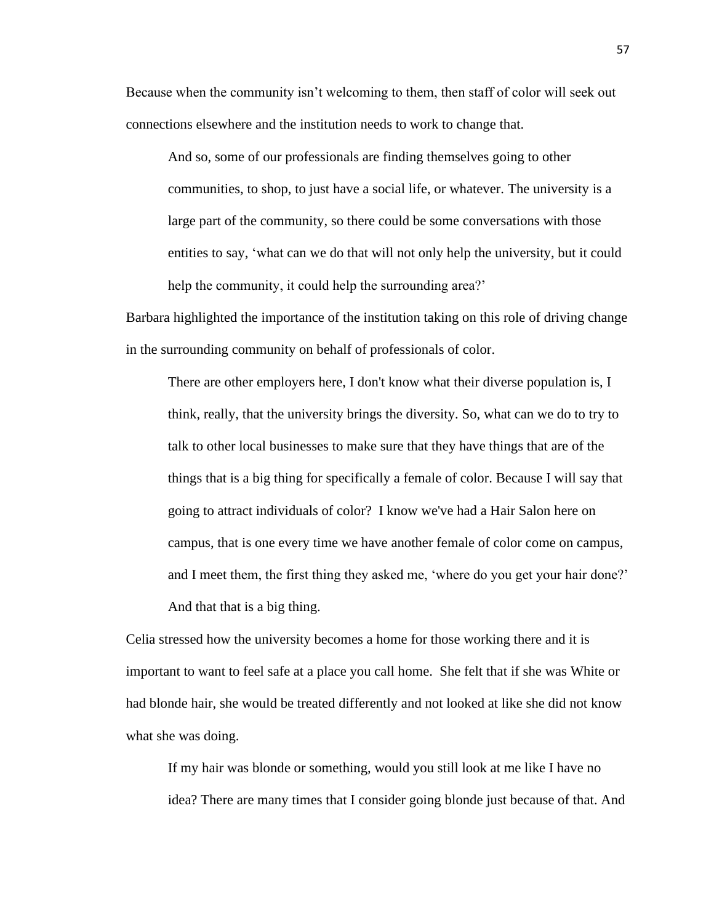Because when the community isn't welcoming to them, then staff of color will seek out connections elsewhere and the institution needs to work to change that.

And so, some of our professionals are finding themselves going to other communities, to shop, to just have a social life, or whatever. The university is a large part of the community, so there could be some conversations with those entities to say, 'what can we do that will not only help the university, but it could help the community, it could help the surrounding area?'

Barbara highlighted the importance of the institution taking on this role of driving change in the surrounding community on behalf of professionals of color.

There are other employers here, I don't know what their diverse population is, I think, really, that the university brings the diversity. So, what can we do to try to talk to other local businesses to make sure that they have things that are of the things that is a big thing for specifically a female of color. Because I will say that going to attract individuals of color? I know we've had a Hair Salon here on campus, that is one every time we have another female of color come on campus, and I meet them, the first thing they asked me, 'where do you get your hair done?' And that that is a big thing.

Celia stressed how the university becomes a home for those working there and it is important to want to feel safe at a place you call home. She felt that if she was White or had blonde hair, she would be treated differently and not looked at like she did not know what she was doing.

If my hair was blonde or something, would you still look at me like I have no idea? There are many times that I consider going blonde just because of that. And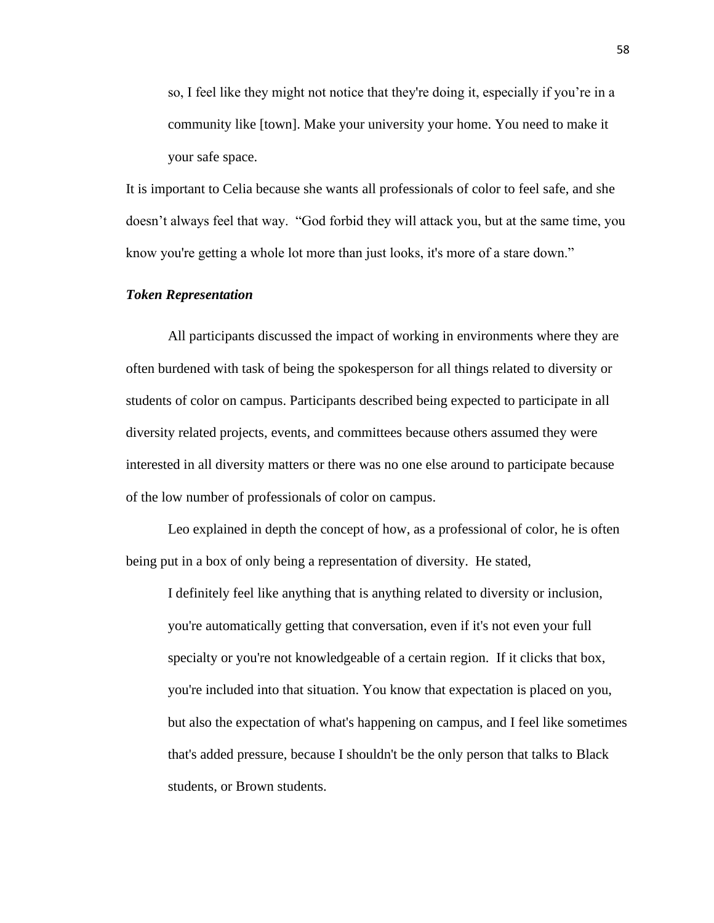so, I feel like they might not notice that they're doing it, especially if you're in a community like [town]. Make your university your home. You need to make it your safe space.

It is important to Celia because she wants all professionals of color to feel safe, and she doesn't always feel that way. "God forbid they will attack you, but at the same time, you know you're getting a whole lot more than just looks, it's more of a stare down."

# *Token Representation*

All participants discussed the impact of working in environments where they are often burdened with task of being the spokesperson for all things related to diversity or students of color on campus. Participants described being expected to participate in all diversity related projects, events, and committees because others assumed they were interested in all diversity matters or there was no one else around to participate because of the low number of professionals of color on campus.

Leo explained in depth the concept of how, as a professional of color, he is often being put in a box of only being a representation of diversity. He stated,

I definitely feel like anything that is anything related to diversity or inclusion, you're automatically getting that conversation, even if it's not even your full specialty or you're not knowledgeable of a certain region. If it clicks that box, you're included into that situation. You know that expectation is placed on you, but also the expectation of what's happening on campus, and I feel like sometimes that's added pressure, because I shouldn't be the only person that talks to Black students, or Brown students.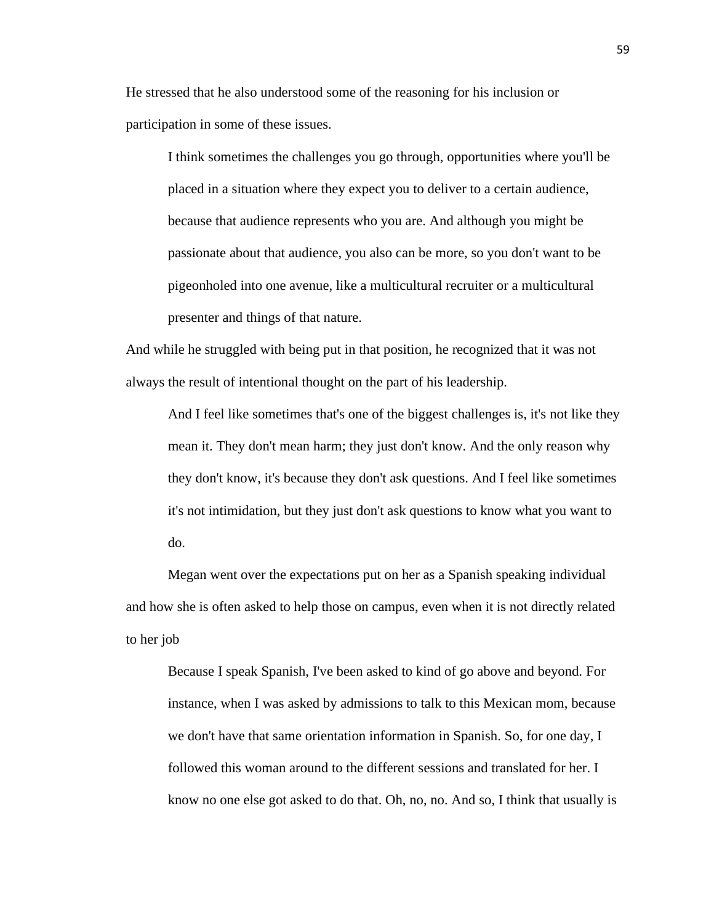He stressed that he also understood some of the reasoning for his inclusion or participation in some of these issues.

I think sometimes the challenges you go through, opportunities where you'll be placed in a situation where they expect you to deliver to a certain audience, because that audience represents who you are. And although you might be passionate about that audience, you also can be more, so you don't want to be pigeonholed into one avenue, like a multicultural recruiter or a multicultural presenter and things of that nature.

And while he struggled with being put in that position, he recognized that it was not always the result of intentional thought on the part of his leadership.

And I feel like sometimes that's one of the biggest challenges is, it's not like they mean it. They don't mean harm; they just don't know. And the only reason why they don't know, it's because they don't ask questions. And I feel like sometimes it's not intimidation, but they just don't ask questions to know what you want to do.

Megan went over the expectations put on her as a Spanish speaking individual and how she is often asked to help those on campus, even when it is not directly related to her job

Because I speak Spanish, I've been asked to kind of go above and beyond. For instance, when I was asked by admissions to talk to this Mexican mom, because we don't have that same orientation information in Spanish. So, for one day, I followed this woman around to the different sessions and translated for her. I know no one else got asked to do that. Oh, no, no. And so, I think that usually is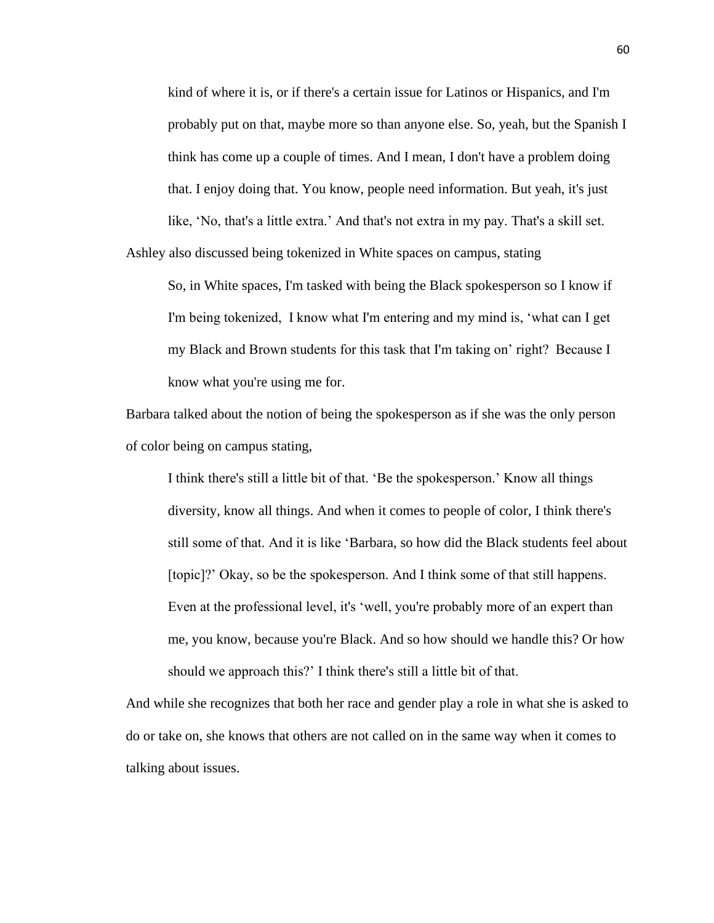kind of where it is, or if there's a certain issue for Latinos or Hispanics, and I'm probably put on that, maybe more so than anyone else. So, yeah, but the Spanish I think has come up a couple of times. And I mean, I don't have a problem doing that. I enjoy doing that. You know, people need information. But yeah, it's just like, 'No, that's a little extra.' And that's not extra in my pay. That's a skill set.

Ashley also discussed being tokenized in White spaces on campus, stating

So, in White spaces, I'm tasked with being the Black spokesperson so I know if I'm being tokenized, I know what I'm entering and my mind is, 'what can I get my Black and Brown students for this task that I'm taking on' right? Because I know what you're using me for.

Barbara talked about the notion of being the spokesperson as if she was the only person of color being on campus stating,

I think there's still a little bit of that. 'Be the spokesperson.' Know all things diversity, know all things. And when it comes to people of color, I think there's still some of that. And it is like 'Barbara, so how did the Black students feel about [topic]?' Okay, so be the spokesperson. And I think some of that still happens. Even at the professional level, it's 'well, you're probably more of an expert than me, you know, because you're Black. And so how should we handle this? Or how should we approach this?' I think there's still a little bit of that.

And while she recognizes that both her race and gender play a role in what she is asked to do or take on, she knows that others are not called on in the same way when it comes to talking about issues.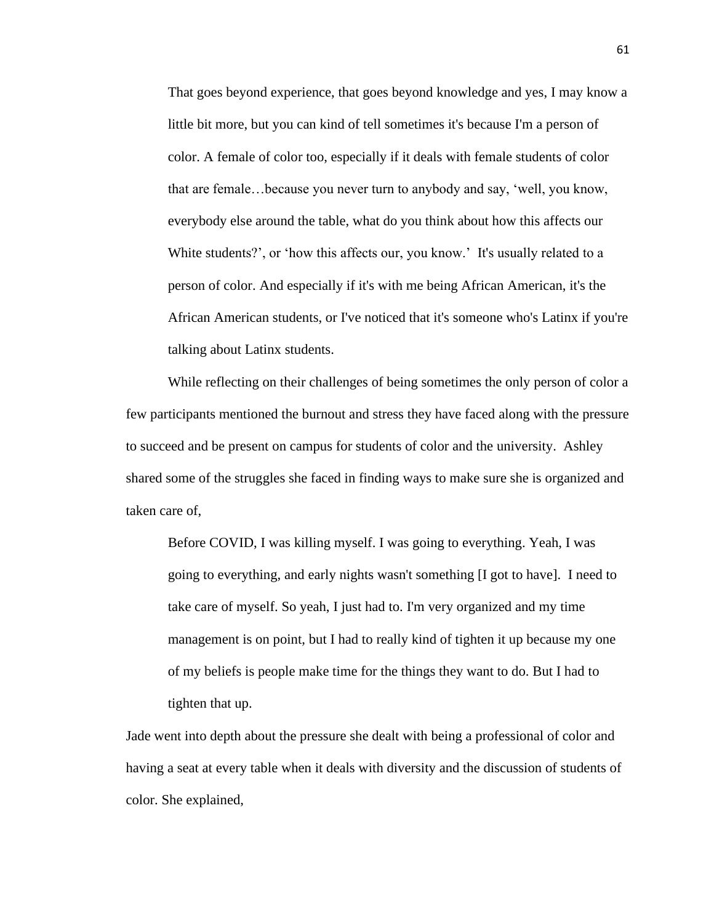That goes beyond experience, that goes beyond knowledge and yes, I may know a little bit more, but you can kind of tell sometimes it's because I'm a person of color. A female of color too, especially if it deals with female students of color that are female…because you never turn to anybody and say, 'well, you know, everybody else around the table, what do you think about how this affects our White students?', or 'how this affects our, you know.' It's usually related to a person of color. And especially if it's with me being African American, it's the African American students, or I've noticed that it's someone who's Latinx if you're talking about Latinx students.

While reflecting on their challenges of being sometimes the only person of color a few participants mentioned the burnout and stress they have faced along with the pressure to succeed and be present on campus for students of color and the university. Ashley shared some of the struggles she faced in finding ways to make sure she is organized and taken care of,

Before COVID, I was killing myself. I was going to everything. Yeah, I was going to everything, and early nights wasn't something [I got to have]. I need to take care of myself. So yeah, I just had to. I'm very organized and my time management is on point, but I had to really kind of tighten it up because my one of my beliefs is people make time for the things they want to do. But I had to tighten that up.

Jade went into depth about the pressure she dealt with being a professional of color and having a seat at every table when it deals with diversity and the discussion of students of color. She explained,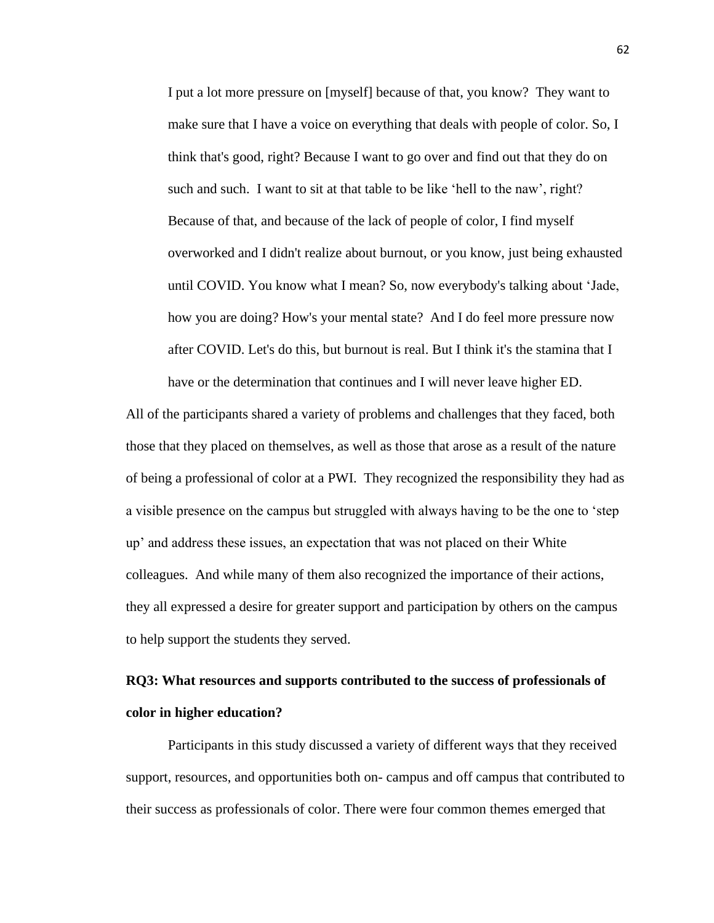I put a lot more pressure on [myself] because of that, you know? They want to make sure that I have a voice on everything that deals with people of color. So, I think that's good, right? Because I want to go over and find out that they do on such and such. I want to sit at that table to be like 'hell to the naw', right? Because of that, and because of the lack of people of color, I find myself overworked and I didn't realize about burnout, or you know, just being exhausted until COVID. You know what I mean? So, now everybody's talking about 'Jade, how you are doing? How's your mental state? And I do feel more pressure now after COVID. Let's do this, but burnout is real. But I think it's the stamina that I have or the determination that continues and I will never leave higher ED.

All of the participants shared a variety of problems and challenges that they faced, both those that they placed on themselves, as well as those that arose as a result of the nature of being a professional of color at a PWI. They recognized the responsibility they had as a visible presence on the campus but struggled with always having to be the one to 'step up' and address these issues, an expectation that was not placed on their White colleagues. And while many of them also recognized the importance of their actions, they all expressed a desire for greater support and participation by others on the campus to help support the students they served.

# **RQ3: What resources and supports contributed to the success of professionals of color in higher education?**

Participants in this study discussed a variety of different ways that they received support, resources, and opportunities both on- campus and off campus that contributed to their success as professionals of color. There were four common themes emerged that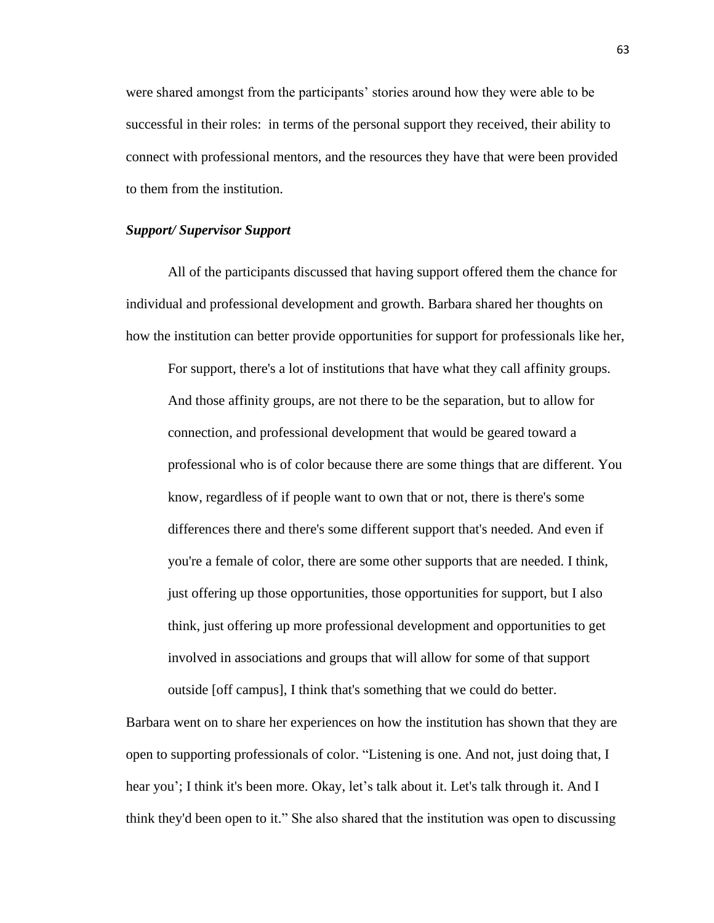were shared amongst from the participants' stories around how they were able to be successful in their roles: in terms of the personal support they received, their ability to connect with professional mentors, and the resources they have that were been provided to them from the institution.

# *Support/ Supervisor Support*

All of the participants discussed that having support offered them the chance for individual and professional development and growth. Barbara shared her thoughts on how the institution can better provide opportunities for support for professionals like her,

For support, there's a lot of institutions that have what they call affinity groups. And those affinity groups, are not there to be the separation, but to allow for connection, and professional development that would be geared toward a professional who is of color because there are some things that are different. You know, regardless of if people want to own that or not, there is there's some differences there and there's some different support that's needed. And even if you're a female of color, there are some other supports that are needed. I think, just offering up those opportunities, those opportunities for support, but I also think, just offering up more professional development and opportunities to get involved in associations and groups that will allow for some of that support outside [off campus], I think that's something that we could do better.

Barbara went on to share her experiences on how the institution has shown that they are open to supporting professionals of color. "Listening is one. And not, just doing that, I hear you'; I think it's been more. Okay, let's talk about it. Let's talk through it. And I think they'd been open to it." She also shared that the institution was open to discussing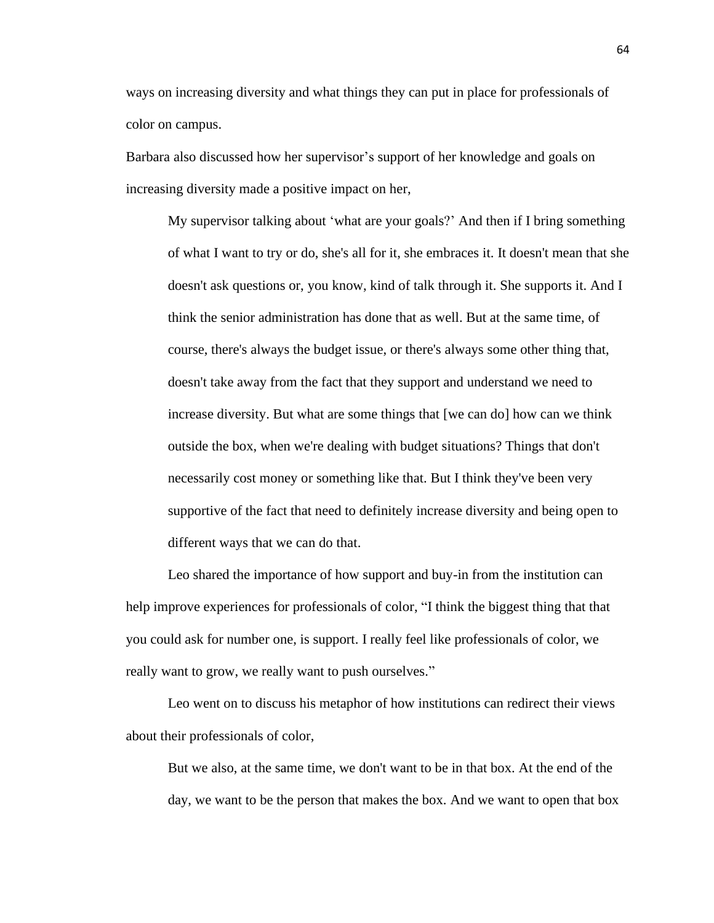ways on increasing diversity and what things they can put in place for professionals of color on campus.

Barbara also discussed how her supervisor's support of her knowledge and goals on increasing diversity made a positive impact on her,

My supervisor talking about 'what are your goals?' And then if I bring something of what I want to try or do, she's all for it, she embraces it. It doesn't mean that she doesn't ask questions or, you know, kind of talk through it. She supports it. And I think the senior administration has done that as well. But at the same time, of course, there's always the budget issue, or there's always some other thing that, doesn't take away from the fact that they support and understand we need to increase diversity. But what are some things that [we can do] how can we think outside the box, when we're dealing with budget situations? Things that don't necessarily cost money or something like that. But I think they've been very supportive of the fact that need to definitely increase diversity and being open to different ways that we can do that.

Leo shared the importance of how support and buy-in from the institution can help improve experiences for professionals of color, "I think the biggest thing that that you could ask for number one, is support. I really feel like professionals of color, we really want to grow, we really want to push ourselves."

Leo went on to discuss his metaphor of how institutions can redirect their views about their professionals of color,

But we also, at the same time, we don't want to be in that box. At the end of the day, we want to be the person that makes the box. And we want to open that box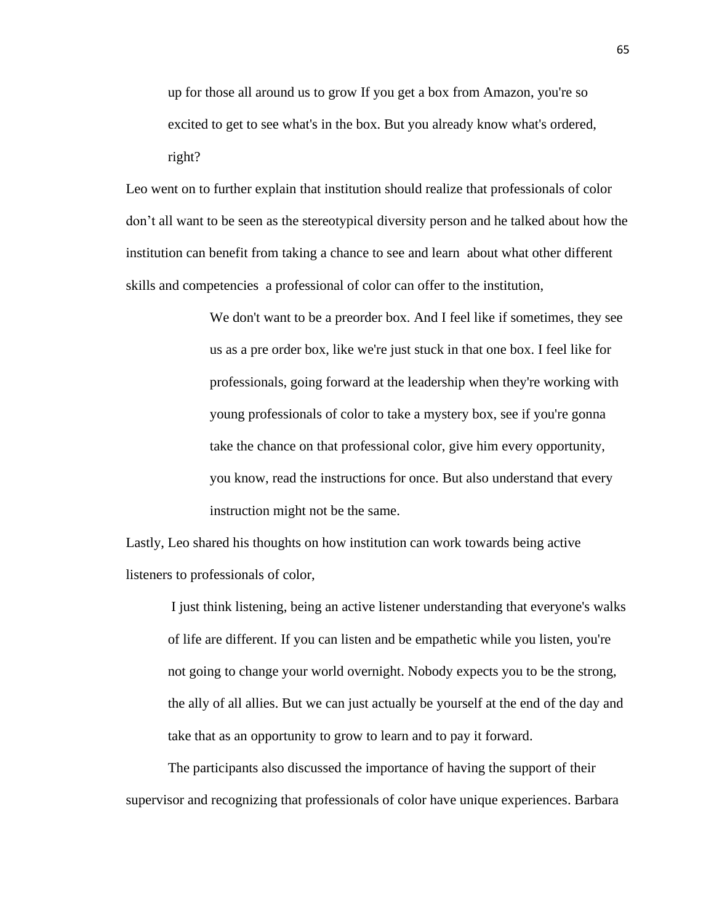up for those all around us to grow If you get a box from Amazon, you're so excited to get to see what's in the box. But you already know what's ordered, right?

Leo went on to further explain that institution should realize that professionals of color don't all want to be seen as the stereotypical diversity person and he talked about how the institution can benefit from taking a chance to see and learn about what other different skills and competencies a professional of color can offer to the institution,

> We don't want to be a preorder box. And I feel like if sometimes, they see us as a pre order box, like we're just stuck in that one box. I feel like for professionals, going forward at the leadership when they're working with young professionals of color to take a mystery box, see if you're gonna take the chance on that professional color, give him every opportunity, you know, read the instructions for once. But also understand that every instruction might not be the same.

Lastly, Leo shared his thoughts on how institution can work towards being active listeners to professionals of color,

I just think listening, being an active listener understanding that everyone's walks of life are different. If you can listen and be empathetic while you listen, you're not going to change your world overnight. Nobody expects you to be the strong, the ally of all allies. But we can just actually be yourself at the end of the day and take that as an opportunity to grow to learn and to pay it forward.

The participants also discussed the importance of having the support of their supervisor and recognizing that professionals of color have unique experiences. Barbara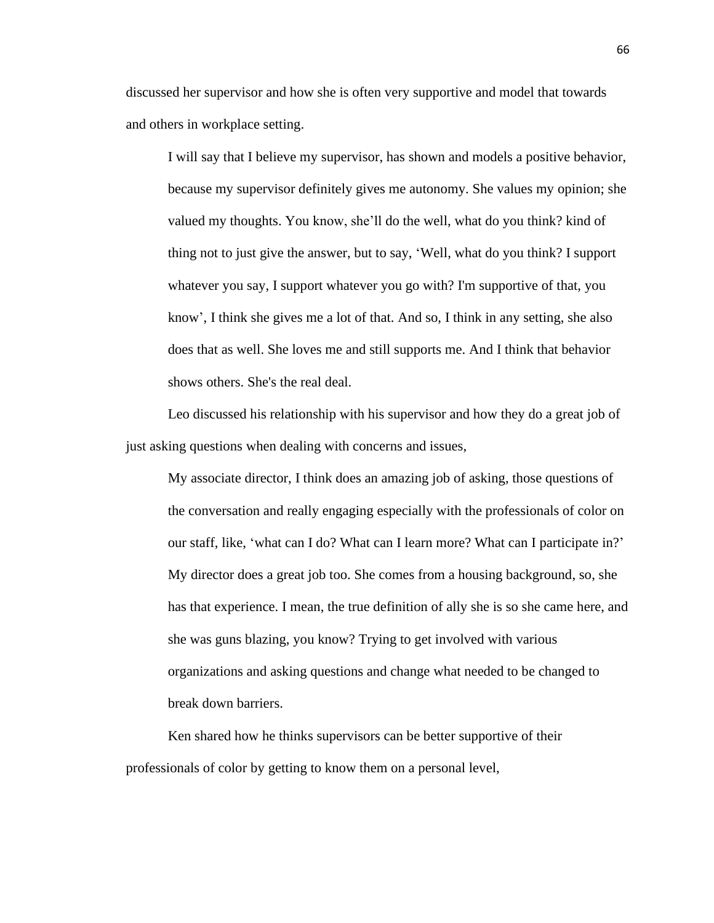discussed her supervisor and how she is often very supportive and model that towards and others in workplace setting.

I will say that I believe my supervisor, has shown and models a positive behavior, because my supervisor definitely gives me autonomy. She values my opinion; she valued my thoughts. You know, she'll do the well, what do you think? kind of thing not to just give the answer, but to say, 'Well, what do you think? I support whatever you say, I support whatever you go with? I'm supportive of that, you know', I think she gives me a lot of that. And so, I think in any setting, she also does that as well. She loves me and still supports me. And I think that behavior shows others. She's the real deal.

Leo discussed his relationship with his supervisor and how they do a great job of just asking questions when dealing with concerns and issues,

My associate director, I think does an amazing job of asking, those questions of the conversation and really engaging especially with the professionals of color on our staff, like, 'what can I do? What can I learn more? What can I participate in?' My director does a great job too. She comes from a housing background, so, she has that experience. I mean, the true definition of ally she is so she came here, and she was guns blazing, you know? Trying to get involved with various organizations and asking questions and change what needed to be changed to break down barriers.

Ken shared how he thinks supervisors can be better supportive of their professionals of color by getting to know them on a personal level,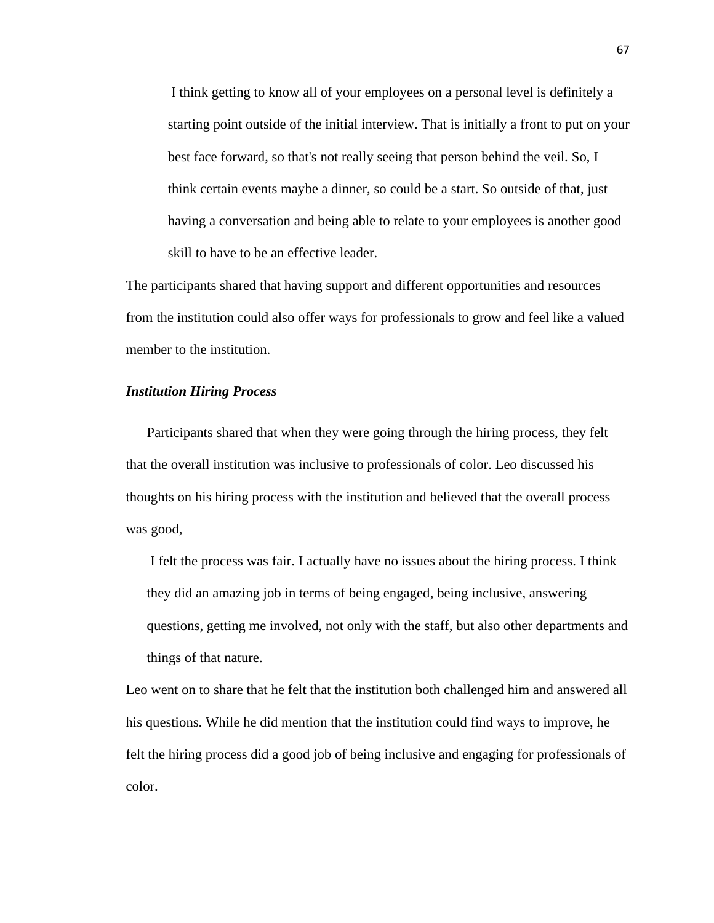I think getting to know all of your employees on a personal level is definitely a starting point outside of the initial interview. That is initially a front to put on your best face forward, so that's not really seeing that person behind the veil. So, I think certain events maybe a dinner, so could be a start. So outside of that, just having a conversation and being able to relate to your employees is another good skill to have to be an effective leader.

The participants shared that having support and different opportunities and resources from the institution could also offer ways for professionals to grow and feel like a valued member to the institution.

# *Institution Hiring Process*

Participants shared that when they were going through the hiring process, they felt that the overall institution was inclusive to professionals of color. Leo discussed his thoughts on his hiring process with the institution and believed that the overall process was good,

I felt the process was fair. I actually have no issues about the hiring process. I think they did an amazing job in terms of being engaged, being inclusive, answering questions, getting me involved, not only with the staff, but also other departments and things of that nature.

Leo went on to share that he felt that the institution both challenged him and answered all his questions. While he did mention that the institution could find ways to improve, he felt the hiring process did a good job of being inclusive and engaging for professionals of color.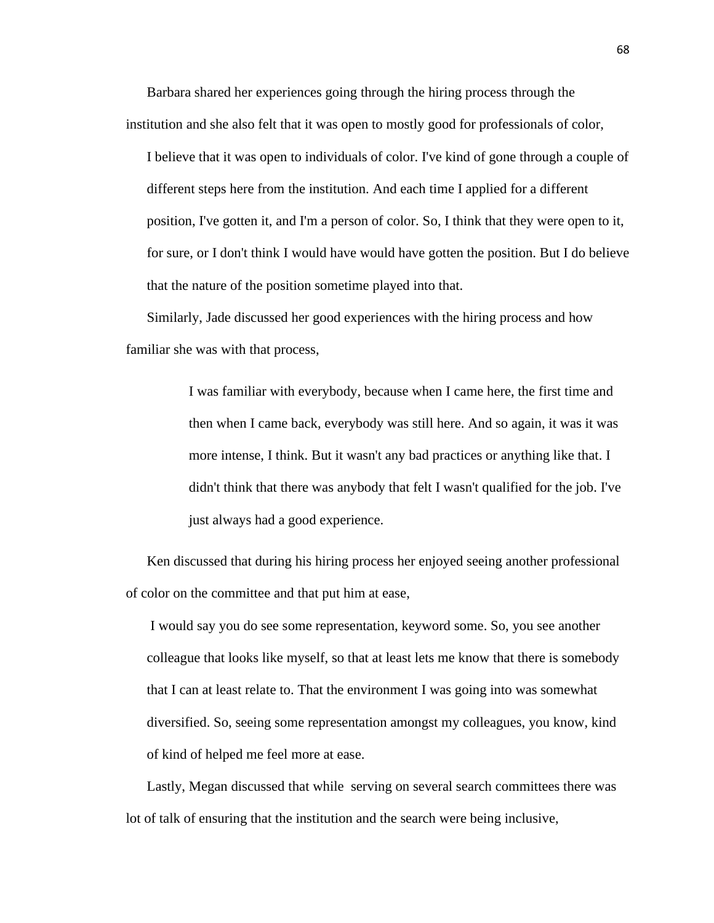Barbara shared her experiences going through the hiring process through the institution and she also felt that it was open to mostly good for professionals of color,

I believe that it was open to individuals of color. I've kind of gone through a couple of different steps here from the institution. And each time I applied for a different position, I've gotten it, and I'm a person of color. So, I think that they were open to it, for sure, or I don't think I would have would have gotten the position. But I do believe that the nature of the position sometime played into that.

Similarly, Jade discussed her good experiences with the hiring process and how familiar she was with that process,

> I was familiar with everybody, because when I came here, the first time and then when I came back, everybody was still here. And so again, it was it was more intense, I think. But it wasn't any bad practices or anything like that. I didn't think that there was anybody that felt I wasn't qualified for the job. I've just always had a good experience.

Ken discussed that during his hiring process her enjoyed seeing another professional of color on the committee and that put him at ease,

I would say you do see some representation, keyword some. So, you see another colleague that looks like myself, so that at least lets me know that there is somebody that I can at least relate to. That the environment I was going into was somewhat diversified. So, seeing some representation amongst my colleagues, you know, kind of kind of helped me feel more at ease.

Lastly, Megan discussed that while serving on several search committees there was lot of talk of ensuring that the institution and the search were being inclusive,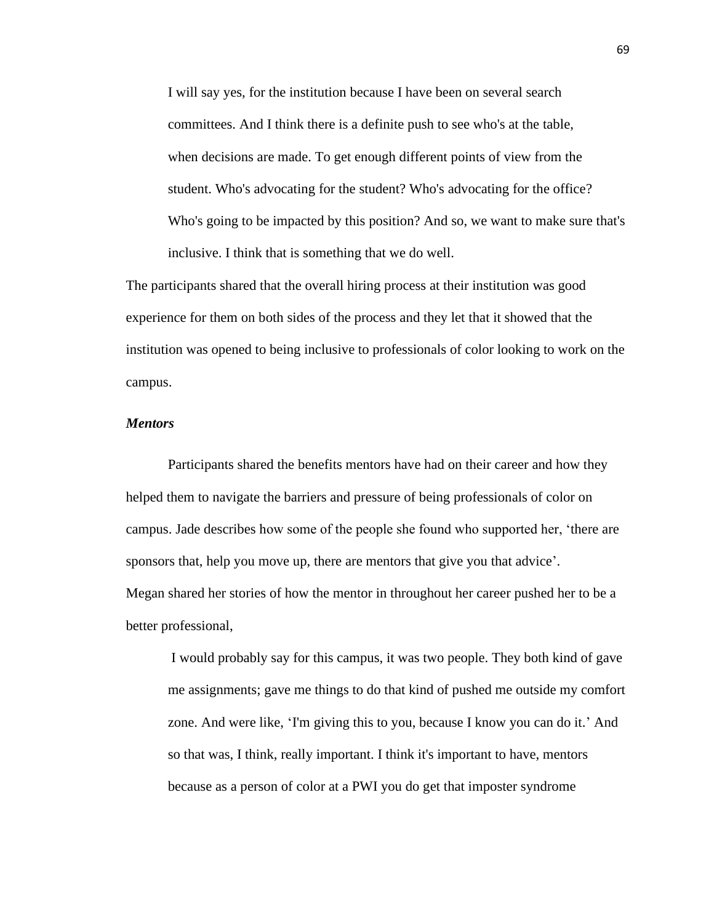I will say yes, for the institution because I have been on several search committees. And I think there is a definite push to see who's at the table, when decisions are made. To get enough different points of view from the student. Who's advocating for the student? Who's advocating for the office? Who's going to be impacted by this position? And so, we want to make sure that's inclusive. I think that is something that we do well.

The participants shared that the overall hiring process at their institution was good experience for them on both sides of the process and they let that it showed that the institution was opened to being inclusive to professionals of color looking to work on the campus.

# *Mentors*

Participants shared the benefits mentors have had on their career and how they helped them to navigate the barriers and pressure of being professionals of color on campus. Jade describes how some of the people she found who supported her, 'there are sponsors that, help you move up, there are mentors that give you that advice'. Megan shared her stories of how the mentor in throughout her career pushed her to be a better professional,

I would probably say for this campus, it was two people. They both kind of gave me assignments; gave me things to do that kind of pushed me outside my comfort zone. And were like, 'I'm giving this to you, because I know you can do it.' And so that was, I think, really important. I think it's important to have, mentors because as a person of color at a PWI you do get that imposter syndrome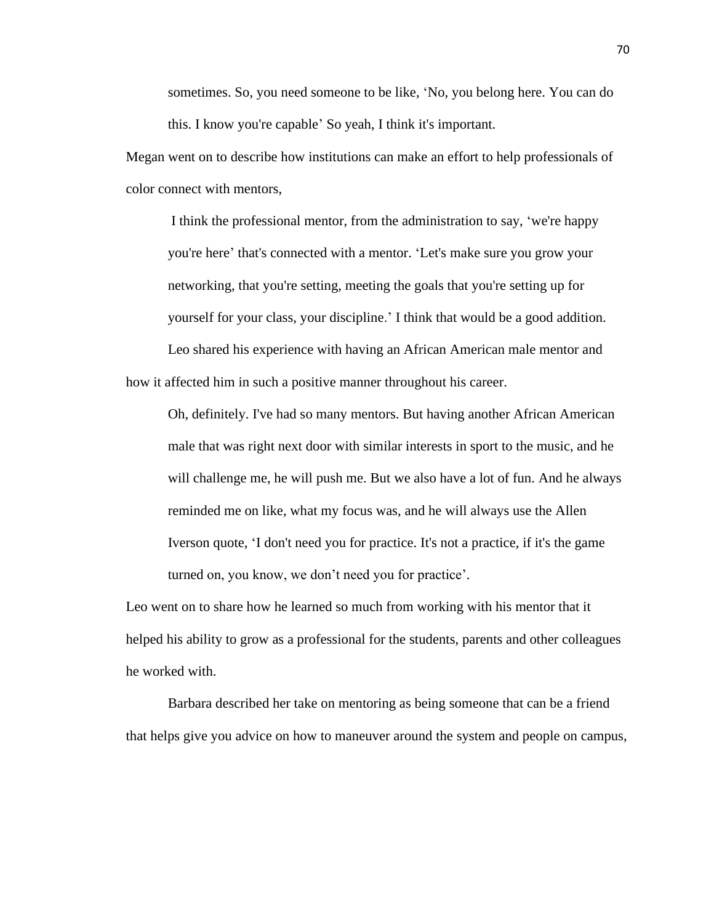sometimes. So, you need someone to be like, 'No, you belong here. You can do this. I know you're capable' So yeah, I think it's important.

Megan went on to describe how institutions can make an effort to help professionals of color connect with mentors,

I think the professional mentor, from the administration to say, 'we're happy you're here' that's connected with a mentor. 'Let's make sure you grow your networking, that you're setting, meeting the goals that you're setting up for yourself for your class, your discipline.' I think that would be a good addition. Leo shared his experience with having an African American male mentor and how it affected him in such a positive manner throughout his career.

Oh, definitely. I've had so many mentors. But having another African American male that was right next door with similar interests in sport to the music, and he will challenge me, he will push me. But we also have a lot of fun. And he always reminded me on like, what my focus was, and he will always use the Allen Iverson quote, 'I don't need you for practice. It's not a practice, if it's the game turned on, you know, we don't need you for practice'.

Leo went on to share how he learned so much from working with his mentor that it helped his ability to grow as a professional for the students, parents and other colleagues he worked with.

Barbara described her take on mentoring as being someone that can be a friend that helps give you advice on how to maneuver around the system and people on campus,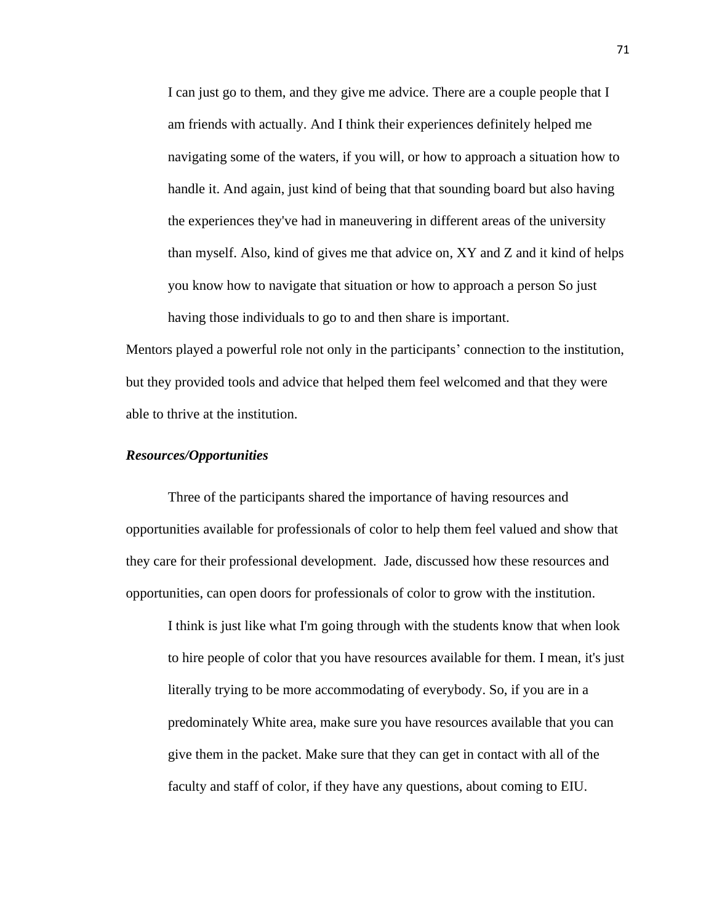I can just go to them, and they give me advice. There are a couple people that I am friends with actually. And I think their experiences definitely helped me navigating some of the waters, if you will, or how to approach a situation how to handle it. And again, just kind of being that that sounding board but also having the experiences they've had in maneuvering in different areas of the university than myself. Also, kind of gives me that advice on, XY and Z and it kind of helps you know how to navigate that situation or how to approach a person So just having those individuals to go to and then share is important.

Mentors played a powerful role not only in the participants' connection to the institution, but they provided tools and advice that helped them feel welcomed and that they were able to thrive at the institution.

## *Resources/Opportunities*

Three of the participants shared the importance of having resources and opportunities available for professionals of color to help them feel valued and show that they care for their professional development. Jade, discussed how these resources and opportunities, can open doors for professionals of color to grow with the institution.

I think is just like what I'm going through with the students know that when look to hire people of color that you have resources available for them. I mean, it's just literally trying to be more accommodating of everybody. So, if you are in a predominately White area, make sure you have resources available that you can give them in the packet. Make sure that they can get in contact with all of the faculty and staff of color, if they have any questions, about coming to EIU.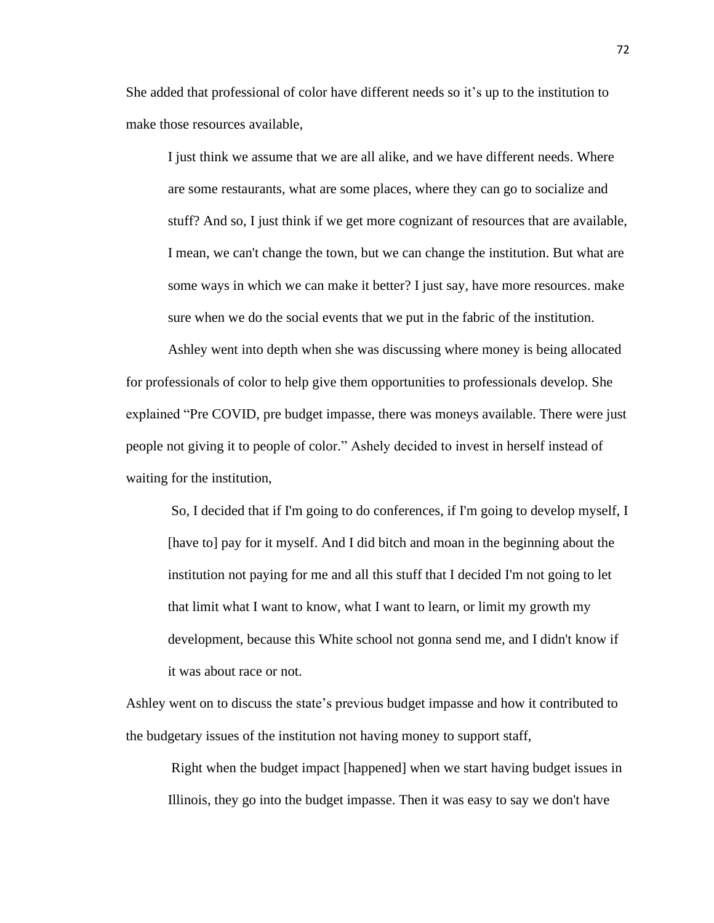She added that professional of color have different needs so it's up to the institution to make those resources available,

I just think we assume that we are all alike, and we have different needs. Where are some restaurants, what are some places, where they can go to socialize and stuff? And so, I just think if we get more cognizant of resources that are available, I mean, we can't change the town, but we can change the institution. But what are some ways in which we can make it better? I just say, have more resources. make sure when we do the social events that we put in the fabric of the institution.

Ashley went into depth when she was discussing where money is being allocated for professionals of color to help give them opportunities to professionals develop. She explained "Pre COVID, pre budget impasse, there was moneys available. There were just people not giving it to people of color." Ashely decided to invest in herself instead of waiting for the institution,

So, I decided that if I'm going to do conferences, if I'm going to develop myself, I [have to] pay for it myself. And I did bitch and moan in the beginning about the institution not paying for me and all this stuff that I decided I'm not going to let that limit what I want to know, what I want to learn, or limit my growth my development, because this White school not gonna send me, and I didn't know if it was about race or not.

Ashley went on to discuss the state's previous budget impasse and how it contributed to the budgetary issues of the institution not having money to support staff,

Right when the budget impact [happened] when we start having budget issues in Illinois, they go into the budget impasse. Then it was easy to say we don't have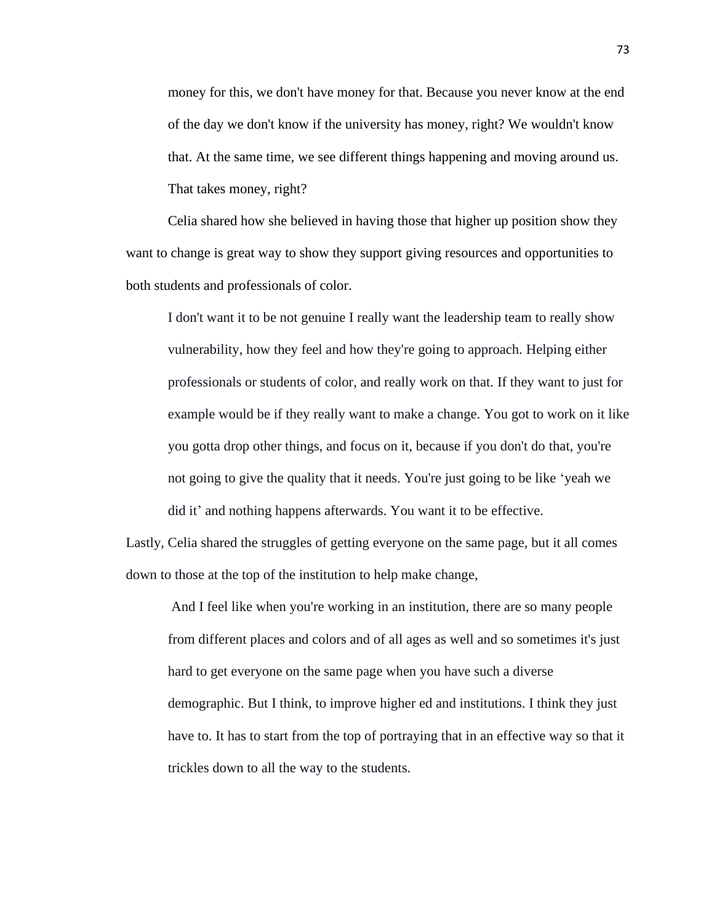money for this, we don't have money for that. Because you never know at the end of the day we don't know if the university has money, right? We wouldn't know that. At the same time, we see different things happening and moving around us. That takes money, right?

Celia shared how she believed in having those that higher up position show they want to change is great way to show they support giving resources and opportunities to both students and professionals of color.

I don't want it to be not genuine I really want the leadership team to really show vulnerability, how they feel and how they're going to approach. Helping either professionals or students of color, and really work on that. If they want to just for example would be if they really want to make a change. You got to work on it like you gotta drop other things, and focus on it, because if you don't do that, you're not going to give the quality that it needs. You're just going to be like 'yeah we did it' and nothing happens afterwards. You want it to be effective.

Lastly, Celia shared the struggles of getting everyone on the same page, but it all comes down to those at the top of the institution to help make change,

And I feel like when you're working in an institution, there are so many people from different places and colors and of all ages as well and so sometimes it's just hard to get everyone on the same page when you have such a diverse demographic. But I think, to improve higher ed and institutions. I think they just have to. It has to start from the top of portraying that in an effective way so that it trickles down to all the way to the students.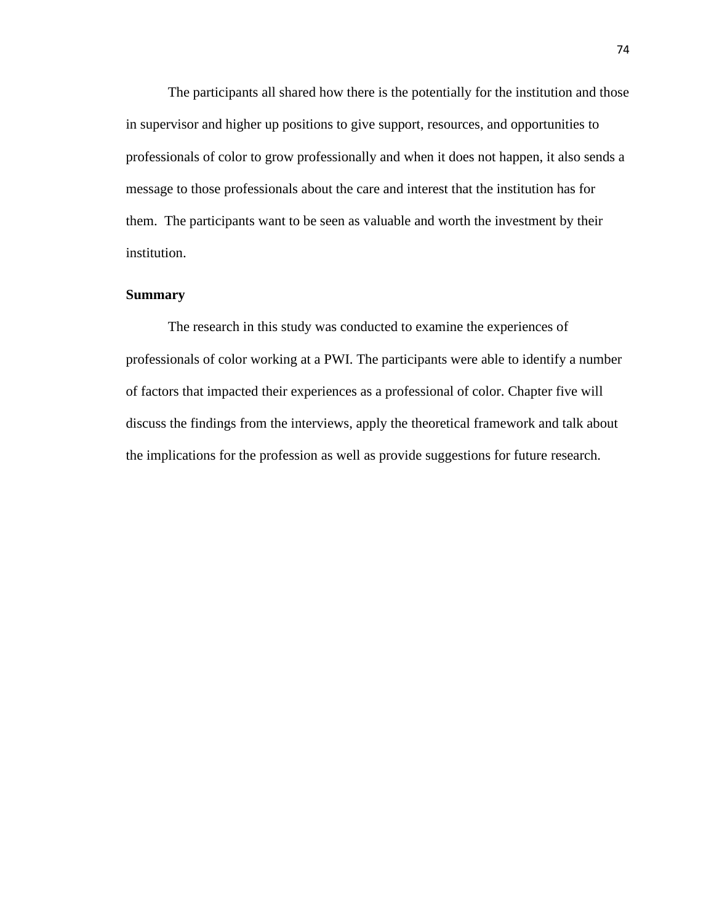The participants all shared how there is the potentially for the institution and those in supervisor and higher up positions to give support, resources, and opportunities to professionals of color to grow professionally and when it does not happen, it also sends a message to those professionals about the care and interest that the institution has for them. The participants want to be seen as valuable and worth the investment by their institution.

## **Summary**

The research in this study was conducted to examine the experiences of professionals of color working at a PWI. The participants were able to identify a number of factors that impacted their experiences as a professional of color. Chapter five will discuss the findings from the interviews, apply the theoretical framework and talk about the implications for the profession as well as provide suggestions for future research.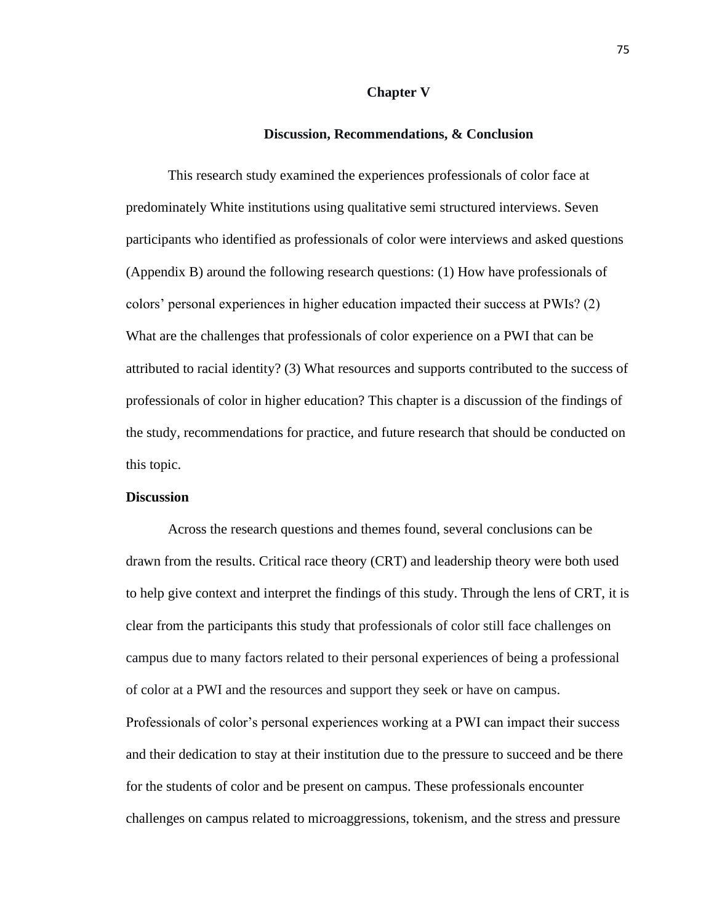#### **Chapter V**

## **Discussion, Recommendations, & Conclusion**

This research study examined the experiences professionals of color face at predominately White institutions using qualitative semi structured interviews. Seven participants who identified as professionals of color were interviews and asked questions (Appendix B) around the following research questions: (1) How have professionals of colors' personal experiences in higher education impacted their success at PWIs? (2) What are the challenges that professionals of color experience on a PWI that can be attributed to racial identity? (3) What resources and supports contributed to the success of professionals of color in higher education? This chapter is a discussion of the findings of the study, recommendations for practice, and future research that should be conducted on this topic.

# **Discussion**

Across the research questions and themes found, several conclusions can be drawn from the results. Critical race theory (CRT) and leadership theory were both used to help give context and interpret the findings of this study. Through the lens of CRT, it is clear from the participants this study that professionals of color still face challenges on campus due to many factors related to their personal experiences of being a professional of color at a PWI and the resources and support they seek or have on campus. Professionals of color's personal experiences working at a PWI can impact their success and their dedication to stay at their institution due to the pressure to succeed and be there for the students of color and be present on campus. These professionals encounter challenges on campus related to microaggressions, tokenism, and the stress and pressure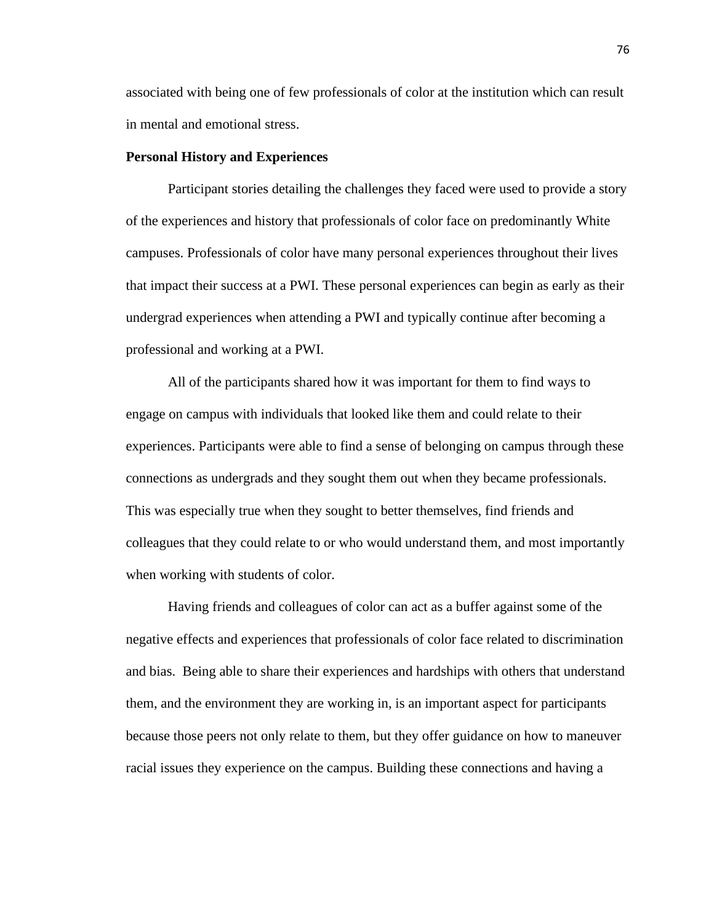associated with being one of few professionals of color at the institution which can result in mental and emotional stress.

### **Personal History and Experiences**

Participant stories detailing the challenges they faced were used to provide a story of the experiences and history that professionals of color face on predominantly White campuses. Professionals of color have many personal experiences throughout their lives that impact their success at a PWI. These personal experiences can begin as early as their undergrad experiences when attending a PWI and typically continue after becoming a professional and working at a PWI.

All of the participants shared how it was important for them to find ways to engage on campus with individuals that looked like them and could relate to their experiences. Participants were able to find a sense of belonging on campus through these connections as undergrads and they sought them out when they became professionals. This was especially true when they sought to better themselves, find friends and colleagues that they could relate to or who would understand them, and most importantly when working with students of color.

Having friends and colleagues of color can act as a buffer against some of the negative effects and experiences that professionals of color face related to discrimination and bias. Being able to share their experiences and hardships with others that understand them, and the environment they are working in, is an important aspect for participants because those peers not only relate to them, but they offer guidance on how to maneuver racial issues they experience on the campus. Building these connections and having a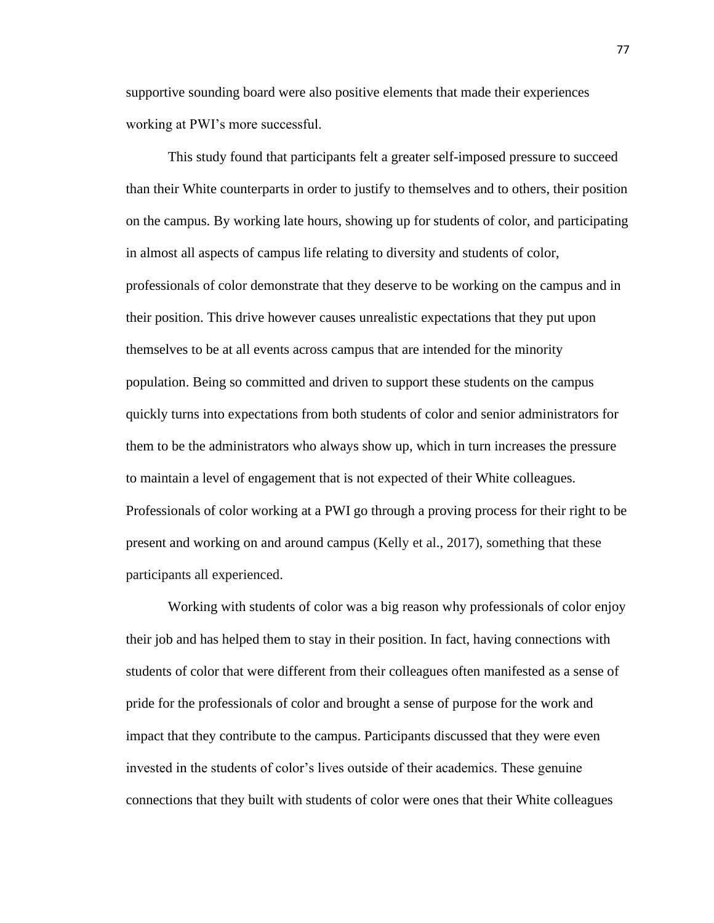supportive sounding board were also positive elements that made their experiences working at PWI's more successful.

This study found that participants felt a greater self-imposed pressure to succeed than their White counterparts in order to justify to themselves and to others, their position on the campus. By working late hours, showing up for students of color, and participating in almost all aspects of campus life relating to diversity and students of color, professionals of color demonstrate that they deserve to be working on the campus and in their position. This drive however causes unrealistic expectations that they put upon themselves to be at all events across campus that are intended for the minority population. Being so committed and driven to support these students on the campus quickly turns into expectations from both students of color and senior administrators for them to be the administrators who always show up, which in turn increases the pressure to maintain a level of engagement that is not expected of their White colleagues. Professionals of color working at a PWI go through a proving process for their right to be present and working on and around campus (Kelly et al., 2017), something that these participants all experienced.

Working with students of color was a big reason why professionals of color enjoy their job and has helped them to stay in their position. In fact, having connections with students of color that were different from their colleagues often manifested as a sense of pride for the professionals of color and brought a sense of purpose for the work and impact that they contribute to the campus. Participants discussed that they were even invested in the students of color's lives outside of their academics. These genuine connections that they built with students of color were ones that their White colleagues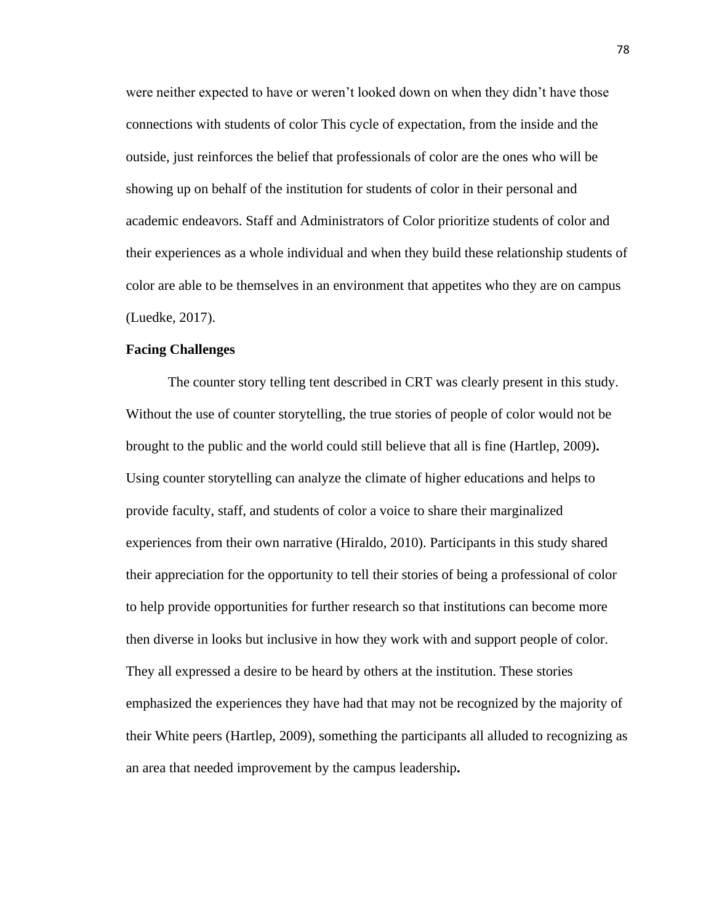were neither expected to have or weren't looked down on when they didn't have those connections with students of color This cycle of expectation, from the inside and the outside, just reinforces the belief that professionals of color are the ones who will be showing up on behalf of the institution for students of color in their personal and academic endeavors. Staff and Administrators of Color prioritize students of color and their experiences as a whole individual and when they build these relationship students of color are able to be themselves in an environment that appetites who they are on campus (Luedke, 2017).

### **Facing Challenges**

The counter story telling tent described in CRT was clearly present in this study. Without the use of counter storytelling, the true stories of people of color would not be brought to the public and the world could still believe that all is fine (Hartlep, 2009)**.**  Using counter storytelling can analyze the climate of higher educations and helps to provide faculty, staff, and students of color a voice to share their marginalized experiences from their own narrative (Hiraldo, 2010). Participants in this study shared their appreciation for the opportunity to tell their stories of being a professional of color to help provide opportunities for further research so that institutions can become more then diverse in looks but inclusive in how they work with and support people of color. They all expressed a desire to be heard by others at the institution. These stories emphasized the experiences they have had that may not be recognized by the majority of their White peers (Hartlep, 2009), something the participants all alluded to recognizing as an area that needed improvement by the campus leadership**.**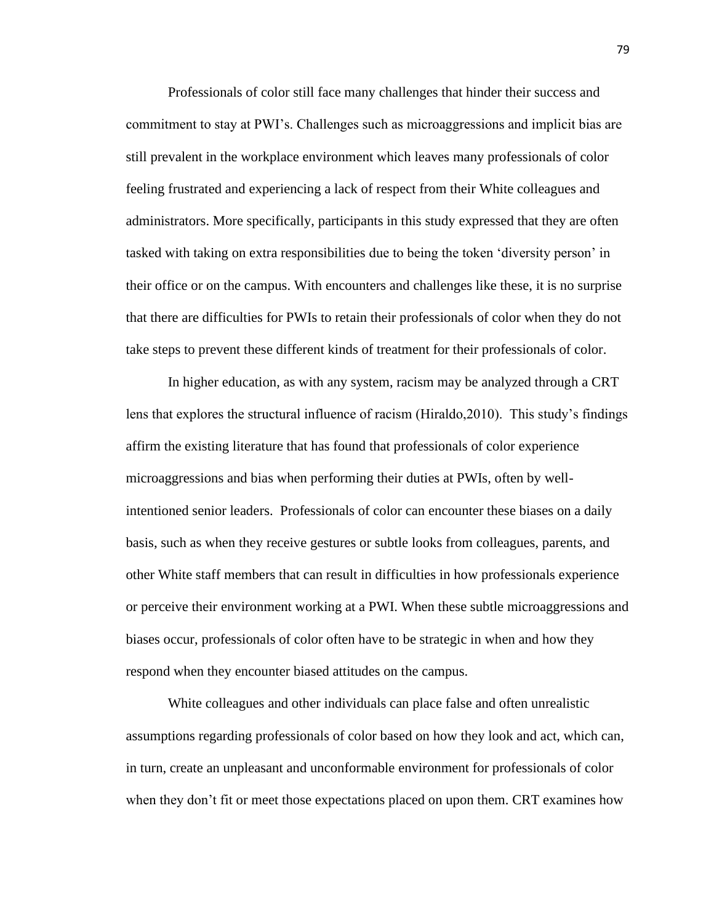Professionals of color still face many challenges that hinder their success and commitment to stay at PWI's. Challenges such as microaggressions and implicit bias are still prevalent in the workplace environment which leaves many professionals of color feeling frustrated and experiencing a lack of respect from their White colleagues and administrators. More specifically, participants in this study expressed that they are often tasked with taking on extra responsibilities due to being the token 'diversity person' in their office or on the campus. With encounters and challenges like these, it is no surprise that there are difficulties for PWIs to retain their professionals of color when they do not take steps to prevent these different kinds of treatment for their professionals of color.

In higher education, as with any system, racism may be analyzed through a CRT lens that explores the structural influence of racism (Hiraldo,2010). This study's findings affirm the existing literature that has found that professionals of color experience microaggressions and bias when performing their duties at PWIs, often by wellintentioned senior leaders. Professionals of color can encounter these biases on a daily basis, such as when they receive gestures or subtle looks from colleagues, parents, and other White staff members that can result in difficulties in how professionals experience or perceive their environment working at a PWI. When these subtle microaggressions and biases occur, professionals of color often have to be strategic in when and how they respond when they encounter biased attitudes on the campus.

White colleagues and other individuals can place false and often unrealistic assumptions regarding professionals of color based on how they look and act, which can, in turn, create an unpleasant and unconformable environment for professionals of color when they don't fit or meet those expectations placed on upon them. CRT examines how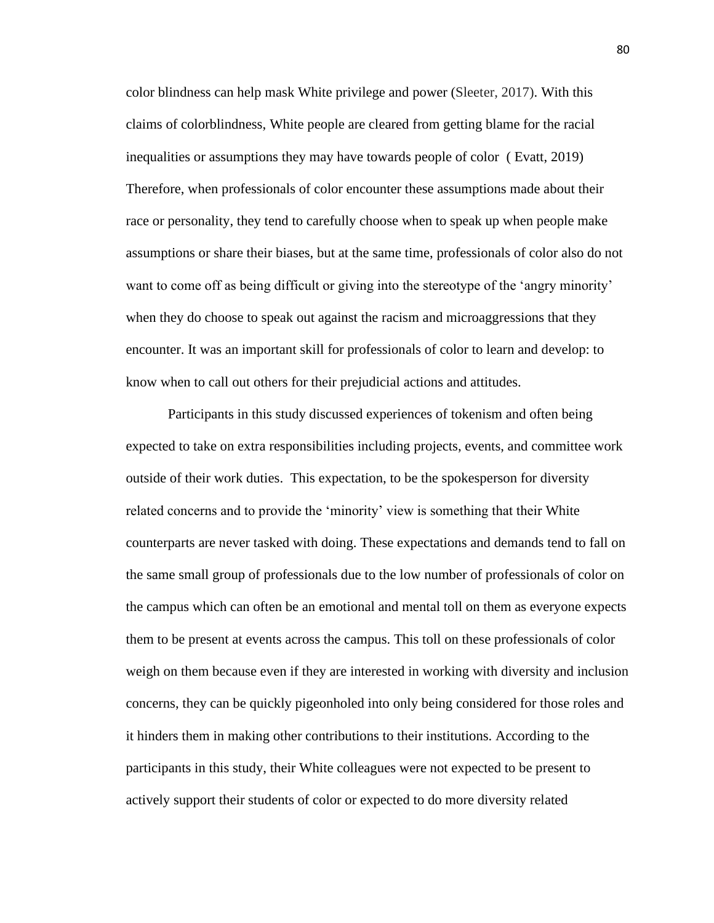color blindness can help mask White privilege and power (Sleeter, 2017). With this claims of colorblindness, White people are cleared from getting blame for the racial inequalities or assumptions they may have towards people of color ( Evatt, 2019) Therefore, when professionals of color encounter these assumptions made about their race or personality, they tend to carefully choose when to speak up when people make assumptions or share their biases, but at the same time, professionals of color also do not want to come off as being difficult or giving into the stereotype of the 'angry minority' when they do choose to speak out against the racism and microaggressions that they encounter. It was an important skill for professionals of color to learn and develop: to know when to call out others for their prejudicial actions and attitudes.

Participants in this study discussed experiences of tokenism and often being expected to take on extra responsibilities including projects, events, and committee work outside of their work duties. This expectation, to be the spokesperson for diversity related concerns and to provide the 'minority' view is something that their White counterparts are never tasked with doing. These expectations and demands tend to fall on the same small group of professionals due to the low number of professionals of color on the campus which can often be an emotional and mental toll on them as everyone expects them to be present at events across the campus. This toll on these professionals of color weigh on them because even if they are interested in working with diversity and inclusion concerns, they can be quickly pigeonholed into only being considered for those roles and it hinders them in making other contributions to their institutions. According to the participants in this study, their White colleagues were not expected to be present to actively support their students of color or expected to do more diversity related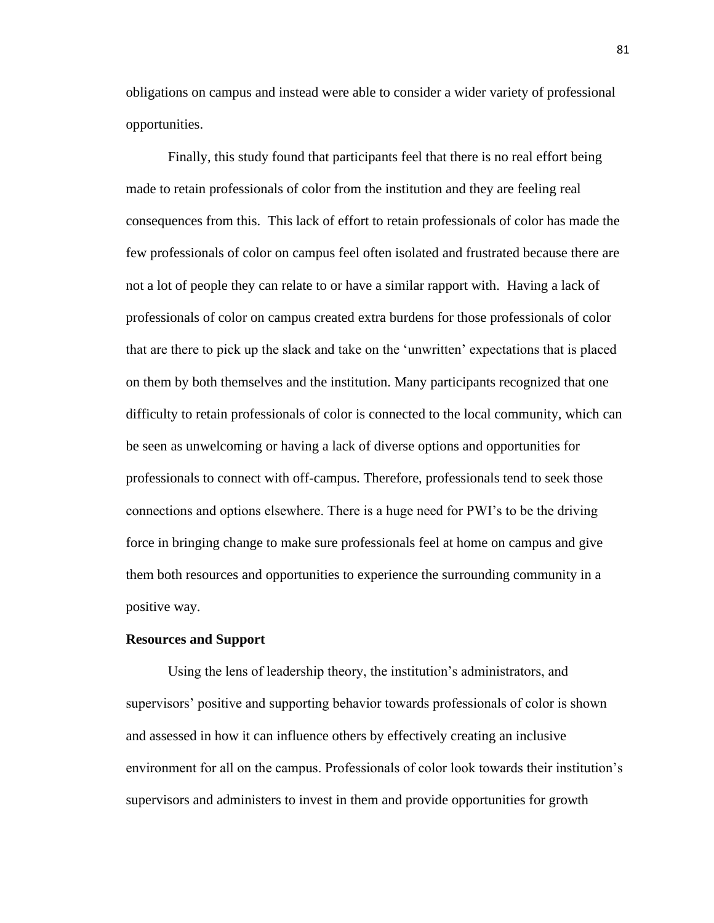obligations on campus and instead were able to consider a wider variety of professional opportunities.

Finally, this study found that participants feel that there is no real effort being made to retain professionals of color from the institution and they are feeling real consequences from this. This lack of effort to retain professionals of color has made the few professionals of color on campus feel often isolated and frustrated because there are not a lot of people they can relate to or have a similar rapport with. Having a lack of professionals of color on campus created extra burdens for those professionals of color that are there to pick up the slack and take on the 'unwritten' expectations that is placed on them by both themselves and the institution. Many participants recognized that one difficulty to retain professionals of color is connected to the local community, which can be seen as unwelcoming or having a lack of diverse options and opportunities for professionals to connect with off-campus. Therefore, professionals tend to seek those connections and options elsewhere. There is a huge need for PWI's to be the driving force in bringing change to make sure professionals feel at home on campus and give them both resources and opportunities to experience the surrounding community in a positive way.

### **Resources and Support**

Using the lens of leadership theory, the institution's administrators, and supervisors' positive and supporting behavior towards professionals of color is shown and assessed in how it can influence others by effectively creating an inclusive environment for all on the campus. Professionals of color look towards their institution's supervisors and administers to invest in them and provide opportunities for growth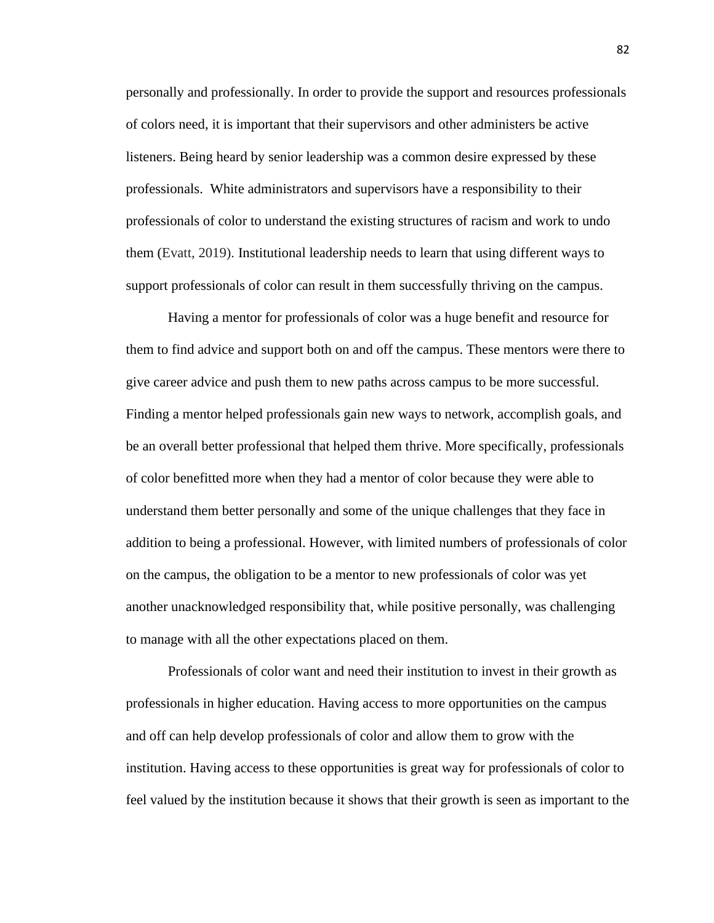personally and professionally. In order to provide the support and resources professionals of colors need, it is important that their supervisors and other administers be active listeners. Being heard by senior leadership was a common desire expressed by these professionals. White administrators and supervisors have a responsibility to their professionals of color to understand the existing structures of racism and work to undo them (Evatt, 2019). Institutional leadership needs to learn that using different ways to support professionals of color can result in them successfully thriving on the campus.

Having a mentor for professionals of color was a huge benefit and resource for them to find advice and support both on and off the campus. These mentors were there to give career advice and push them to new paths across campus to be more successful. Finding a mentor helped professionals gain new ways to network, accomplish goals, and be an overall better professional that helped them thrive. More specifically, professionals of color benefitted more when they had a mentor of color because they were able to understand them better personally and some of the unique challenges that they face in addition to being a professional. However, with limited numbers of professionals of color on the campus, the obligation to be a mentor to new professionals of color was yet another unacknowledged responsibility that, while positive personally, was challenging to manage with all the other expectations placed on them.

Professionals of color want and need their institution to invest in their growth as professionals in higher education. Having access to more opportunities on the campus and off can help develop professionals of color and allow them to grow with the institution. Having access to these opportunities is great way for professionals of color to feel valued by the institution because it shows that their growth is seen as important to the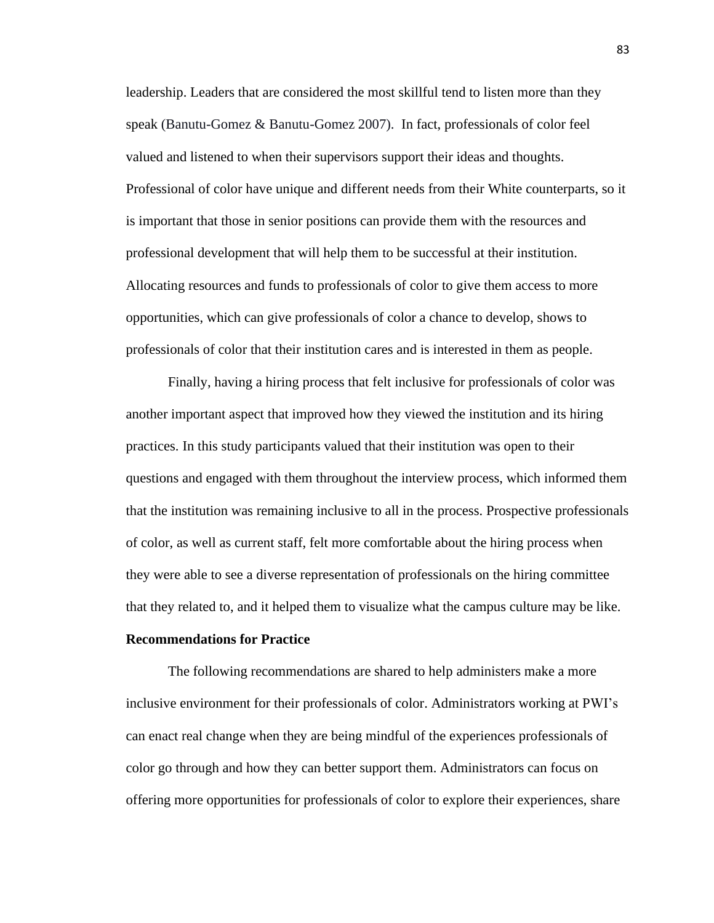leadership. Leaders that are considered the most skillful tend to listen more than they speak (Banutu-Gomez & Banutu-Gomez 2007). In fact, professionals of color feel valued and listened to when their supervisors support their ideas and thoughts. Professional of color have unique and different needs from their White counterparts, so it is important that those in senior positions can provide them with the resources and professional development that will help them to be successful at their institution. Allocating resources and funds to professionals of color to give them access to more opportunities, which can give professionals of color a chance to develop, shows to professionals of color that their institution cares and is interested in them as people.

Finally, having a hiring process that felt inclusive for professionals of color was another important aspect that improved how they viewed the institution and its hiring practices. In this study participants valued that their institution was open to their questions and engaged with them throughout the interview process, which informed them that the institution was remaining inclusive to all in the process. Prospective professionals of color, as well as current staff, felt more comfortable about the hiring process when they were able to see a diverse representation of professionals on the hiring committee that they related to, and it helped them to visualize what the campus culture may be like.

## **Recommendations for Practice**

The following recommendations are shared to help administers make a more inclusive environment for their professionals of color. Administrators working at PWI's can enact real change when they are being mindful of the experiences professionals of color go through and how they can better support them. Administrators can focus on offering more opportunities for professionals of color to explore their experiences, share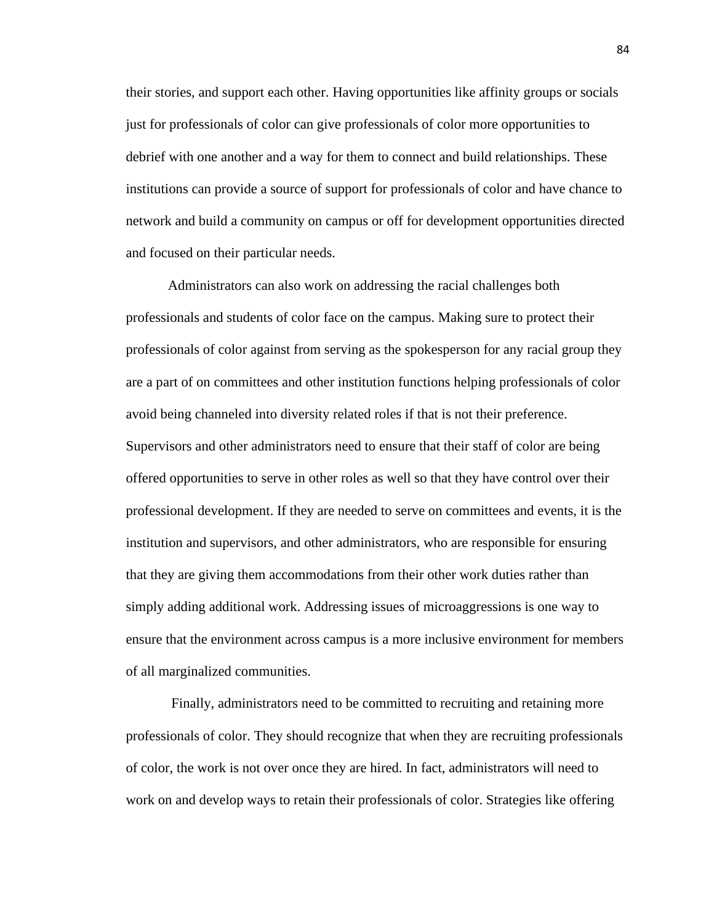their stories, and support each other. Having opportunities like affinity groups or socials just for professionals of color can give professionals of color more opportunities to debrief with one another and a way for them to connect and build relationships. These institutions can provide a source of support for professionals of color and have chance to network and build a community on campus or off for development opportunities directed and focused on their particular needs.

Administrators can also work on addressing the racial challenges both professionals and students of color face on the campus. Making sure to protect their professionals of color against from serving as the spokesperson for any racial group they are a part of on committees and other institution functions helping professionals of color avoid being channeled into diversity related roles if that is not their preference. Supervisors and other administrators need to ensure that their staff of color are being offered opportunities to serve in other roles as well so that they have control over their professional development. If they are needed to serve on committees and events, it is the institution and supervisors, and other administrators, who are responsible for ensuring that they are giving them accommodations from their other work duties rather than simply adding additional work. Addressing issues of microaggressions is one way to ensure that the environment across campus is a more inclusive environment for members of all marginalized communities.

Finally, administrators need to be committed to recruiting and retaining more professionals of color. They should recognize that when they are recruiting professionals of color, the work is not over once they are hired. In fact, administrators will need to work on and develop ways to retain their professionals of color. Strategies like offering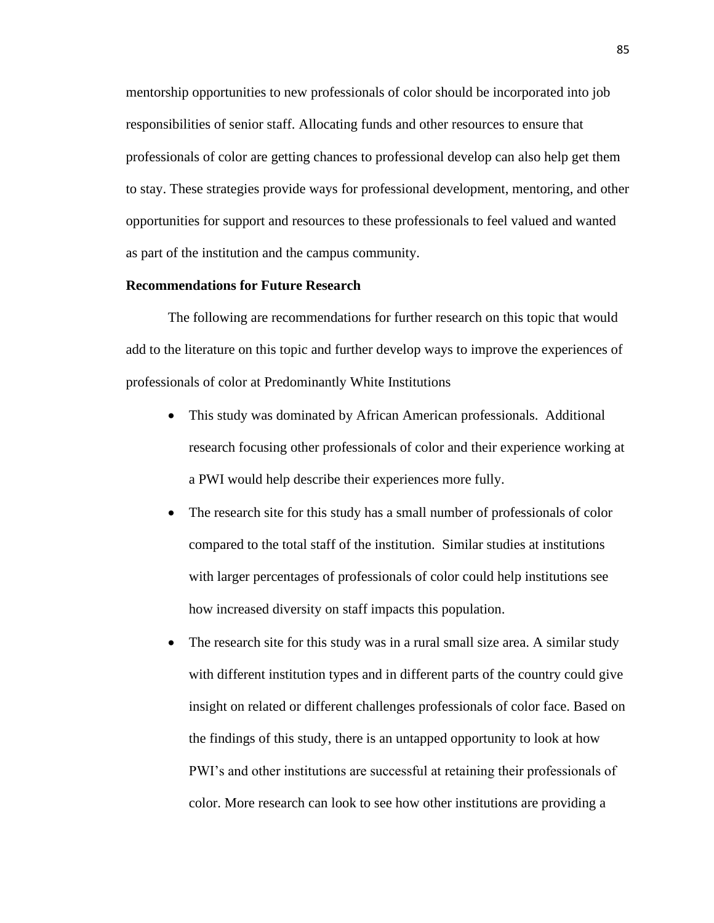mentorship opportunities to new professionals of color should be incorporated into job responsibilities of senior staff. Allocating funds and other resources to ensure that professionals of color are getting chances to professional develop can also help get them to stay. These strategies provide ways for professional development, mentoring, and other opportunities for support and resources to these professionals to feel valued and wanted as part of the institution and the campus community.

## **Recommendations for Future Research**

The following are recommendations for further research on this topic that would add to the literature on this topic and further develop ways to improve the experiences of professionals of color at Predominantly White Institutions

- This study was dominated by African American professionals. Additional research focusing other professionals of color and their experience working at a PWI would help describe their experiences more fully.
- The research site for this study has a small number of professionals of color compared to the total staff of the institution. Similar studies at institutions with larger percentages of professionals of color could help institutions see how increased diversity on staff impacts this population.
- The research site for this study was in a rural small size area. A similar study with different institution types and in different parts of the country could give insight on related or different challenges professionals of color face. Based on the findings of this study, there is an untapped opportunity to look at how PWI's and other institutions are successful at retaining their professionals of color. More research can look to see how other institutions are providing a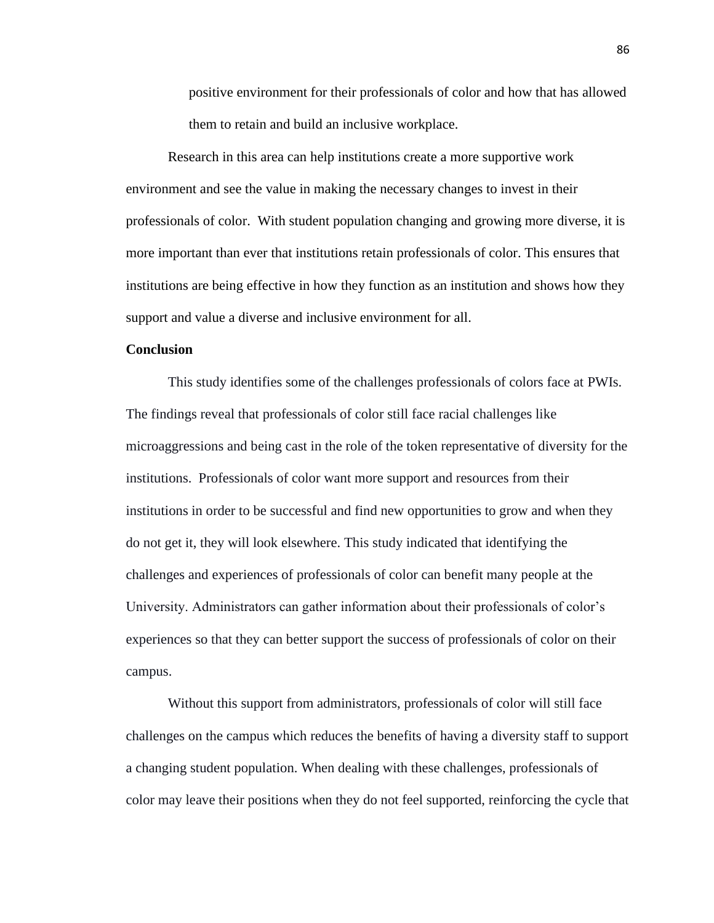positive environment for their professionals of color and how that has allowed them to retain and build an inclusive workplace.

Research in this area can help institutions create a more supportive work environment and see the value in making the necessary changes to invest in their professionals of color. With student population changing and growing more diverse, it is more important than ever that institutions retain professionals of color. This ensures that institutions are being effective in how they function as an institution and shows how they support and value a diverse and inclusive environment for all.

## **Conclusion**

This study identifies some of the challenges professionals of colors face at PWIs. The findings reveal that professionals of color still face racial challenges like microaggressions and being cast in the role of the token representative of diversity for the institutions. Professionals of color want more support and resources from their institutions in order to be successful and find new opportunities to grow and when they do not get it, they will look elsewhere. This study indicated that identifying the challenges and experiences of professionals of color can benefit many people at the University. Administrators can gather information about their professionals of color's experiences so that they can better support the success of professionals of color on their campus.

Without this support from administrators, professionals of color will still face challenges on the campus which reduces the benefits of having a diversity staff to support a changing student population. When dealing with these challenges, professionals of color may leave their positions when they do not feel supported, reinforcing the cycle that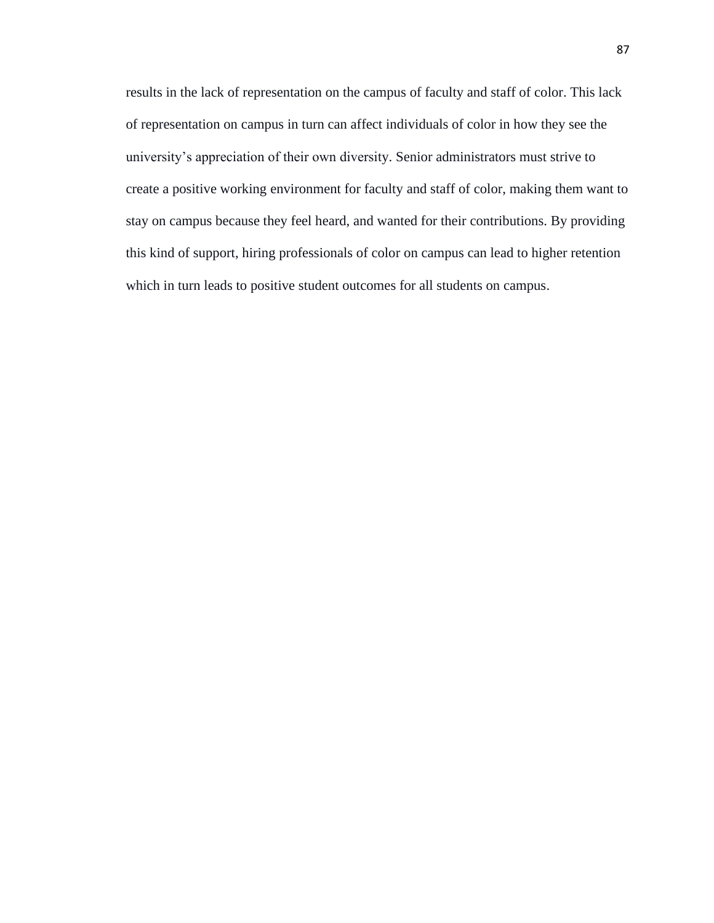results in the lack of representation on the campus of faculty and staff of color. This lack of representation on campus in turn can affect individuals of color in how they see the university's appreciation of their own diversity. Senior administrators must strive to create a positive working environment for faculty and staff of color, making them want to stay on campus because they feel heard, and wanted for their contributions. By providing this kind of support, hiring professionals of color on campus can lead to higher retention which in turn leads to positive student outcomes for all students on campus.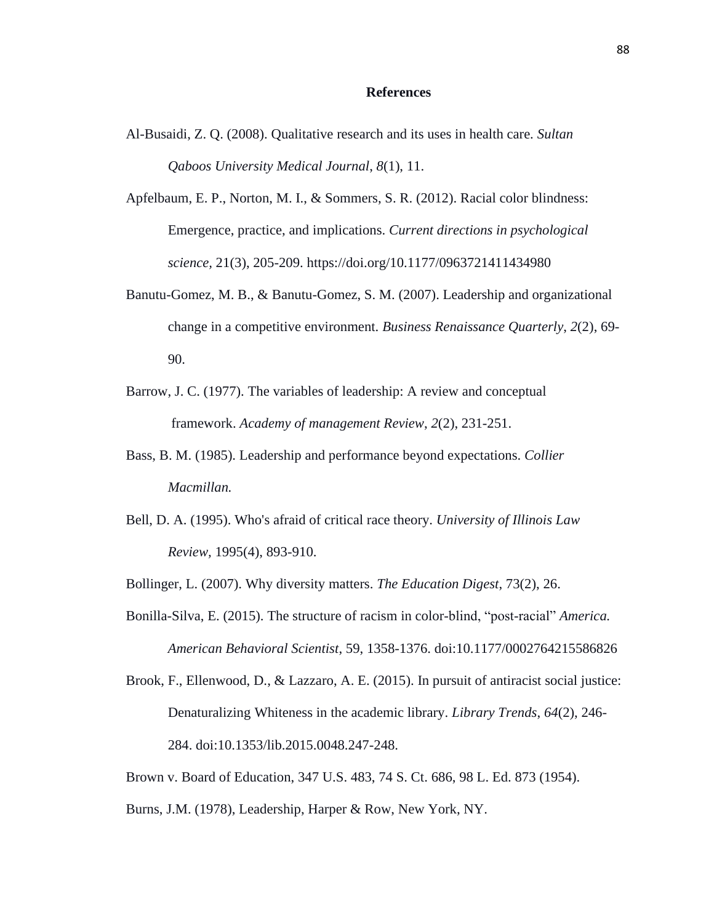### **References**

- Al-Busaidi, Z. Q. (2008). Qualitative research and its uses in health care. *Sultan Qaboos University Medical Journal*, *8*(1), 11.
- Apfelbaum, E. P., Norton, M. I., & Sommers, S. R. (2012). Racial color blindness: Emergence, practice, and implications. *Current directions in psychological science,* 21(3), 205-209. https://doi.org/10.1177/0963721411434980
- Banutu-Gomez, M. B., & Banutu-Gomez, S. M. (2007). Leadership and organizational change in a competitive environment. *Business Renaissance Quarterly*, *2*(2), 69- 90.
- Barrow, J. C. (1977). The variables of leadership: A review and conceptual framework. *Academy of management Review*, *2*(2), 231-251.
- Bass, B. M. (1985). Leadership and performance beyond expectations. *Collier Macmillan.*
- Bell, D. A. (1995). Who's afraid of critical race theory. *University of Illinois Law Review,* 1995(4), 893-910.
- Bollinger, L. (2007). Why diversity matters. *The Education Digest*, 73(2), 26.
- Bonilla-Silva, E. (2015). The structure of racism in color-blind, "post-racial" *America. American Behavioral Scientist*, 59, 1358-1376. doi:10.1177/0002764215586826

- Brown v. Board of Education, 347 U.S. 483, 74 S. Ct. 686, 98 L. Ed. 873 (1954).
- Burns, J.M. (1978), Leadership, Harper & Row, New York, NY.

Brook, F., Ellenwood, D., & Lazzaro, A. E. (2015). In pursuit of antiracist social justice: Denaturalizing Whiteness in the academic library. *Library Trends*, *64*(2), 246- 284. doi:10.1353/lib.2015.0048.247-248.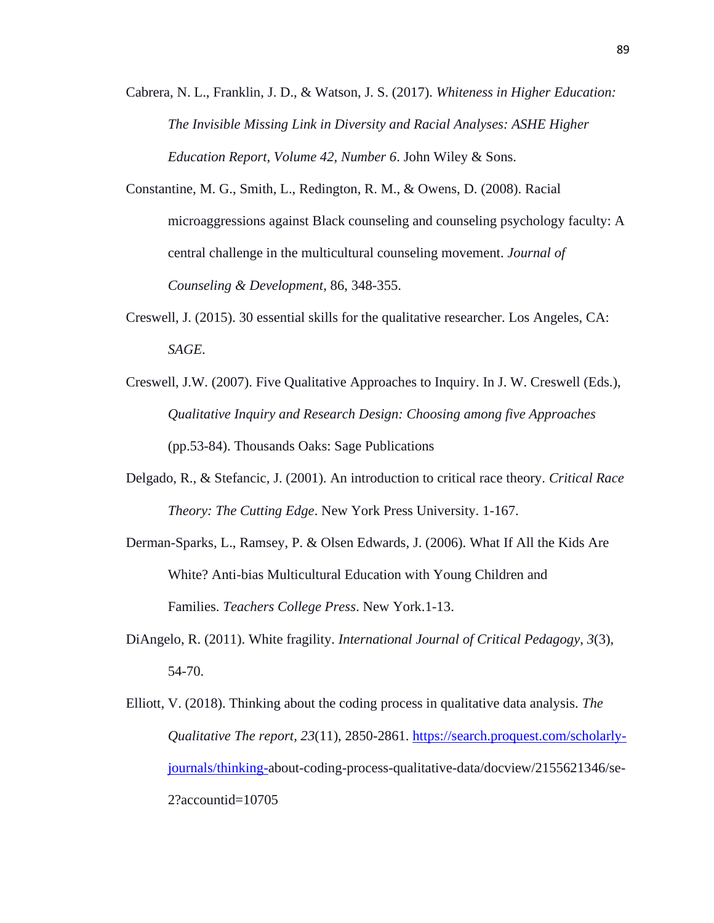Cabrera, N. L., Franklin, J. D., & Watson, J. S. (2017). *Whiteness in Higher Education: The Invisible Missing Link in Diversity and Racial Analyses: ASHE Higher Education Report, Volume 42, Number 6*. John Wiley & Sons.

- Constantine, M. G., Smith, L., Redington, R. M., & Owens, D. (2008). Racial microaggressions against Black counseling and counseling psychology faculty: A central challenge in the multicultural counseling movement. *Journal of Counseling & Development*, 86, 348-355.
- Creswell, J. (2015). 30 essential skills for the qualitative researcher. Los Angeles, CA: *SAGE*.
- Creswell, J.W. (2007). Five Qualitative Approaches to Inquiry. In J. W. Creswell (Eds.), *Qualitative Inquiry and Research Design: Choosing among five Approaches* (pp.53-84). Thousands Oaks: Sage Publications
- Delgado, R., & Stefancic, J. (2001). An introduction to critical race theory. *Critical Race Theory: The Cutting Edge*. New York Press University. 1-167.
- Derman-Sparks, L., Ramsey, P. & Olsen Edwards, J. (2006). What If All the Kids Are White? Anti-bias Multicultural Education with Young Children and Families. *Teachers College Press*. New York.1-13.
- DiAngelo, R. (2011). White fragility. *International Journal of Critical Pedagogy*, *3*(3), 54-70.
- Elliott, V. (2018). Thinking about the coding process in qualitative data analysis. *The Qualitative The report, 23*(11), 2850-2861. [https://search.proquest.com/scholarly](https://search.proquest.com/scholarly-journals/thinking-)[journals/thinking-a](https://search.proquest.com/scholarly-journals/thinking-)bout-coding-process-qualitative-data/docview/2155621346/se-2?accountid=10705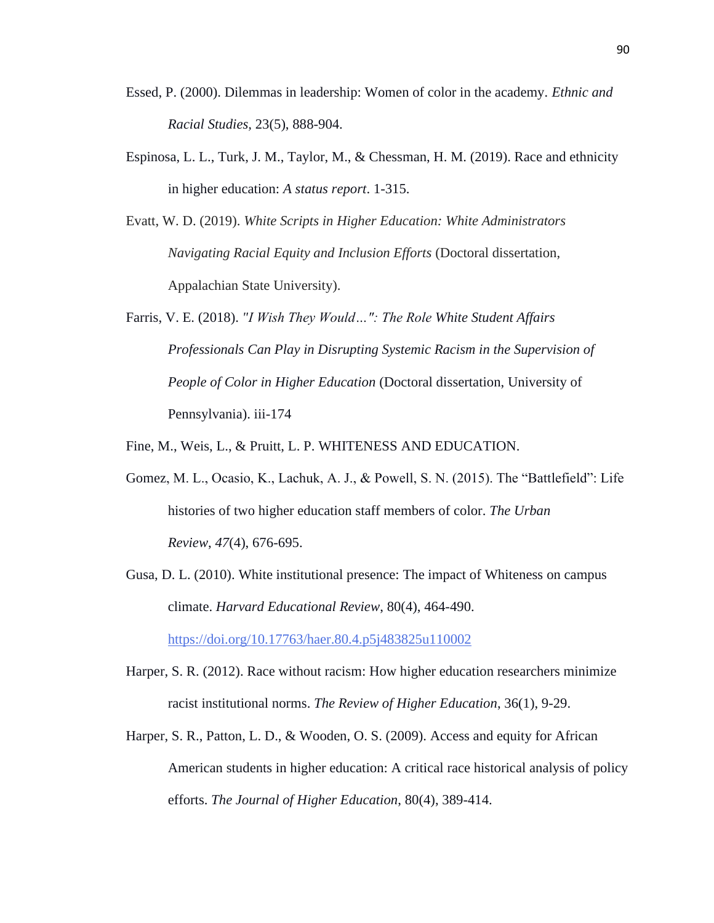- Essed, P. (2000). Dilemmas in leadership: Women of color in the academy*. Ethnic and Racial Studies,* 23(5), 888-904.
- Espinosa, L. L., Turk, J. M., Taylor, M., & Chessman, H. M. (2019). Race and ethnicity in higher education: *A status report*. 1-315.
- Evatt, W. D. (2019). *White Scripts in Higher Education: White Administrators Navigating Racial Equity and Inclusion Efforts* (Doctoral dissertation, Appalachian State University).
- Farris, V. E. (2018). *"I Wish They Would…": The Role White Student Affairs Professionals Can Play in Disrupting Systemic Racism in the Supervision of People of Color in Higher Education* (Doctoral dissertation, University of Pennsylvania). iii-174

Fine, M., Weis, L., & Pruitt, L. P. WHITENESS AND EDUCATION.

- Gomez, M. L., Ocasio, K., Lachuk, A. J., & Powell, S. N. (2015). The "Battlefield": Life histories of two higher education staff members of color. *The Urban Review*, *47*(4), 676-695.
- Gusa, D. L. (2010). White institutional presence: The impact of Whiteness on campus climate. *Harvard Educational Review*, 80(4), 464-490. <https://doi.org/10.17763/haer.80.4.p5j483825u110002>
- Harper, S. R. (2012). Race without racism: How higher education researchers minimize racist institutional norms. *The Review of Higher Education*, 36(1), 9-29.
- Harper, S. R., Patton, L. D., & Wooden, O. S. (2009). Access and equity for African American students in higher education: A critical race historical analysis of policy efforts. *The Journal of Higher Education*, 80(4), 389-414.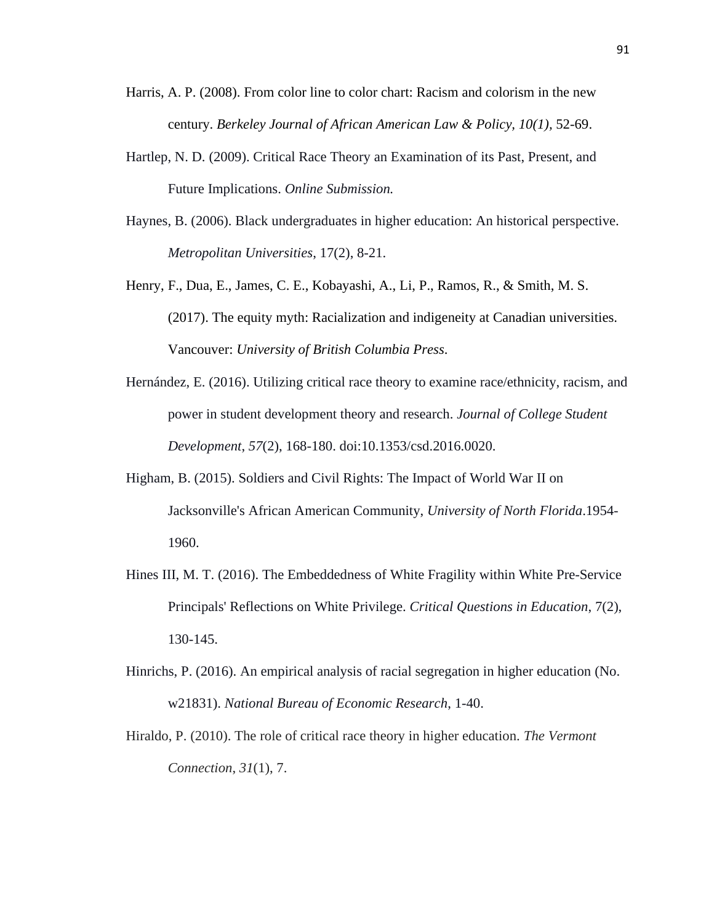- Harris, A. P. (2008). From color line to color chart: Racism and colorism in the new century. *Berkeley Journal of African American Law & Policy, 10(1),* 52-69.
- Hartlep, N. D. (2009). Critical Race Theory an Examination of its Past, Present, and Future Implications. *Online Submission.*
- Haynes, B. (2006). Black undergraduates in higher education: An historical perspective. *Metropolitan Universities*, 17(2), 8-21.
- Henry, F., Dua, E., James, C. E., Kobayashi, A., Li, P., Ramos, R., & Smith, M. S. (2017). The equity myth: Racialization and indigeneity at Canadian universities. Vancouver: *University of British Columbia Press*.
- Hernández, E. (2016). Utilizing critical race theory to examine race/ethnicity, racism, and power in student development theory and research. *Journal of College Student Development*, *57*(2), 168-180. doi:10.1353/csd.2016.0020.
- Higham, B. (2015). Soldiers and Civil Rights: The Impact of World War II on Jacksonville's African American Community, *University of North Florida*.1954- 1960.
- Hines III, M. T. (2016). The Embeddedness of White Fragility within White Pre-Service Principals' Reflections on White Privilege. *Critical Questions in Education*, 7(2), 130-145.
- Hinrichs, P. (2016). An empirical analysis of racial segregation in higher education (No. w21831). *National Bureau of Economic Research*, 1-40.
- Hiraldo, P. (2010). The role of critical race theory in higher education. *The Vermont Connection*, *31*(1), 7.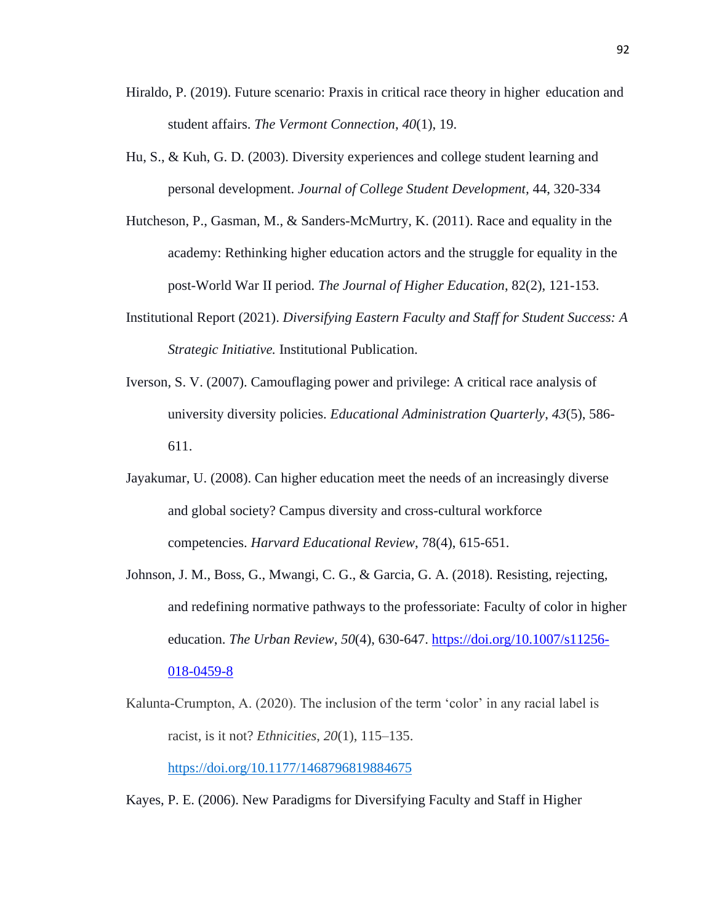- Hiraldo, P. (2019). Future scenario: Praxis in critical race theory in higher education and student affairs. *The Vermont Connection*, *40*(1), 19.
- Hu, S., & Kuh, G. D. (2003). Diversity experiences and college student learning and personal development. *Journal of College Student Development,* 44, 320-334
- Hutcheson, P., Gasman, M., & Sanders-McMurtry, K. (2011). Race and equality in the academy: Rethinking higher education actors and the struggle for equality in the post-World War II period. *The Journal of Higher Education*, 82(2), 121-153.
- Institutional Report (2021). *Diversifying Eastern Faculty and Staff for Student Success: A Strategic Initiative.* Institutional Publication.
- Iverson, S. V. (2007). Camouflaging power and privilege: A critical race analysis of university diversity policies. *Educational Administration Quarterly*, *43*(5), 586- 611.
- Jayakumar, U. (2008). Can higher education meet the needs of an increasingly diverse and global society? Campus diversity and cross-cultural workforce competencies. *Harvard Educational Review*, 78(4), 615-651.
- Johnson, J. M., Boss, G., Mwangi, C. G., & Garcia, G. A. (2018). Resisting, rejecting, and redefining normative pathways to the professoriate: Faculty of color in higher education. *The Urban Review*, *50*(4), 630-647. [https://doi.org/10.1007/s11256-](https://doi.org/10.1007/s11256-018-0459-8) [018-0459-8](https://doi.org/10.1007/s11256-018-0459-8)
- Kalunta-Crumpton, A. (2020). The inclusion of the term 'color' in any racial label is racist, is it not? *Ethnicities*, *20*(1), 115–135.

<https://doi.org/10.1177/1468796819884675>

Kayes, P. E. (2006). New Paradigms for Diversifying Faculty and Staff in Higher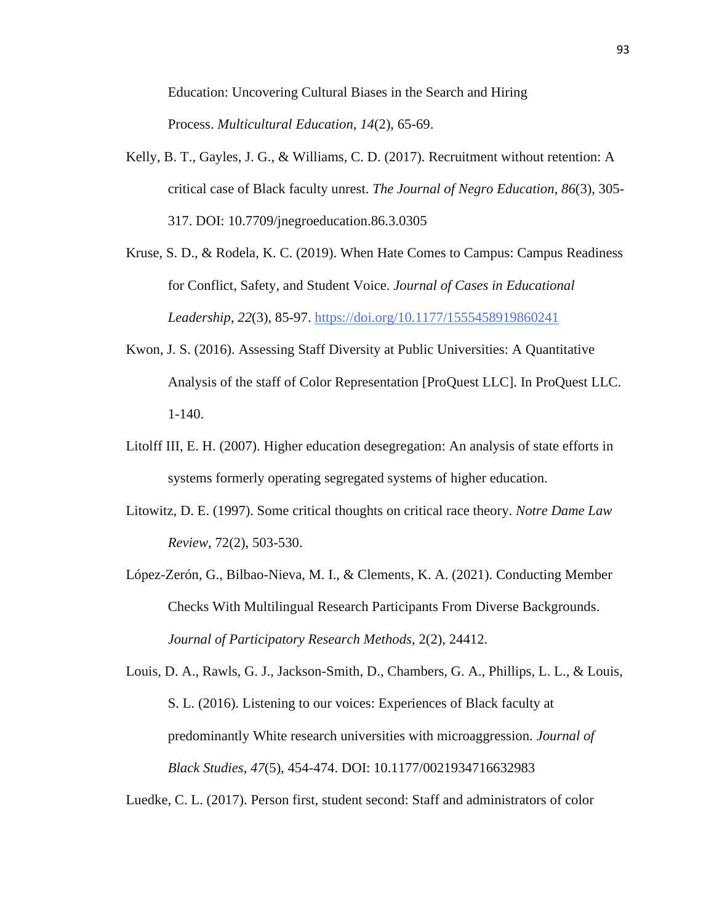Education: Uncovering Cultural Biases in the Search and Hiring Process. *Multicultural Education*, *14*(2), 65-69.

- Kelly, B. T., Gayles, J. G., & Williams, C. D. (2017). Recruitment without retention: A critical case of Black faculty unrest. *The Journal of Negro Education*, *86*(3), 305- 317. DOI: 10.7709/jnegroeducation.86.3.0305
- Kruse, S. D., & Rodela, K. C. (2019). When Hate Comes to Campus: Campus Readiness for Conflict, Safety, and Student Voice. *Journal of Cases in Educational Leadership*, *22*(3), 85-97. <https://doi.org/10.1177/1555458919860241>
- Kwon, J. S. (2016). Assessing Staff Diversity at Public Universities: A Quantitative Analysis of the staff of Color Representation [ProQuest LLC]. In ProQuest LLC. 1-140.
- Litolff III, E. H. (2007). Higher education desegregation: An analysis of state efforts in systems formerly operating segregated systems of higher education.
- Litowitz, D. E. (1997). Some critical thoughts on critical race theory. *Notre Dame Law Review*, 72(2), 503-530.
- López-Zerón, G., Bilbao-Nieva, M. I., & Clements, K. A. (2021). Conducting Member Checks With Multilingual Research Participants From Diverse Backgrounds. *Journal of Participatory Research Methods*, 2(2), 24412.

Louis, D. A., Rawls, G. J., Jackson-Smith, D., Chambers, G. A., Phillips, L. L., & Louis, S. L. (2016). Listening to our voices: Experiences of Black faculty at predominantly White research universities with microaggression. *Journal of Black Studies*, *47*(5), 454-474. DOI: 10.1177/0021934716632983

Luedke, C. L. (2017). Person first, student second: Staff and administrators of color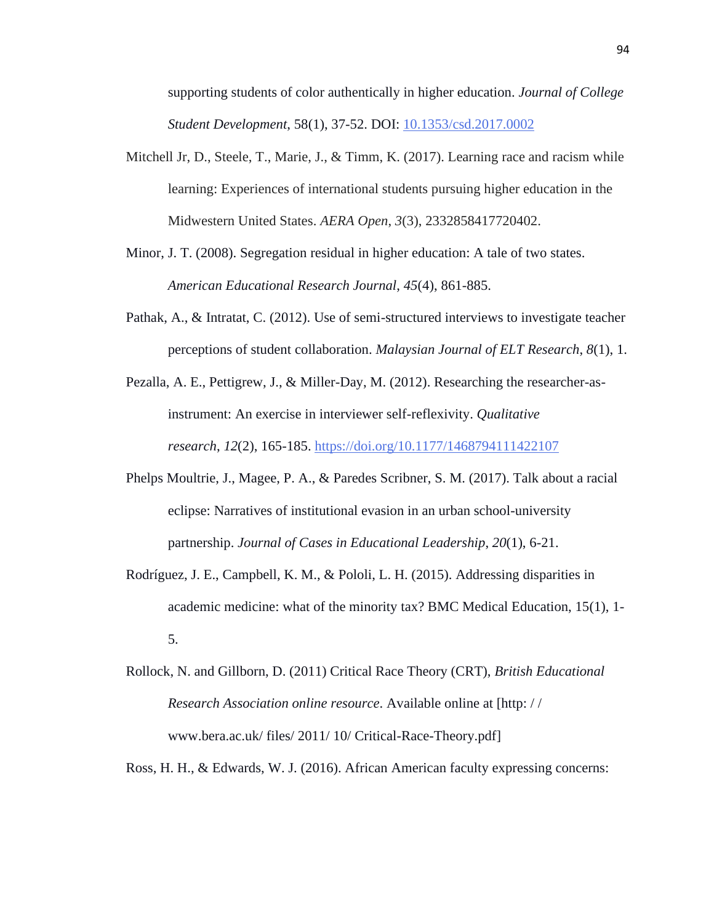supporting students of color authentically in higher education. *Journal of College Student Development*, 58(1), 37-52. DOI: [10.1353/csd.2017.0002](https://doi-org.proxy1.library.eiu.edu/10.1353/csd.2017.0002)

- Mitchell Jr, D., Steele, T., Marie, J., & Timm, K.  $(2017)$ . Learning race and racism while learning: Experiences of international students pursuing higher education in the Midwestern United States. *AERA Open*, *3*(3), 2332858417720402.
- Minor, J. T. (2008). Segregation residual in higher education: A tale of two states. *American Educational Research Journal*, *45*(4), 861-885.
- Pathak, A., & Intratat, C. (2012). Use of semi-structured interviews to investigate teacher perceptions of student collaboration. *Malaysian Journal of ELT Research*, *8*(1), 1.
- Pezalla, A. E., Pettigrew, J., & Miller-Day, M. (2012). Researching the researcher-asinstrument: An exercise in interviewer self-reflexivity. *Qualitative research*, *12*(2), 165-185. <https://doi.org/10.1177/1468794111422107>
- Phelps Moultrie, J., Magee, P. A., & Paredes Scribner, S. M. (2017). Talk about a racial eclipse: Narratives of institutional evasion in an urban school-university partnership. *Journal of Cases in Educational Leadership*, *20*(1), 6-21.
- Rodríguez, J. E., Campbell, K. M., & Pololi, L. H. (2015). Addressing disparities in academic medicine: what of the minority tax? BMC Medical Education, 15(1), 1- 5.
- Rollock, N. and Gillborn, D. (2011) Critical Race Theory (CRT), *British Educational Research Association online resource*. Available online at [http: / / www.bera.ac.uk/ files/ 2011/ 10/ Critical-Race-Theory.pdf]

Ross, H. H., & Edwards, W. J. (2016). African American faculty expressing concerns: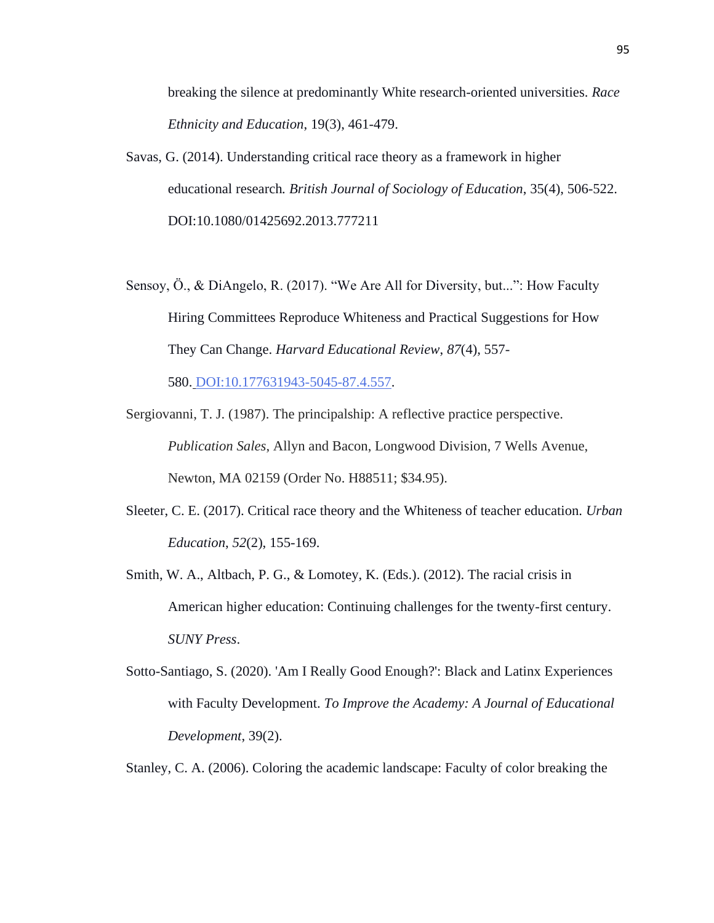breaking the silence at predominantly White research-oriented universities. *Race Ethnicity and Education*, 19(3), 461-479.

- Savas, G. (2014). Understanding critical race theory as a framework in higher educational research*. British Journal of Sociology of Education*, 35(4), 506-522. DOI:10.1080/01425692.2013.777211
- Sensoy, Ö., & DiAngelo, R. (2017). "We Are All for Diversity, but...": How Faculty Hiring Committees Reproduce Whiteness and Practical Suggestions for How They Can Change. *Harvard Educational Review*, *87*(4), 557-

580. [DOI:10.177631943-5045-87.4.557.](https://doi.org/10.17763/1943-5045-87.4.557)

- Sergiovanni, T. J. (1987). The principalship: A reflective practice perspective. *Publication Sales*, Allyn and Bacon, Longwood Division, 7 Wells Avenue, Newton, MA 02159 (Order No. H88511; \$34.95).
- Sleeter, C. E. (2017). Critical race theory and the Whiteness of teacher education. *Urban Education*, *52*(2), 155-169.
- Smith, W. A., Altbach, P. G., & Lomotey, K. (Eds.). (2012). The racial crisis in American higher education: Continuing challenges for the twenty-first century. *SUNY Press*.
- Sotto-Santiago, S. (2020). 'Am I Really Good Enough?': Black and Latinx Experiences with Faculty Development. *To Improve the Academy: A Journal of Educational Development*, 39(2).
- Stanley, C. A. (2006). Coloring the academic landscape: Faculty of color breaking the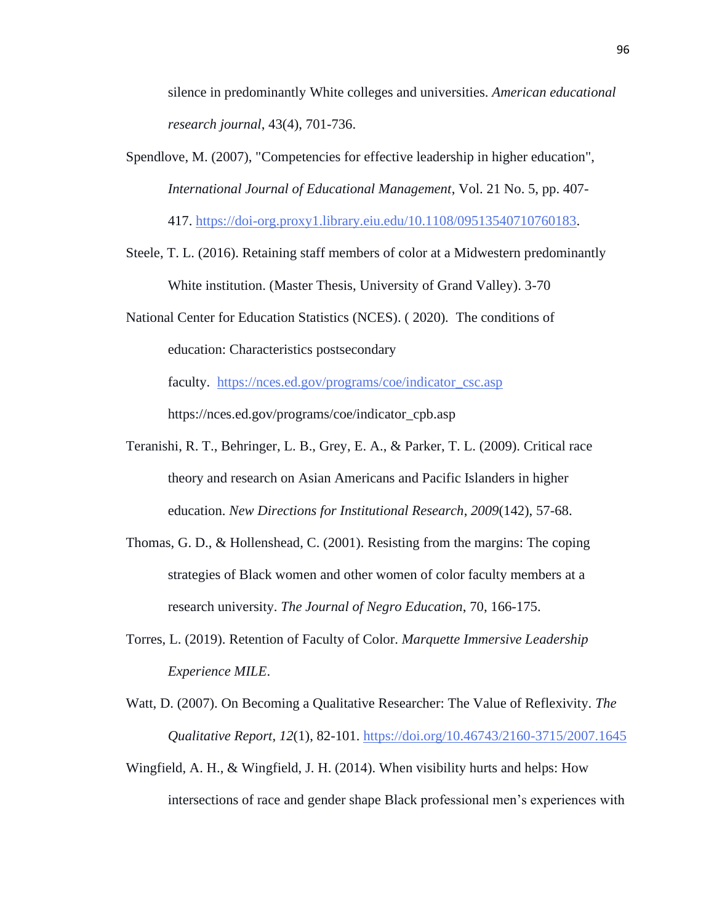silence in predominantly White colleges and universities. *American educational research journal*, 43(4), 701-736.

Spendlove, M. (2007), "Competencies for effective leadership in higher education", *International Journal of Educational Management*, Vol. 21 No. 5, pp. 407-

417. [https://doi-org.proxy1.library.eiu.edu/10.1108/09513540710760183.](https://doi-org.proxy1.library.eiu.edu/10.1108/09513540710760183)

Steele, T. L. (2016). Retaining staff members of color at a Midwestern predominantly White institution. (Master Thesis, University of Grand Valley). 3-70

National Center for Education Statistics (NCES). ( 2020)*.* The conditions of education: Characteristics postsecondary

faculty. [https://nces.ed.gov/programs/coe/indicator\\_csc.asp](https://nces.ed.gov/programs/coe/indicator_csc.asp)

https://nces.ed.gov/programs/coe/indicator\_cpb.asp

- Teranishi, R. T., Behringer, L. B., Grey, E. A., & Parker, T. L. (2009). Critical race theory and research on Asian Americans and Pacific Islanders in higher education. *New Directions for Institutional Research*, *2009*(142), 57-68.
- Thomas, G. D., & Hollenshead, C. (2001). Resisting from the margins: The coping strategies of Black women and other women of color faculty members at a research university. *The Journal of Negro Education*, 70, 166-175.
- Torres, L. (2019). Retention of Faculty of Color. *Marquette Immersive Leadership Experience MILE*.
- Watt, D. (2007). On Becoming a Qualitative Researcher: The Value of Reflexivity. *The Qualitative Report*, *12*(1), 82-101. <https://doi.org/10.46743/2160-3715/2007.1645>
- Wingfield, A. H., & Wingfield, J. H. (2014). When visibility hurts and helps: How intersections of race and gender shape Black professional men's experiences with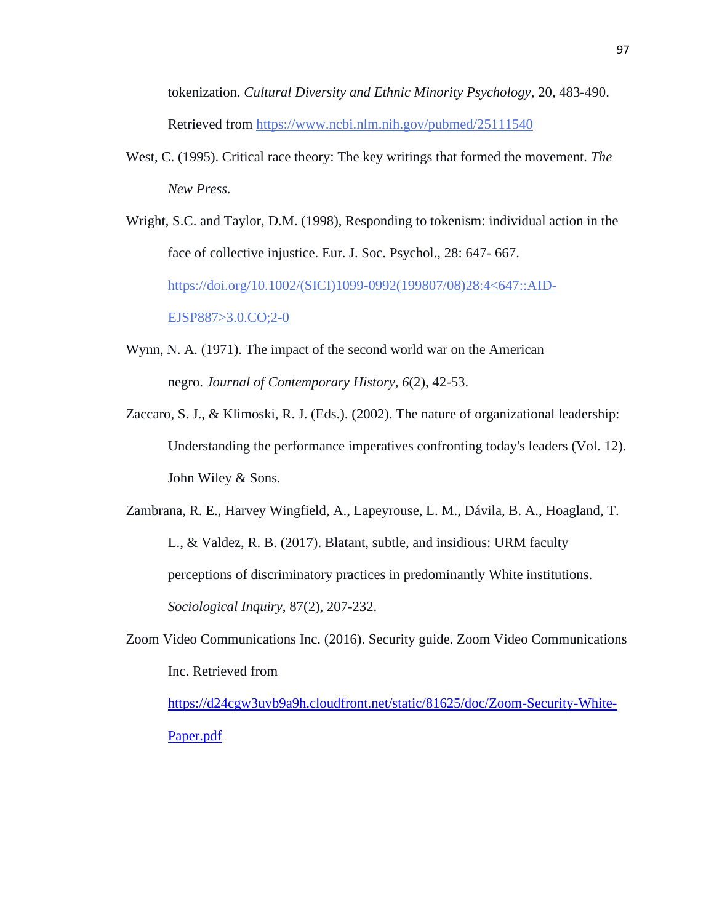tokenization. *Cultural Diversity and Ethnic Minority Psychology*, 20, 483-490. Retrieved from <https://www.ncbi.nlm.nih.gov/pubmed/25111540>

- West, C. (1995). Critical race theory: The key writings that formed the movement*. The New Press.*
- Wright, S.C. and Taylor, D.M. (1998), Responding to tokenism: individual action in the face of collective injustice. Eur. J. Soc. Psychol., 28: 647- 667. [https://doi.org/10.1002/\(SICI\)1099-0992\(199807/08\)28:4<647::AID-](https://doi.org/10.1002/(SICI)1099-0992(199807/08)28:4%3C647::AID-EJSP887%3E3.0.CO;2-0)[EJSP887>3.0.CO;2-0](https://doi.org/10.1002/(SICI)1099-0992(199807/08)28:4%3C647::AID-EJSP887%3E3.0.CO;2-0)
- Wynn, N. A. (1971). The impact of the second world war on the American negro. *Journal of Contemporary History*, *6*(2), 42-53.
- Zaccaro, S. J., & Klimoski, R. J. (Eds.). (2002). The nature of organizational leadership: Understanding the performance imperatives confronting today's leaders (Vol. 12). John Wiley & Sons.
- Zambrana, R. E., Harvey Wingfield, A., Lapeyrouse, L. M., Dávila, B. A., Hoagland, T. L., & Valdez, R. B. (2017). Blatant, subtle, and insidious: URM faculty perceptions of discriminatory practices in predominantly White institutions. *Sociological Inquiry*, 87(2), 207-232.
- Zoom Video Communications Inc. (2016). Security guide. Zoom Video Communications Inc. Retrieved from

[https://d24cgw3uvb9a9h.cloudfront.net/static/81625/doc/Zoom-Security-White-](https://d24cgw3uvb9a9h.cloudfront.net/static/81625/doc/Zoom-Security-White-Paper.pdf)[Paper.pdf](https://d24cgw3uvb9a9h.cloudfront.net/static/81625/doc/Zoom-Security-White-Paper.pdf)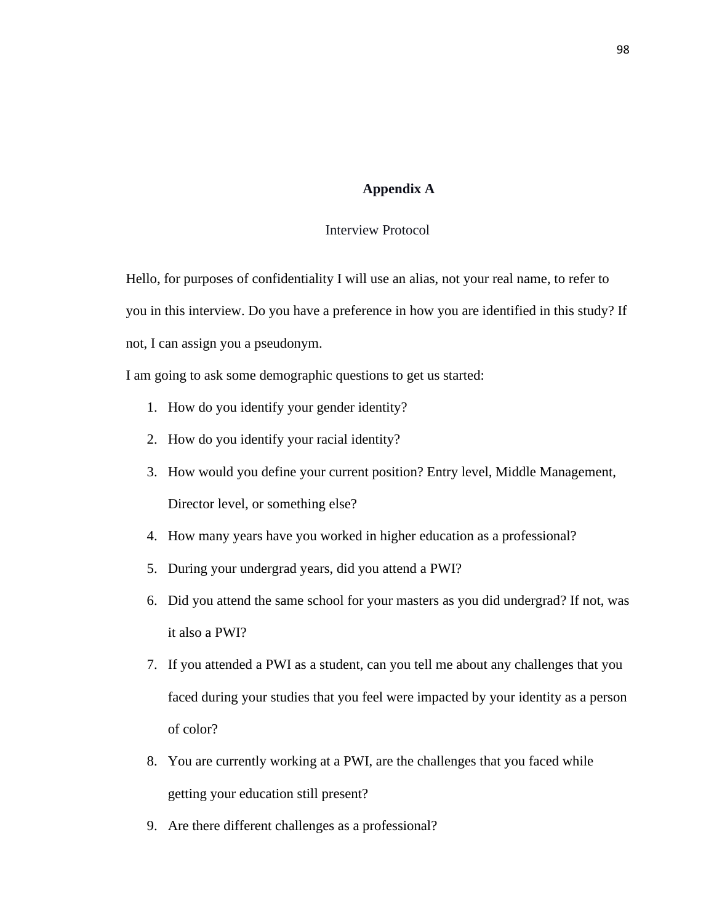# **Appendix A**

# Interview Protocol

Hello, for purposes of confidentiality I will use an alias, not your real name, to refer to you in this interview. Do you have a preference in how you are identified in this study? If not, I can assign you a pseudonym.

I am going to ask some demographic questions to get us started:

- 1. How do you identify your gender identity?
- 2. How do you identify your racial identity?
- 3. How would you define your current position? Entry level, Middle Management, Director level, or something else?
- 4. How many years have you worked in higher education as a professional?
- 5. During your undergrad years, did you attend a PWI?
- 6. Did you attend the same school for your masters as you did undergrad? If not, was it also a PWI?
- 7. If you attended a PWI as a student, can you tell me about any challenges that you faced during your studies that you feel were impacted by your identity as a person of color?
- 8. You are currently working at a PWI, are the challenges that you faced while getting your education still present?
- 9. Are there different challenges as a professional?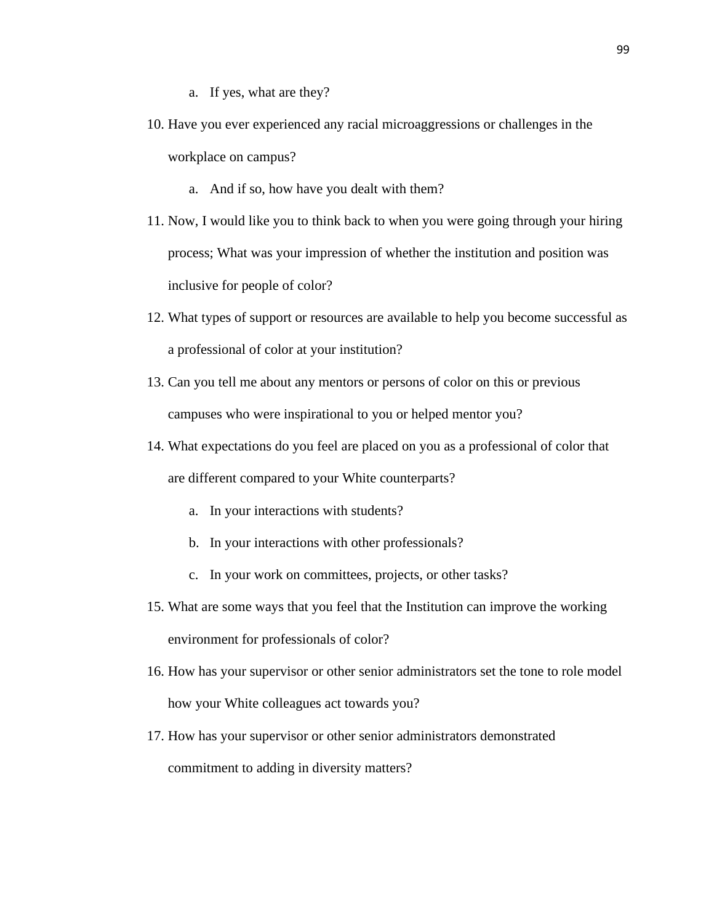- a. If yes, what are they?
- 10. Have you ever experienced any racial microaggressions or challenges in the workplace on campus?
	- a. And if so, how have you dealt with them?
- 11. Now, I would like you to think back to when you were going through your hiring process; What was your impression of whether the institution and position was inclusive for people of color?
- 12. What types of support or resources are available to help you become successful as a professional of color at your institution?
- 13. Can you tell me about any mentors or persons of color on this or previous campuses who were inspirational to you or helped mentor you?
- 14. What expectations do you feel are placed on you as a professional of color that are different compared to your White counterparts?
	- a. In your interactions with students?
	- b. In your interactions with other professionals?
	- c. In your work on committees, projects, or other tasks?
- 15. What are some ways that you feel that the Institution can improve the working environment for professionals of color?
- 16. How has your supervisor or other senior administrators set the tone to role model how your White colleagues act towards you?
- 17. How has your supervisor or other senior administrators demonstrated commitment to adding in diversity matters?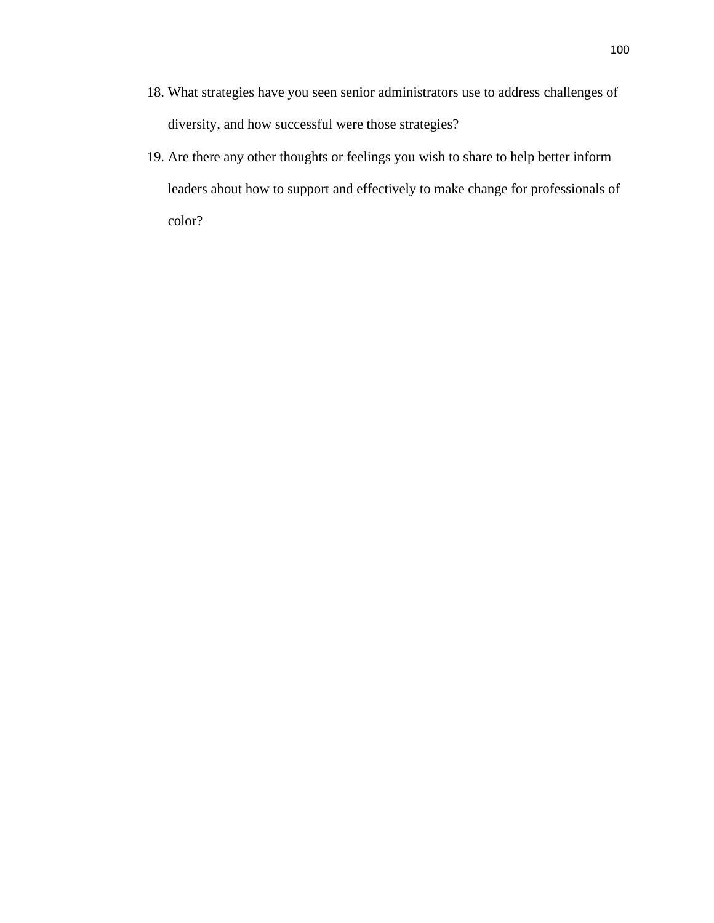- 18. What strategies have you seen senior administrators use to address challenges of diversity, and how successful were those strategies?
- 19. Are there any other thoughts or feelings you wish to share to help better inform leaders about how to support and effectively to make change for professionals of color?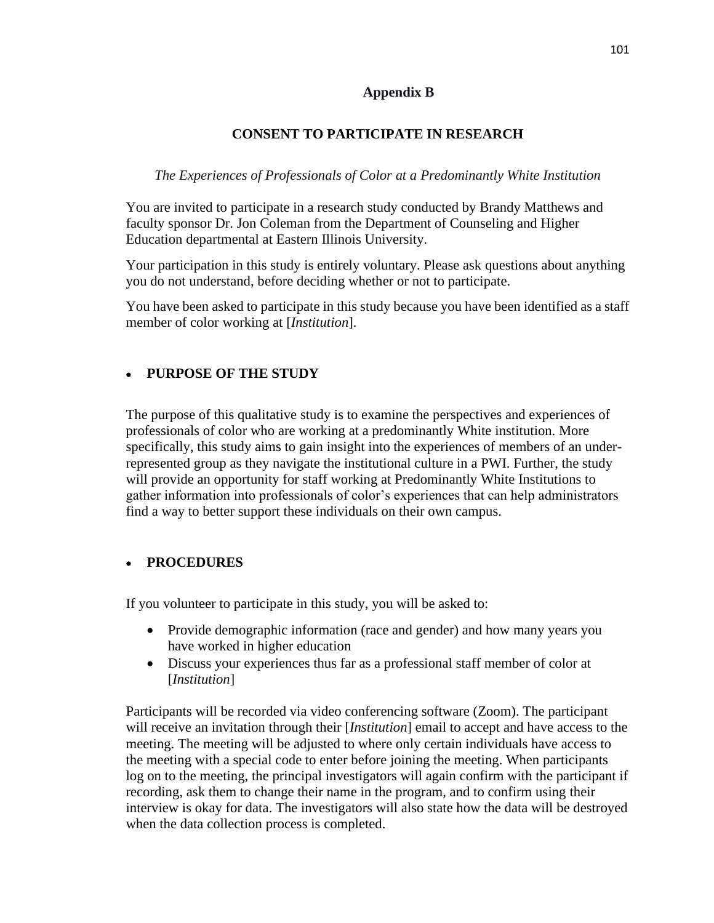### **Appendix B**

## **CONSENT TO PARTICIPATE IN RESEARCH**

### *The Experiences of Professionals of Color at a Predominantly White Institution*

You are invited to participate in a research study conducted by Brandy Matthews and faculty sponsor Dr. Jon Coleman from the Department of Counseling and Higher Education departmental at Eastern Illinois University.

Your participation in this study is entirely voluntary. Please ask questions about anything you do not understand, before deciding whether or not to participate.

You have been asked to participate in this study because you have been identified as a staff member of color working at [*Institution*].

## • **PURPOSE OF THE STUDY**

The purpose of this qualitative study is to examine the perspectives and experiences of professionals of color who are working at a predominantly White institution. More specifically, this study aims to gain insight into the experiences of members of an underrepresented group as they navigate the institutional culture in a PWI. Further, the study will provide an opportunity for staff working at Predominantly White Institutions to gather information into professionals of color's experiences that can help administrators find a way to better support these individuals on their own campus.

## • **PROCEDURES**

If you volunteer to participate in this study, you will be asked to:

- Provide demographic information (race and gender) and how many years you have worked in higher education
- Discuss your experiences thus far as a professional staff member of color at [*Institution*]

Participants will be recorded via video conferencing software (Zoom). The participant will receive an invitation through their [*Institution*] email to accept and have access to the meeting. The meeting will be adjusted to where only certain individuals have access to the meeting with a special code to enter before joining the meeting. When participants log on to the meeting, the principal investigators will again confirm with the participant if recording, ask them to change their name in the program, and to confirm using their interview is okay for data. The investigators will also state how the data will be destroyed when the data collection process is completed.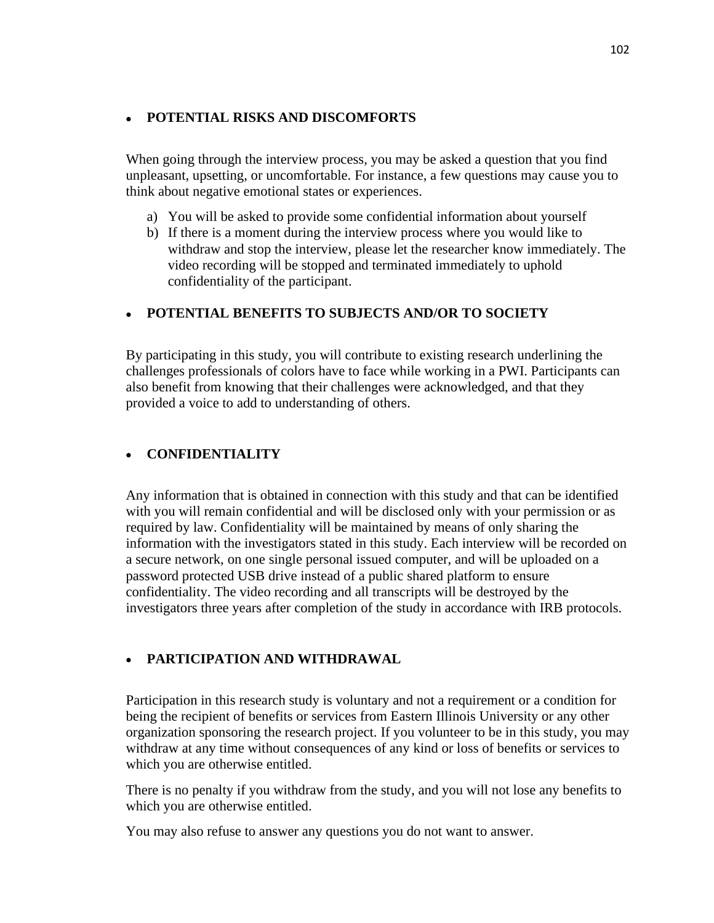#### • **POTENTIAL RISKS AND DISCOMFORTS**

When going through the interview process, you may be asked a question that you find unpleasant, upsetting, or uncomfortable. For instance, a few questions may cause you to think about negative emotional states or experiences.

- a) You will be asked to provide some confidential information about yourself
- b) If there is a moment during the interview process where you would like to withdraw and stop the interview, please let the researcher know immediately. The video recording will be stopped and terminated immediately to uphold confidentiality of the participant.

# • **POTENTIAL BENEFITS TO SUBJECTS AND/OR TO SOCIETY**

By participating in this study, you will contribute to existing research underlining the challenges professionals of colors have to face while working in a PWI. Participants can also benefit from knowing that their challenges were acknowledged, and that they provided a voice to add to understanding of others.

# • **CONFIDENTIALITY**

Any information that is obtained in connection with this study and that can be identified with you will remain confidential and will be disclosed only with your permission or as required by law. Confidentiality will be maintained by means of only sharing the information with the investigators stated in this study. Each interview will be recorded on a secure network, on one single personal issued computer, and will be uploaded on a password protected USB drive instead of a public shared platform to ensure confidentiality. The video recording and all transcripts will be destroyed by the investigators three years after completion of the study in accordance with IRB protocols.

## • **PARTICIPATION AND WITHDRAWAL**

Participation in this research study is voluntary and not a requirement or a condition for being the recipient of benefits or services from Eastern Illinois University or any other organization sponsoring the research project. If you volunteer to be in this study, you may withdraw at any time without consequences of any kind or loss of benefits or services to which you are otherwise entitled.

There is no penalty if you withdraw from the study, and you will not lose any benefits to which you are otherwise entitled.

You may also refuse to answer any questions you do not want to answer.